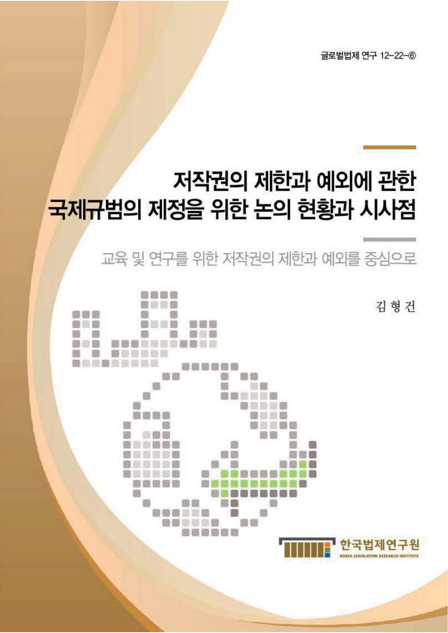글로벌법제 연구 12-22-6

# 저작권의 제한과 예외에 관한 국제규범의 제정을 위한 논의 현황과 시사점

교육 및 연구를 위한 저작권의 제한과 예외를 중심으로

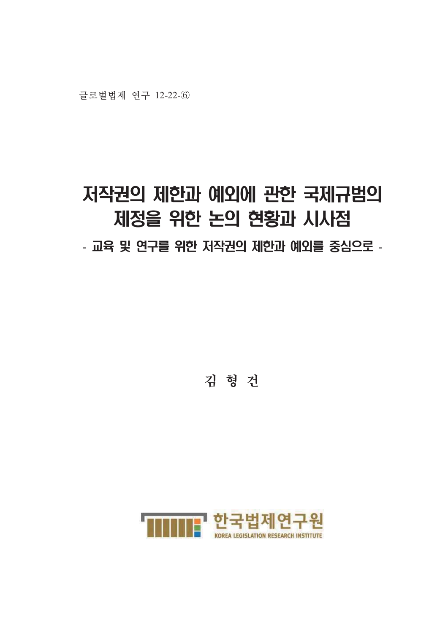## 저작권의 제한과 예외에 관한 국제규범의 제정을 위한 논의 현황과 시사점 - 교육 및 연구를 위한 저작권의 제한과 예외를 중심으로 -

김 형 건

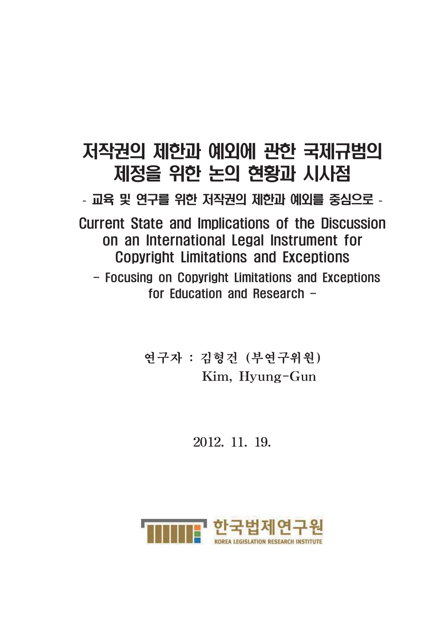## 저작권의 제한과 예외에 관한 국제규범의 제정을 위한 논의 현황과 시사점

- 교육 및 연구를 위한 저작권의 제한과 예외를 중심으로 -

**Current State and Implications of the Discussion** on an International Legal Instrument for **Copyright Limitations and Exceptions** - Focusing on Copyright Limitations and Exceptions for Education and Research -

연구자 : 김형건 (부연구위원) Kim, Hyung-Gun

2012, 11, 19,

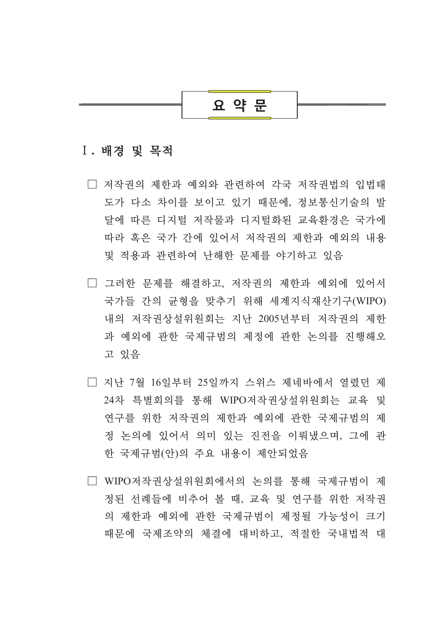## 요 약 문

#### I. 배경 및 목적

- □ 저작권의 제한과 예외와 관련하여 각국 저작권법의 입법태 도가 다소 차이를 보이고 있기 때무에. 정보통시기술의 발 달에 따른 디지털 저작물과 디지털화된 교육화경은 국가에 따라 혹은 국가 간에 있어서 저작궈의 제한과 예외의 내용 및 적용과 관련하여 난해한 문제를 야기하고 있음
- □ 그러한 뮤제를 해결하고, 저작궈의 제한과 예외에 있어서 국가들 간의 규형을 맞추기 위해 세계지식재산기구(WIPO) 내의 저작권상설위원회는 지난 2005년부터 저작권의 제한 과 예외에 관한 국제규범의 제정에 관한 논의를 진행해오 고 있음
- □ 지난 7월 16일부터 25일까지 스위스 제네바에서 열렸던 제 24차 특별회의를 통해 WIPO저작권상설위원회는 교육 및 연구를 위한 저작권의 제한과 예외에 관한 국제규범의 제 정 논의에 있어서 의미 있는 진전을 이뤄냈으며, 그에 관 한 국제규범(안)의 주요 내용이 제안되었음
- □ WIPO저작궈상설위워회에서의 논의를 통해 국제규범이 제 정되 서례들에 비추어 볼 때, 교육 및 여구를 위한 저작권 의 제한과 예외에 관한 국제규범이 제정될 가능성이 크기 때문에 국제조약의 체결에 대비하고, 적절한 국내법적 대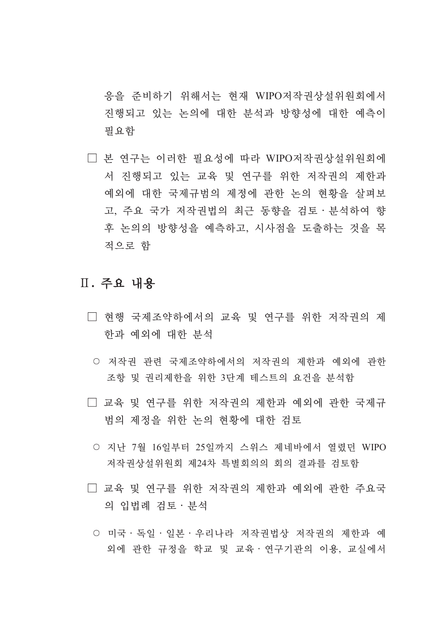응을 준비하기 위해서는 현재 WIPO저작권상설위원회에서 진행되고 있는 논의에 대한 부석과 방향성에 대한 예측이 필요함

□ 본 연구는 이러한 필요성에 따라 WIPO저작권상설위원회에 서 진행되고 있는 교육 및 연구를 위한 저작권의 제한과 예외에 대한 국제규범의 제정에 과한 논의 현황을 살펴보 고, 주요 국가 저작권법의 최근 동향을 검토·분석하여 향 후 논의의 방향성을 예측하고, 시사점을 도출하는 것을 목 적으로 함

#### Ⅱ. 주요 내용

- □ 현행 국제조약하에서의 교육 및 연구를 위한 저작권의 제 한과 예외에 대한 부석
	- 저작권 관련 국제조약하에서의 저작권의 제한과 예외에 관한 조항 및 권리제한을 위한 3단계 테스트의 요건을 분석함
- □ 교육 및 연구를 위한 저작권의 제한과 예외에 관한 국제규 범의 제정을 위한 논의 현황에 대한 검토
	- 지난 7월 16일부터 25일까지 스위스 제네바에서 열렸던 WIPO 저작권상설위원회 제24차 특별회의의 회의 결과를 검토함
- □ 교육 및 연구를 위한 저작권의 제한과 예외에 관한 주요국 의 입법례 검토 · 분석
	- 미국 · 독일 · 일본 · 우리나라 저작권법상 저작권의 제한과 예 외에 관한 규정을 학교 및 교육 · 연구기관의 이용, 교실에서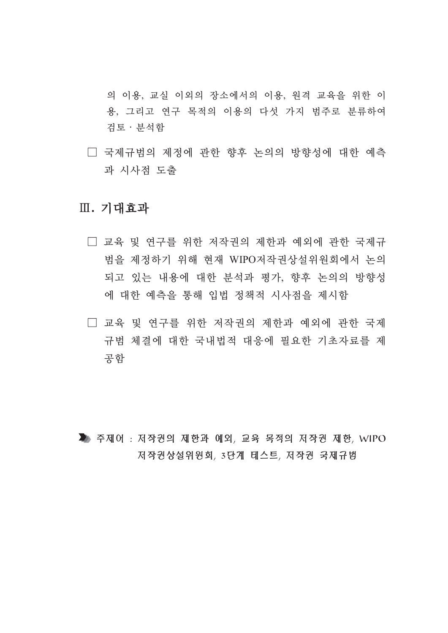의 이용, 교실 이외의 장소에서의 이용, 원격 교육을 위한 이 용, 그리고 연구 목적의 이용의 다섯 가지 범주로 부류하여 검토 · 분석함

□ 국제규범의 제정에 관한 향후 논의의 방향성에 대한 예측 과 시사점 도출

### Ⅲ. 기대효과

- □ 교육 및 연구를 위한 저작권의 제한과 예외에 관한 국제규 범을 제정하기 위해 현재 WIPO저작궈상설위워회에서 논의 되고 있는 내용에 대한 분석과 평가, 향후 논의의 방향성 에 대한 예측을 통해 입법 정책적 시사점을 제시함
- □ 교육 및 연구를 위한 저작권의 제한과 예외에 관한 국제 규범 체결에 대한 국내법적 대응에 필요한 기초자료를 제 공함

■ 주제어 : 저작권의 제한과 예외, 교육 목적의 저작권 제한, WIPO 저작권상설위원회, 3단계 테스트, 저작권 국제규범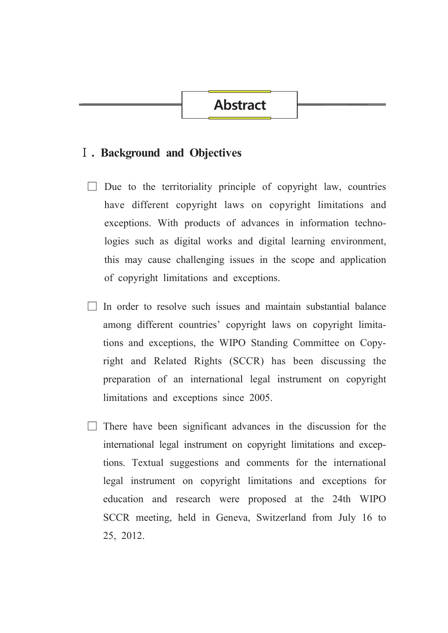## **Abstract**

#### **I**. Background and Objectives

- $\Box$  Due to the territoriality principle of copyright law, countries have different copyright laws on copyright limitations and exceptions. With products of advances in information technologies such as digital works and digital learning environment, this may cause challenging issues in the scope and application of copyright limitations and exceptions.
- In order to resolve such issues and maintain substantial balance among different countries' copyright laws on copyright limitations and exceptions, the WIPO Standing Committee on Copyright and Related Rights (SCCR) has been discussing the preparation of an international legal instrument on copyright limitations and exceptions since 2005.
- $\Box$  There have been significant advances in the discussion for the international legal instrument on copyright limitations and exceptions. Textual suggestions and comments for the international legal instrument on copyright limitations and exceptions for education and research were proposed at the 24th WIPO SCCR meeting, held in Geneva, Switzerland from July 16 to 25, 2012.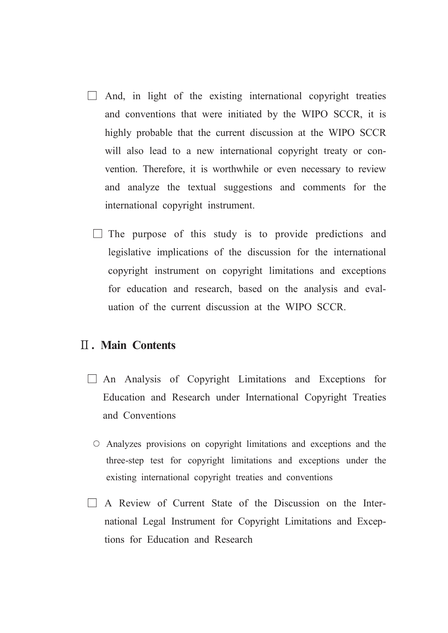- $\Box$  And, in light of the existing international copyright treaties and conventions that were initiated by the WIPO SCCR, it is highly probable that the current discussion at the WIPO SCCR will also lead to a new international copyright treaty or convention. Therefore, it is worthwhile or even necessary to review and analyze the textual suggestions and comments for the international copyright instrument.
	- $\Box$  The purpose of this study is to provide predictions and legislative implications of the discussion for the international copyright instrument on copyright limitations and exceptions for education and research, based on the analysis and evaluation of the current discussion at the WIPO SCCR.

#### **II. Main Contents**

- $\Box$  An Analysis of Copyright Limitations and Exceptions for Education and Research under International Copyright Treaties and Conventions
	- $\circ$  Analyzes provisions on copyright limitations and exceptions and the three-step test for copyright limitations and exceptions under the existing international copyright treaties and conventions
- $\Box$  A Review of Current State of the Discussion on the International Legal Instrument for Copyright Limitations and Exceptions for Education and Research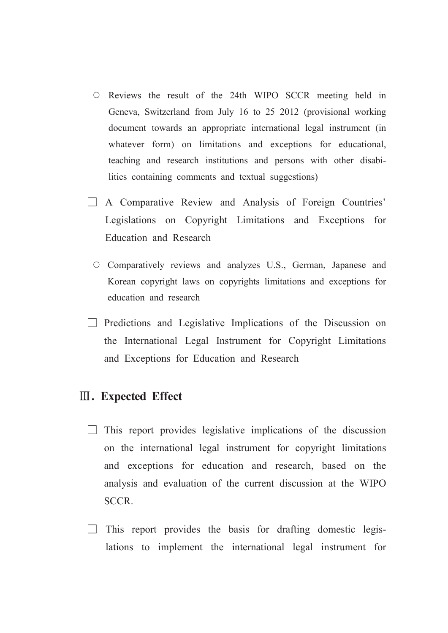- O Reviews the result of the 24th WIPO SCCR meeting held in Geneva, Switzerland from July 16 to 25 2012 (provisional working document towards an appropriate international legal instrument (in whatever form) on limitations and exceptions for educational, teaching and research institutions and persons with other disabilities containing comments and textual suggestions)
- $\Box$  A Comparative Review and Analysis of Foreign Countries' Legislations on Copyright Limitations and Exceptions for Education and Research
	- O Comparatively reviews and analyzes U.S., German, Japanese and Korean copyright laws on copyrights limitations and exceptions for education and research
- $\Box$  Predictions and Legislative Implications of the Discussion on the International Legal Instrument for Copyright Limitations and Exceptions for Education and Research

#### **III.** Expected Effect

- $\Box$  This report provides legislative implications of the discussion on the international legal instrument for copyright limitations and exceptions for education and research, based on the analysis and evaluation of the current discussion at the WIPO SCCR.
- $\Box$  This report provides the basis for drafting domestic legislations to implement the international legal instrument for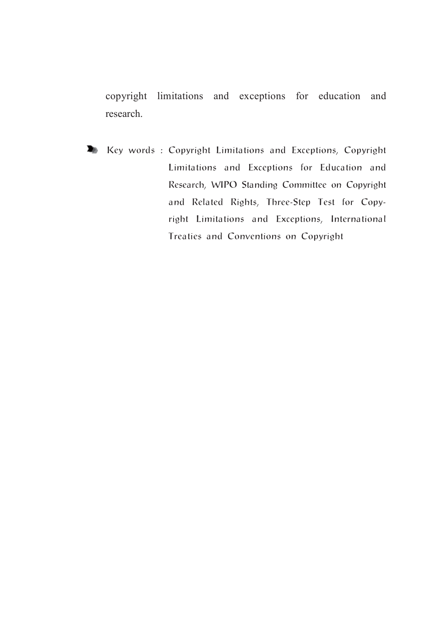copyright limitations and exceptions for education and research.

Key words : Copyright Limitations and Exceptions, Copyright Limitations and Exceptions for Education and Research, WIPO Standing Committee on Copyright and Related Rights, Three-Step Test for Copyright Limitations and Exceptions, International Treaties and Conventions on Copyright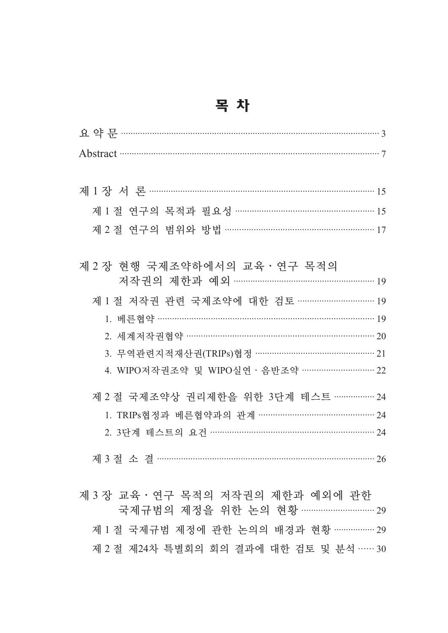| e e |  |
|-----|--|
|-----|--|

| Abstract 37                                 |
|---------------------------------------------|
|                                             |
|                                             |
| 제 1 절 연구의 목적과 필요성 ………………………………………………… 15    |
| 제 2 절 연구의 범위와 방법 …………………………………………………… 17    |
|                                             |
| 제 2 장 현행 국제조약하에서의 교육 · 연구 목적의               |
| 저작권의 제한과 예외 ……………………………………………… 19           |
| 제 1 절 저작권 관련 국제조약에 대한 검토 …………………………… 19     |
| 1. 베른협약 …………………………………………………………………………………… 19 |
| 2. 세계저작권협약 ………………………………………………………………… 20     |
|                                             |
| 4. WIPO저작권조약 및 WIPO실연 · 음반조약 ………………………… 22  |
| 제 2 절 국제조약상 권리제한을 위한 3단계 테스트 ……………… 24      |
|                                             |
| 2. 3단계 테스트의 요건 ……………………………………………………… 24     |
|                                             |
|                                             |
|                                             |

제 3 장 교육 · 연구 목적의 저작권의 제한과 예외에 관한 국제규범의 제정을 위한 논의 현황 ……………………… 29 제 1 절 국제규범 제정에 관한 논의의 배경과 현황 ……………… 29 제 2 절 제24차 특별회의 회의 결과에 대한 검토 및 분석 …… 30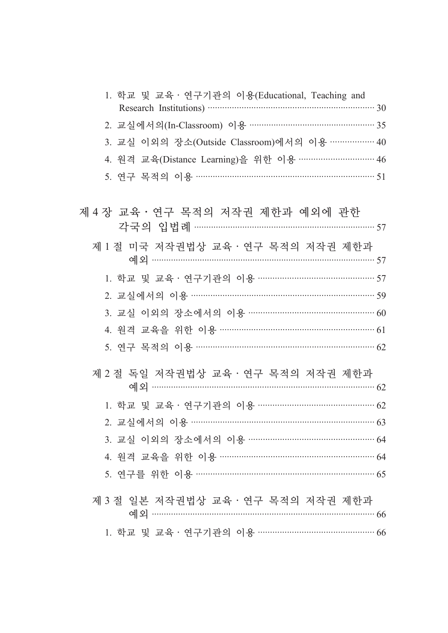| 1. 학교 및 교육 · 연구기관의 이용(Educational, Teaching and                        |  |
|------------------------------------------------------------------------|--|
|                                                                        |  |
| 3. 교실 이외의 장소(Outside Classroom)에서의 이용 ……………… 40                        |  |
| 4. 원격 교육(Distance Learning)을 위한 이용 ………………………… 46                       |  |
|                                                                        |  |
| 제 4 장 교육 · 연구 목적의 저작권 제한과 예외에 관한<br>각국의 입법례 …………………………………………………………… 57 |  |
| 제 1 절 미국 저작권법상 교육 · 연구 목적의 저작권 제한과                                     |  |
| 1. 학교 및 교육 · 연구기관의 이용 ……………………………………… 57                               |  |
| 2. 교실에서의 이용 …………………………………………………………… 59                                 |  |
| 3. 교실 이외의 장소에서의 이용 …………………………………………… 60                                |  |
| 4. 원격 교육을 위한 이용 …………………………………………………… 61                                |  |
| 5. 연구 목적의 이용 ………………………………………………………… 62                                 |  |
| 제 2 절 독일 저작권법상 교육·연구 목적의 저작권 제한과                                       |  |
| 1. 학교 및 교육 · 연구기관의 이용 ……………………………………… 62                               |  |
| 2. 교실에서의 이용 …………………………………………………………… 63                                 |  |
| 3. 교실 이외의 장소에서의 이용 ………………………………………… 64                                 |  |
| 4. 원격 교육을 위한 이용 …………………………………………………… 64                                |  |
| 5. 연구를 위한 이용 ………………………………………………………… 65                                 |  |
| 제 3 절 일본 저작권법상 교육·연구 목적의 저작권 제한과                                       |  |
| 1. 학교 및 교육 · 연구기관의 이용 ……………………………………… 66                               |  |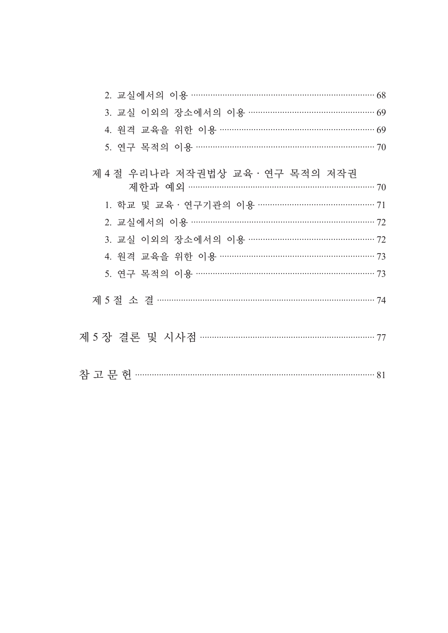| 3. 교실 이외의 장소에서의 이용 ………………………………………… 69                                  |  |
|-------------------------------------------------------------------------|--|
| 4. 원격 교육을 위한 이용 …………………………………………………… 69                                 |  |
| 5. 연구 목적의 이용 ………………………………………………………… 70                                  |  |
| 제 4 절 우리나라 저작권법상 교육 · 연구 목적의 저작권<br>제한과 예외 ………………………………………………………………… 70 |  |
| 1. 학교 및 교육 · 연구기관의 이용 ………………………………………… 71                               |  |
| 2. 교실에서의 이용 ……………………………………………………… 72                                    |  |
| 3. 교실 이외의 장소에서의 이용 ………………………………………… 72                                  |  |
| 4. 원격 교육을 위한 이용 ………………………………………………… 73                                  |  |
| 5. 연구 목적의 이용 ……………………………………………………… 73                                   |  |
|                                                                         |  |
|                                                                         |  |
|                                                                         |  |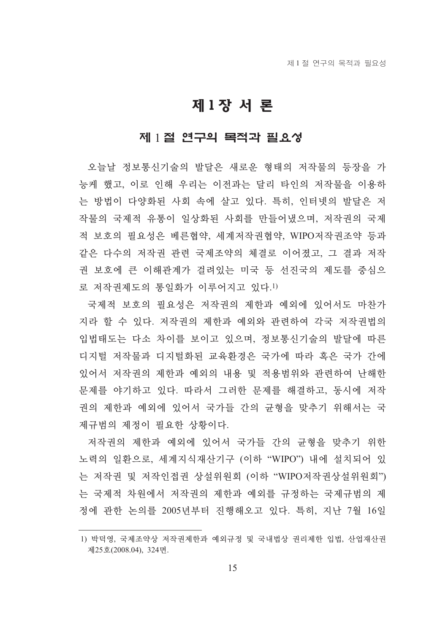## 제1장서론

#### 제 1절 연구의 목적과 필요성

오늘날 정보통신기술의 발달은 새로운 형태의 저작물의 등장을 가 능케 했고, 이로 인해 우리는 이전과는 달리 타인의 저작물을 이용하 는 방법이 다양화된 사회 속에 살고 있다. 특히, 인터넷의 발달은 저 작물의 국제적 유통이 일상화된 사회를 만들어냈으며, 저작권의 국제 적 보호의 필요성은 베른협약, 세계저작권협약, WIPO저작권조약 등과 같은 다수의 저작권 관련 국제조약의 체결로 이어졌고, 그 결과 저작 권 보호에 큰 이해관계가 걸려있는 미국 등 선진국의 제도를 중심으 로 저작권제도의 통일화가 이루어지고 있다.1)

국제적 보호의 필요성은 저작권의 제한과 예외에 있어서도 마찬가 지라 할 수 있다. 저작권의 제한과 예외와 관련하여 각국 저작권법의 입법태도는 다소 차이를 보이고 있으며, 정보통신기술의 발달에 따른 디지털 저작물과 디지털화된 교육환경은 국가에 따라 혹은 국가 간에 있어서 저작권의 제한과 예외의 내용 및 적용범위와 관련하여 난해한 문제를 야기하고 있다. 따라서 그러한 문제를 해결하고, 동시에 저작 권의 제한과 예외에 있어서 국가들 간의 균형을 맞추기 위해서는 국 제규범의 제정이 필요한 상황이다.

저작권의 제한과 예외에 있어서 국가들 간의 균형을 맞추기 위한 노력의 일환으로, 세계지식재산기구 (이하 "WIPO") 내에 설치되어 있 는 저작권 및 저작인접권 상설위원회 (이하 "WIPO저작권상설위원회") 는 국제적 차워에서 저작권의 제한과 예외를 규정하는 국제규범의 제 정에 관한 논의를 2005년부터 진행해오고 있다. 특히, 지난 7월 16일

<sup>1)</sup> 박덕영, 국제조약상 저작권제한과 예외규정 및 국내법상 권리제한 입법, 산업재산권 제25호(2008.04), 324면.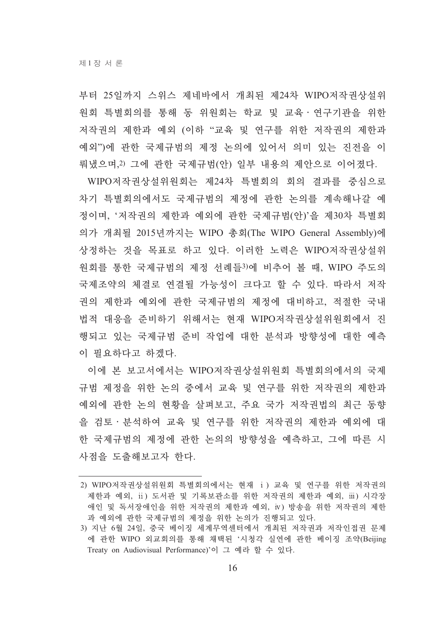부터 25일까지 스위스 제네바에서 개최된 제24차 WIPO저작권상설위 워회 특별회의를 통해 동 위워회는 학교 및 교육 · 연구기관을 위한 저작권의 제한과 예외 (이하 "교육 및 연구를 위한 저작권의 제한과 예외")에 관한 국제규범의 제정 논의에 있어서 의미 있는 진전을 이 뤄냈으며,2) 그에 관한 국제규범(안) 일부 내용의 제안으로 이어졌다.

WIPO저작권상설위원회는 제24차 특별회의 회의 결과를 중심으로 차기 특별회의에서도 국제규범의 제정에 관한 논의를 계속해나갈 예 정이며, '저작권의 제한과 예외에 관한 국제규범(안)'을 제30차 특별회 의가 개최될 2015년까지는 WIPO 총회(The WIPO General Assembly)에 상정하는 것을 목표로 하고 있다. 이러한 노력은 WIPO저작권상설위 워회를 통한 국제규범의 제정 서례들3)에 비추어 볼 때, WIPO 주도의 국제조약의 체결로 연결될 가능성이 크다고 할 수 있다. 따라서 저작 권의 제하과 예외에 과하 국제규범의 제정에 대비하고. 적절하 국내 법적 대응을 준비하기 위해서는 현재 WIPO저작권상설위원회에서 진 행되고 있는 국제규범 준비 작업에 대한 분석과 방향성에 대한 예측 이 필요하다고 하겠다.

이에 본 보고서에서는 WIPO저작권상설위원회 특별회의에서의 국제 규범 제정을 위한 논의 중에서 교육 및 연구를 위한 저작권의 제한과 예외에 관한 논의 현황을 살펴보고, 주요 국가 저작권법의 최근 동향 을 검토·분석하여 교육 및 연구를 위한 저작권의 제한과 예외에 대 한 국제규범의 제정에 관한 논의의 방향성을 예측하고, 그에 따른 시 사점을 도출해보고자 하다.

<sup>2)</sup> WIPO저작권상설위원회 특별회의에서는 현재 i) 교육 및 연구를 위한 저작권의 제한과 예외, ii) 도서관 및 기록보관소를 위한 저작권의 제한과 예외, iii) 시각장 애인 및 독서장애인을 위한 저작권의 제한과 예외, iv) 방송을 위한 저작권의 제한 과 예외에 관한 국제규범의 제정을 위한 논의가 진행되고 있다.

<sup>3)</sup> 지난 6월 24일, 중국 베이징 세계무역센터에서 개최된 저작권과 저작인접권 문제 에 관한 WIPO 외교회의를 통해 채택된 '시청각 실연에 관한 베이징 조약(Beijing Treaty on Audiovisual Performance)'이 그 예라 할 수 있다.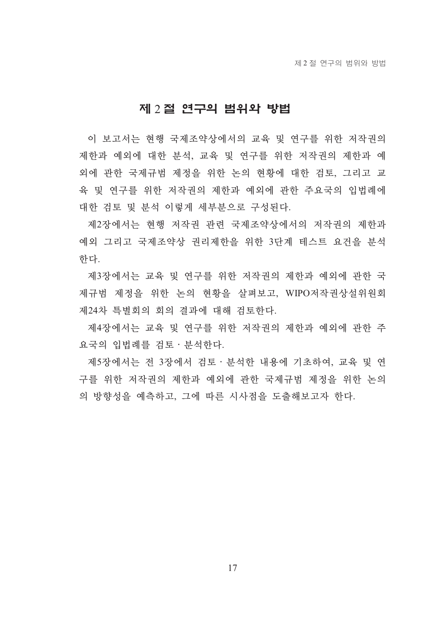#### 제 2절 연구의 범위와 방법

이 보고서는 현행 국제조약상에서의 교육 및 연구를 위한 저작권의 제한과 예외에 대한 분석, 교육 및 연구를 위한 저작권의 제한과 예 외에 관한 국제규범 제정을 위한 논의 현황에 대한 검토, 그리고 교 육 및 연구를 위한 저작권의 제한과 예외에 관한 주요국의 입법례에 대한 검토 및 분석 이렇게 세부분으로 구성된다.

제2장에서는 현행 저작권 관련 국제조약상에서의 저작권의 제한과 예외 그리고 국제조약상 권리제한을 위한 3단계 테스트 요건을 분석 하다.

제3장에서는 교육 및 연구를 위한 저작권의 제한과 예외에 관한 국 제규범 제정을 위한 논의 현황을 살펴보고, WIPO저작권상설위원회 제24차 특별회의 회의 결과에 대해 검토하다.

제4장에서는 교육 및 연구를 위한 저작권의 제한과 예외에 관한 주 요국의 입법례를 검토 · 분석한다.

제5장에서는 전 3장에서 검토 · 분석한 내용에 기초하여, 교육 및 연 구를 위한 저작권의 제한과 예외에 관한 국제규범 제정을 위한 논의 의 방향성을 예측하고, 그에 따른 시사점을 도출해보고자 한다.

 $17$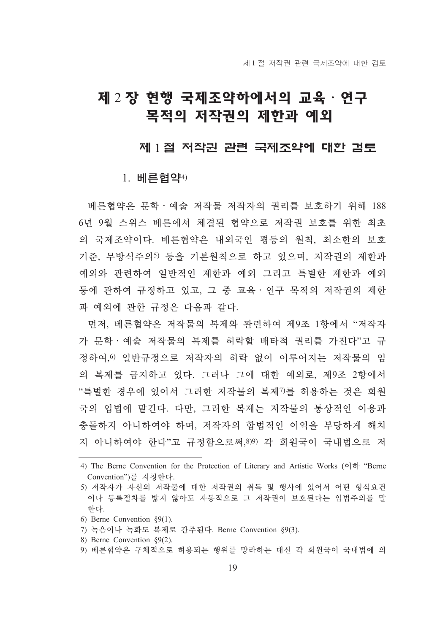## 제 2 장 현행 국제조약하에서의 교육 · 연구 목적의 저작권의 제한과 예외

#### 제 1절 저작권 관련 국제조약에 대한 검토

#### 1. 베르현약4)

베른협약은 문학 예술 저작물 저작자의 권리를 보호하기 위해 188 6년 9월 스위스 베른에서 체결된 협약으로 저작권 보호를 위한 최초 의 국제조약이다. 베른협약은 내외국인 평등의 워칙, 최소한의 보호 기준, 무방식주의5) 등을 기본워칙으로 하고 있으며, 저작권의 제한과 예외와 관련하여 일반적인 제한과 예외 그리고 특별한 제한과 예외 등에 관하여 규정하고 있고, 그 중 교육 · 연구 목적의 저작권의 제한 과 예외에 관한 규정은 다음과 같다.

먼저, 베른협약은 저작물의 복제와 관련하여 제9조 1항에서 "저작자 가 문학 · 예술 저작물의 복제를 허락할 배타적 권리를 가진다"고 규 정하여, 이일반규정으로 저작자의 허락 없이 이루어지는 저작물의 임 의 복제를 금지하고 있다. 그러나 그에 대한 예외로, 제9조 2항에서 "특별한 경우에 있어서 그러한 저작물의 복제7)를 허용하는 것은 회워 국의 입법에 맡긴다. 다만, 그러한 복제는 저작물의 통상적인 이용과 충돌하지 아니하여야 하며, 저작자의 합법적인 이익을 부당하게 해치 지 아니하여야 한다"고 규정함으로써, 8) 각 회원국이 국내법으로 저

- 6) Berne Convention  $\S(1)$ .
- 7) 녹음이나 녹화도 복제로 간주된다. Berne Convention §9(3).
- 8) Berne Convention 89(2).
- 9) 베른협약은 구체적으로 허용되는 행위를 망라하는 대신 각 회원국이 국내법에 의

<sup>4)</sup> The Berne Convention for the Protection of Literary and Artistic Works (이하 "Berne Convention")를 지칭한다.

<sup>5)</sup> 저작자가 자신의 저작물에 대한 저작권의 취득 및 행사에 있어서 어떤 형식요건 이나 등록절차를 밟지 않아도 자동적으로 그 저작권이 보호되다는 입법주의를 말 하다.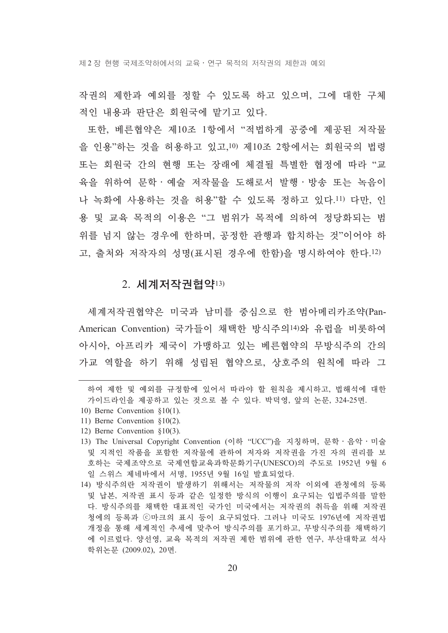제 2 장 현행 국제조약하에서의 교육 • 연구 목적의 저작권의 제한과 예외

작권의 제한과 예외를 정할 수 있도록 하고 있으며, 그에 대한 구체 적인 내용과 판단은 회워국에 맡기고 있다.

또한, 베른협약은 제10조 1항에서 "적법하게 공중에 제공된 저작물 을 인용"하는 것을 허용하고 있고,10) 제10조 2항에서는 회원국의 법령 또는 회원국 간의 현행 또는 장래에 체결될 특별한 협정에 따라 "교 육을 위하여 문학·예술 저작물을 도해로서 발행·방송 또는 녹음이 나 녹화에 사용하는 것을 허용"할 수 있도록 정하고 있다.11) 다만, 인 용 및 교육 목적의 이용은 "그 범위가 목적에 의하여 정당화되는 범 위를 넘지 않는 경우에 하하며, 공정한 과행과 합치하는 것"이어야 하 고, 출처와 저작자의 성명(표시된 경우에 한함)을 명시하여야 한다.12)

#### 2. 세계저작권협약13)

세계저작권협약은 미국과 남미를 중심으로 한 범아메리카조약(Pan-American Convention) 국가들이 채택한 방식주의<sup>14)</sup>와 유럽을 비롯하여 아시아, 아프리카 제국이 가맹하고 있는 베른협약의 무방식주의 간의 가교 역할을 하기 위해 성립된 협약으로, 상호주의 원칙에 따라 그

하여 제한 및 예외를 규정함에 있어서 따라야 할 원칙을 제시하고, 법해석에 대한 가이드라인을 제공하고 있는 것으로 볼 수 있다. 박덕영, 앞의 논문, 324-25면.

<sup>10)</sup> Berne Convention  $$10(1)$ .

<sup>11)</sup> Berne Convention  $\S 10(2)$ .

<sup>12)</sup> Berne Convention §10(3).

<sup>13)</sup> The Universal Copyright Convention (이하 "UCC")을 지칭하며, 문학 · 음악 · 미술 및 지적인 작품을 포함한 저작물에 관하여 저자와 저작권을 가진 자의 권리를 보 호하는 국제조약으로 국제연합교육과학문화기구(UNESCO)의 주도로 1952년 9월 6 일 스위스 제네바에서 서명, 1955년 9월 16일 발효되었다.

<sup>14)</sup> 방식주의란 저작권이 발생하기 위해서는 저작물의 저작 이외에 관청에의 등록 및 납본, 저작권 표시 등과 같은 일정한 방식의 이행이 요구되는 입법주의를 말한 다. 방식주의를 채택한 대표적인 국가인 미국에서는 저작권의 취득을 위해 저작권 청에의 등록과 ⓒ마크의 표시 등이 요구되었다. 그러나 미국도 1976년에 저작권법 개정을 통해 세계적인 추세에 맞추어 방식주의를 포기하고, 무방식주의를 채택하기 에 이르렀다. 양선영, 교육 목적의 저작권 제한 범위에 과한 연구, 부사대학교 석사 학위논문 (2009.02), 20면.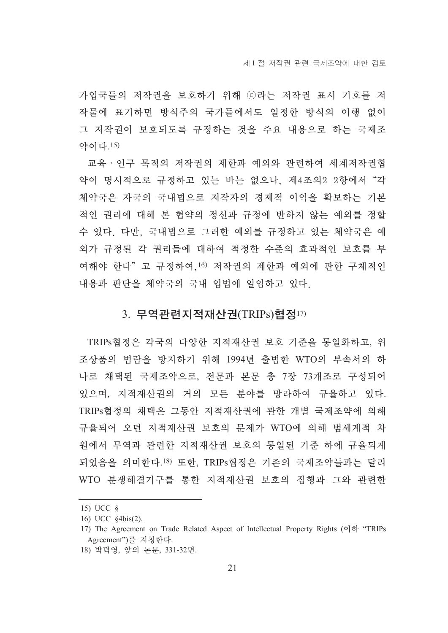가입국들의 저작권을 보호하기 위해 ⓒ라는 저작권 표시 기호를 저 작물에 표기하면 방식주의 국가들에서도 일정한 방식의 이행 없이 그 저작권이 보호되도록 규정하는 것을 주요 내용으로 하는 국제조 약이다.15)

교육 · 연구 목적의 저작권의 제한과 예외와 관련하여 세계저작권협 약이 명시적으로 규정하고 있는 바는 없으나. 제4조의2 2항에서 "각 체약국은 자국의 국내법으로 저작자의 경제적 이익을 확보하는 기본 적인 권리에 대해 본 협약의 정신과 규정에 반하지 않는 예외를 정할 수 있다. 다만, 국내법으로 그러한 예외를 규정하고 있는 체약국은 예 외가 규정된 각 권리들에 대하여 적정한 수준의 효과적인 보호를 부 여해야 한다"고 규정하여.16) 저작권의 제한과 예외에 관한 구체적인 내용과 판단을 체약국의 국내 입법에 일임하고 있다.

#### 3. 무역관련지적재산권(TRIPs)협정17)

TRIPs협정은 각국의 다양한 지적재산권 보호 기준을 통일화하고, 위 조상품의 범람을 방지하기 위해 1994년 출범한 WTO의 부속서의 하 나로 채택된 국제조약으로, 전문과 본문 총 7장 73개조로 구성되어 있으며, 지적재산권의 거의 모든 분야를 망라하여 규율하고 있다. TRIPs협정의 채택은 그동안 지적재산권에 관한 개별 국제조약에 의해 규율되어 오던 지적재산권 보호의 문제가 WTO에 의해 범세계적 차 원에서 무역과 관련한 지적재산권 보호의 통일된 기준 하에 규율되게 되었음을 의미한다.<sup>18)</sup> 또한, TRIPs협정은 기존의 국제조약들과는 달리 WTO 분쟁해결기구를 통한 지적재산권 보호의 집행과 그와 관련한

 $15)$  UCC  $\delta$ 

<sup>16)</sup> UCC §4bis(2).

<sup>17)</sup> The Agreement on Trade Related Aspect of Intellectual Property Rights (이하 "TRIPs Agreement")를 지칭하다.

<sup>18)</sup> 박덕영, 앞의 논문, 331-32면.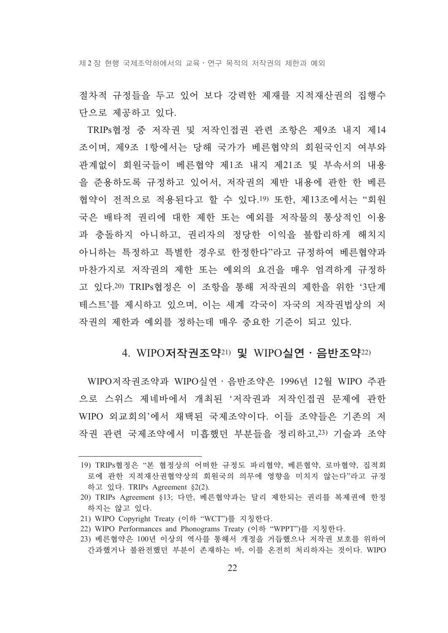제 2 장 현행 국제조약하에서의 교육 • 연구 목적의 저작권의 제한과 예외

절차적 규정들을 두고 있어 보다 강력한 제재를 지적재사궈의 집행수 단으로 제공하고 있다.

TRIPs협정 중 저작권 및 저작인접권 관련 조항은 제9조 내지 제14 조이며, 제9조 1항에서는 당해 국가가 베른협약의 회워국이지 여부와 관계없이 회원국들이 베른협약 제1조 내지 제21조 및 부속서의 내용 을 준용하도록 규정하고 있어서, 저작권의 제반 내용에 관한 한 베른 협약이 전적으로 적용된다고 할 수 있다.19) 또한, 제13조에서는 "회원 국은 배타적 권리에 대한 제한 또는 예외를 저작물의 통상적인 이용 과 충돌하지 아니하고, 궈리자의 정당한 이익을 불합리하게 해치지 아니하는 특정하고 특별한 경우로 한정한다"라고 규정하여 베른협약과 마차가지로 저작권의 제한 또는 예외의 요거을 매우 엄격하게 규정하 고 있다.20) TRIPs협정은 이 조항을 통해 저작권의 제한을 위한 '3단계 테스트'를 제시하고 있으며, 이는 세계 각국이 자국의 저작권법상의 저 작권의 제한과 예외를 정하는데 매우 중요한 기준이 되고 있다.

#### 4. WIPO저작권조약21) 및 WIPO실연 · 음반조약22)

WIPO저작권조약과 WIPO실여 · 음반조약은 1996년 12월 WIPO 주관 으로 스위스 제네바에서 개최된 '저작권과 저작인접권 문제에 관한 WIPO 외교회의'에서 채택된 국제조약이다. 이들 조약들은 기존의 저 작권 관련 국제조약에서 미흡했던 부분들을 정리하고, 23) 기술과 조약

<sup>19)</sup> TRIPs협정은 "본 협정상의 어떠한 규정도 파리협약, 베른협약, 로마협약, 집적회 로에 관한 지적재산권협약상의 회원국의 의무에 영향을 미치지 않는다"라고 규정 하고 있다. TRIPs Agreement §2(2).

<sup>20)</sup> TRIPs Agreement §13; 다만, 베른협약과는 달리 제한되는 권리를 복제권에 한정 하지는 않고 있다.

<sup>21)</sup> WIPO Copyright Treaty (이하 "WCT")를 지칭한다.

<sup>22)</sup> WIPO Performances and Phonograms Treaty (이하 "WPPT")를 지칭한다.

<sup>23)</sup> 베른협약은 100년 이상의 역사를 통해서 개정을 거듭했으나 저작권 보호를 위하여 간과했거나 불완전했던 부분이 존재하는 바, 이를 온전히 처리하자는 것이다. WIPO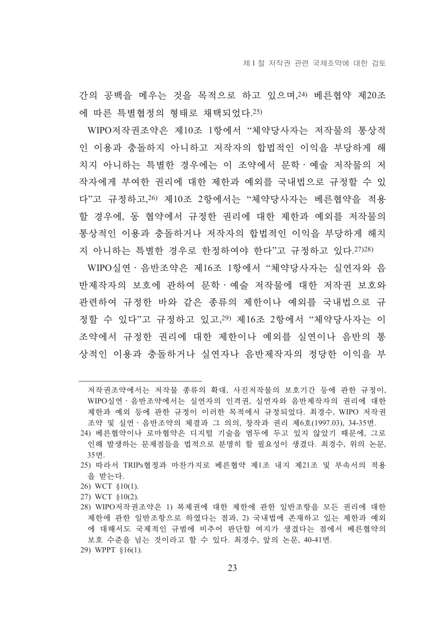간의 공백을 메우는 것을 목적으로 하고 있으며, 24) 베른협약 제20조 에 따른 특별협정의 형태로 채택되었다. 25)

WIPO저작권조약은 제10조 1항에서 "체약당사자는 저작물의 통상적 인 이용과 충돌하지 아니하고 저작자의 합법적인 이익을 부당하게 해 치지 아니하는 특별한 경우에는 이 조약에서 문학ㆍ예술 저작물의 저 작자에게 부여한 권리에 대한 제한과 예외를 국내법으로 규정할 수 있 다"고 규정하고, 26) 제10조 2항에서는 "체약당사자는 베른협약을 적용 할 경우에, 동 협약에서 규정한 권리에 대한 제한과 예외를 저작물의 통상적인 이용과 충돌하거나 저작자의 합법적인 이익을 부당하게 해치

지 아니하는 특별한 경우로 한정하여야 하다"고 규정하고 있다. 27)28) WIPO실여 · 음반조약은 제16조 1항에서 "체약당사자는 실여자와 음 반제작자의 보호에 과하여 무학 · 예술 저작물에 대한 저작권 보호와 관련하여 규정한 바와 같은 종류의 제한이나 예외를 국내법으로 규 정할 수 있다"고 규정하고 있고.29) 제16조 2항에서 "체약당사자는 이 조약에서 규정한 권리에 대한 제한이나 예외를 실여이나 음반의 통 상적인 이용과 충돌하거나 실연자나 음반제작자의 정당한 이익을 부

- 25) 따라서 TRIPs협정과 마차가지로 베른협약 제1조 내지 제21조 및 부속서의 적용 을 받는다.
- 26) WCT §10(1).
- 27) WCT §10(2).
- 28) WIPO저작권조약은 1) 복제권에 대한 제한에 관한 일반조항을 모든 권리에 대한 제한에 관한 일반조항으로 하였다는 점과, 2) 국내법에 존재하고 있는 제한과 예외 에 대해서도 국제적인 규범에 비추어 판단할 여지가 생겼다는 점에서 베른협약의 보호 수주을 넘는 것이라고 할 수 있다. 최경수, 앞의 논문, 40-41면,
- 29) WPPT §16(1).

저작권조약에서는 저작물 종류의 확대, 사진저작물의 보호기간 등에 관한 규정이, WIPO실연 · 음반조약에서는 실연자의 인격권, 실연자와 음반제작자의 권리에 대한 제한과 예외 등에 관한 규정이 이러한 목적에서 규정되었다. 최경수, WIPO 저작권 조약 및 실연 · 음반조약의 체결과 그 의의, 창작과 권리 제6호(1997.03), 34-35면.

<sup>24)</sup> 베른협약이나 로마협약은 디지털 기술을 염두에 두고 있지 않았기 때문에, 그로 인해 발생하는 문제점들을 법적으로 분명히 할 필요성이 생겼다. 최경수, 위의 논문, 35면.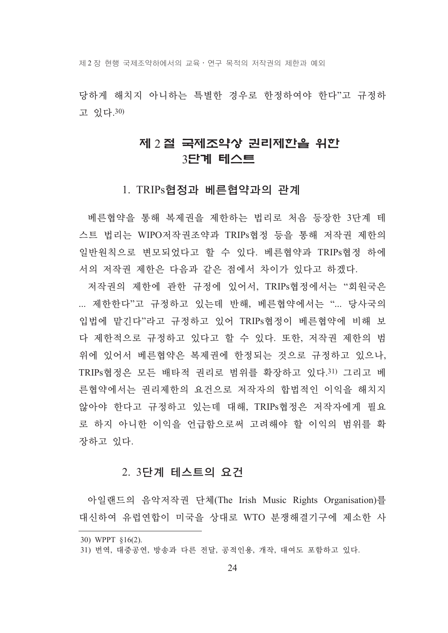제 2 장 현행 국제조약하에서의 교육 • 연구 목적의 저작권의 제한과 예외

당하게 해치지 아니하는 특별한 경우로 하정하여야 하다"고 규정하 고 있다.30)

### 제 2절 국제조약상 권리제한을 위한 3단계 테스트

#### 1. TRIPs협정과 베른협약과의 관계

베른협약을 통해 복제권을 제한하는 법리로 처음 등장한 3단계 테 스트 법리는 WIPO저작권조약과 TRIPs협정 등을 통해 저작권 제한의 일반원칙으로 변모되었다고 할 수 있다. 베른협약과 TRIPs협정 하에 서의 저작권 제한은 다음과 같은 점에서 차이가 있다고 하겠다.

저작권의 제한에 관한 규정에 있어서, TRIPs협정에서는 "회원국은 ... 제한한다"고 규정하고 있는데 반해, 베른협약에서는 "... 당사국의 입법에 맡긴다"라고 규정하고 있어 TRIPs협정이 베른협약에 비해 보 다 제한적으로 규정하고 있다고 할 수 있다. 또한, 저작권 제한의 범 위에 있어서 베른협약은 복제권에 한정되는 것으로 규정하고 있으나, TRIPs협정은 모든 배타적 권리로 범위를 확장하고 있다.31) 그리고 베 '른협약에서는 권리제한의 요건으로 저작자의 합법적인 이익을 해치지 않아야 한다고 규정하고 있는데 대해, TRIPs협정은 저작자에게 필요 로 하지 아니한 이익을 언급함으로써 고려해야 할 이익의 범위를 확 장하고 있다.

#### 2. 3단계 테스트의 요건

아일랜드의 음악저작권 단체(The Irish Music Rights Organisation)를 대신하여 유럽연합이 미국을 상대로 WTO 분쟁해결기구에 제소한 사

<sup>30)</sup> WPPT 816(2).

<sup>31)</sup> 번역, 대중공연, 방송과 다른 전달, 공적인용, 개작, 대여도 포함하고 있다.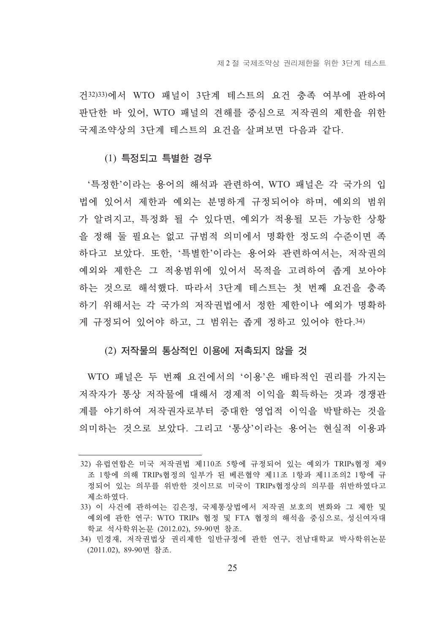건32)33)에서 WTO 패널이 3다계 테스트의 요건 충족 여부에 관하여 판단한 바 있어, WTO 패널의 견해를 중심으로 저작권의 제한을 위한 국제조약상의 3단계 테스트의 요건을 살펴보면 다음과 같다.

#### (1) 특정되고 특별한 경우

'특정한'이라는 용어의 해석과 관련하여, WTO 패널은 각 국가의 입 법에 있어서 제한과 예외는 분명하게 규정되어야 하며, 예외의 범위 가 알려지고, 특정화 될 수 있다면, 예외가 적용될 모든 가능한 상황 을 정해 둘 필요는 없고 규범적 의미에서 명확한 정도의 수준이면 족 하다고 보았다. 또한, '특별한'이라는 용어와 관련하여서는, 저작권의 예외와 제한은 그 적용범위에 있어서 목적을 고려하여 좁게 보아야 하는 것으로 해석했다. 따라서 3단계 테스트는 첫 번째 요건을 충족 하기 위해서는 각 국가의 저작권법에서 정한 제한이나 예외가 명확하 게 규정되어 있어야 하고, 그 범위는 좁게 정하고 있어야 한다. 34)

#### (2) 저작물의 통상적인 이용에 저촉되지 않을 것

WTO 패널은 두 번째 요거에서의 '이용'은 배타적이 권리를 가지는 저작자가 통상 저작물에 대해서 경제적 이익을 획득하는 것과 경쟁관 계를 야기하여 저작권자로부터 중대한 영업적 이익을 박탈하는 것을 의미하는 것으로 보았다. 그리고 '통상'이라는 용어는 현실적 이용과

<sup>32)</sup> 유럽연합은 미국 저작권법 제110조 5항에 규정되어 있는 예외가 TRIPs협정 제9 조 1항에 의해 TRIPs협정의 일부가 된 베른협약 제11조 1항과 제11조의2 1항에 규 정되어 있는 의무를 위반한 것이므로 미국이 TRIPs협정상의 의무를 위반하였다고 제소하였다.

<sup>33)</sup> 이 사건에 관하여는 김은정, 국제통상법에서 저작권 보호의 변화와 그 제한 및 예외에 관한 연구: WTO TRIPs 협정 및 FTA 협정의 해석을 중심으로, 성신여자대 학교 석사학위논문 (2012.02), 59-90면 참조.

<sup>34)</sup> 민경재, 저작권법상 권리제한 일반규정에 관한 연구, 전남대학교 박사학위논문 (2011.02), 89-90면 참조.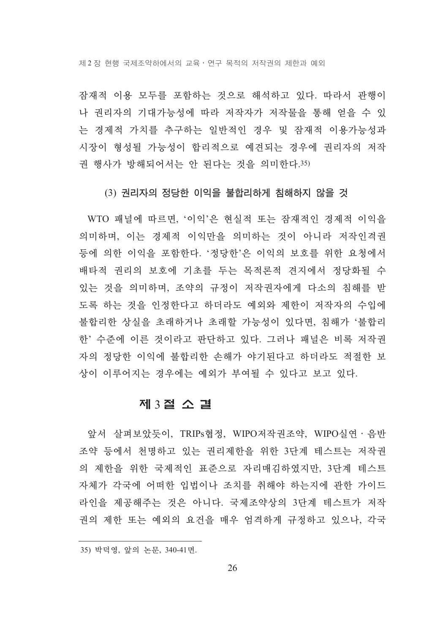제 2 장 현행 국제조약하에서의 교육 • 연구 목적의 저작권의 제한과 예외

잠재적 이용 모두를 포함하는 것으로 해석하고 있다. 따라서 관행이 나 권리자의 기대가능성에 따라 저작자가 저작물을 통해 얻을 수 있 는 경제적 가치를 추구하는 일반적인 경우 및 잠재적 이용가능성과 시장이 형성될 가능성이 합리적으로 예견되는 경우에 권리자의 저작 권 행사가 방해되어서는 안 된다는 것을 의미한다.35)

#### (3) 권리자의 정당한 이익을 불합리하게 침해하지 않을 것

WTO 패널에 따르면, '이익'은 현실적 또는 잠재적인 경제적 이익을 의미하며, 이는 경제적 이익만을 의미하는 것이 아니라 저작인격권 등에 의한 이익을 포함한다. '정당한'은 이익의 보호를 위한 요청에서 배타적 권리의 보호에 기초를 두는 목적론적 견지에서 정당화될 수 있는 것을 의미하며, 조약의 규정이 저작권자에게 다소의 침해를 받 도록 하는 것을 인정한다고 하더라도 예외와 제한이 저작자의 수입에 불합리한 상실을 초래하거나 초래할 가능성이 있다면, 침해가 '불합리 한'수준에 이른 것이라고 판단하고 있다. 그러나 패널은 비록 저작권 자의 정당한 이익에 불합리한 손해가 야기된다고 하더라도 적절한 보 상이 이루어지는 경우에는 예외가 부여될 수 있다고 보고 있다.

#### 제 3절 소 결

앞서 살펴보았듯이, TRIPs협정, WIPO저작권조약, WIPO실여 · 음반 조약 등에서 처명하고 있는 권리제한을 위한 3단계 테스트는 저작권 의 제한을 위한 국제적인 표준으로 자리매김하였지만, 3단계 테스트 자체가 각국에 어떠한 입법이나 조치를 취해야 하는지에 관한 가이드 라인을 제공해주는 것은 아니다. 국제조약상의 3단계 테스트가 저작 권의 제한 또는 예외의 요건을 매우 엄격하게 규정하고 있으나, 각국

<sup>35)</sup> 박덕영, 앞의 논문, 340-41면.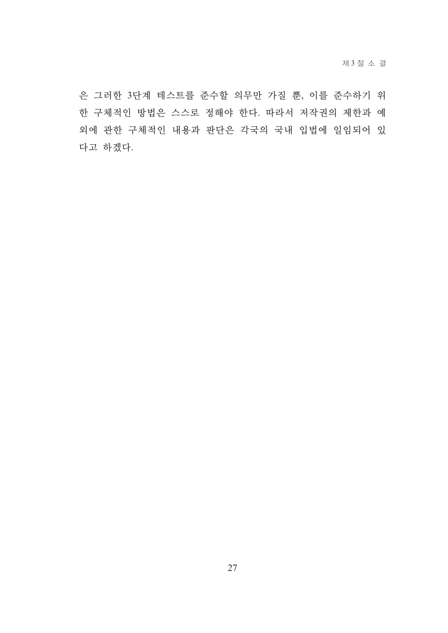은 그러한 3단계 테스트를 준수할 의무만 가질 뿐, 이를 준수하기 위 한 구체적인 방법은 스스로 정해야 한다. 따라서 저작권의 제한과 예 외에 관한 구체적인 내용과 판단은 각국의 국내 입법에 일임되어 있 다고 하겠다.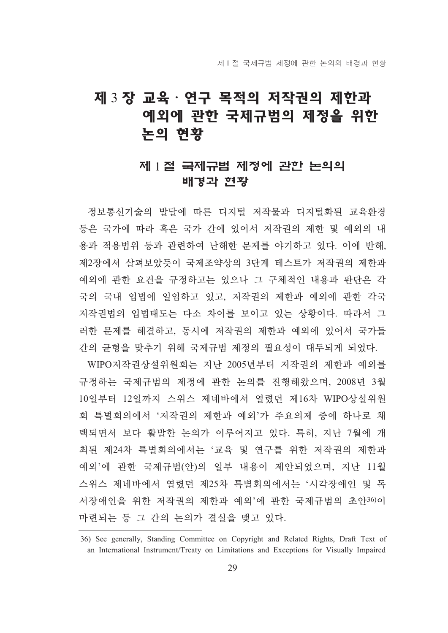## 제 3 장 교육 · 연구 목적의 저작권의 제한과 예외에 관한 국제규범의 제정을 위한 논의 현황

## 제 1절 국제규범 제정에 관한 논의의 배경과 현황

정보통시기술의 발달에 따른 디지털 저작물과 디지털화된 교육화경 등은 국가에 따라 혹은 국가 간에 있어서 저작권의 제한 및 예외의 내 용과 적용범위 등과 관련하여 난해한 문제를 야기하고 있다. 이에 반해, 제2장에서 살펴보았듯이 국제조약상의 3단계 테스트가 저작권의 제한과 예외에 관한 요건을 규정하고는 있으나 그 구체적인 내용과 판단은 각 국의 국내 입법에 일임하고 있고, 저작권의 제한과 예외에 관한 각국 저작권법의 입법태도는 다소 차이를 보이고 있는 상황이다. 따라서 그 러한 문제를 해결하고, 동시에 저작권의 제한과 예외에 있어서 국가들 간의 균형을 맞추기 위해 국제규범 제정의 필요성이 대두되게 되었다.

WIPO저작권상설위원회는 지난 2005년부터 저작권의 제한과 예외를 규정하는 국제규범의 제정에 관한 논의를 진행해왔으며, 2008년 3월 10일부터 12일까지 스위스 제네바에서 열렸던 제16차 WIPO상설위원 회 특별회의에서 '저작권의 제한과 예외'가 주요의제 중에 하나로 채 택되면서 보다 활발한 논의가 이루어지고 있다. 특히, 지난 7월에 개 최된 제24차 특별회의에서는 '교육 및 연구를 위한 저작권의 제한과 예외'에 관한 국제규범(안)의 일부 내용이 제안되었으며, 지난 11월 스위스 제네바에서 열렸던 제25차 특별회의에서는 '시각장애인 및 독 서장애인을 위한 저작권의 제한과 예외'에 관한 국제규범의 초안36)이 마련되는 등 그 간의 논의가 결실을 맺고 있다.

<sup>36)</sup> See generally, Standing Committee on Copyright and Related Rights, Draft Text of an International Instrument/Treaty on Limitations and Exceptions for Visually Impaired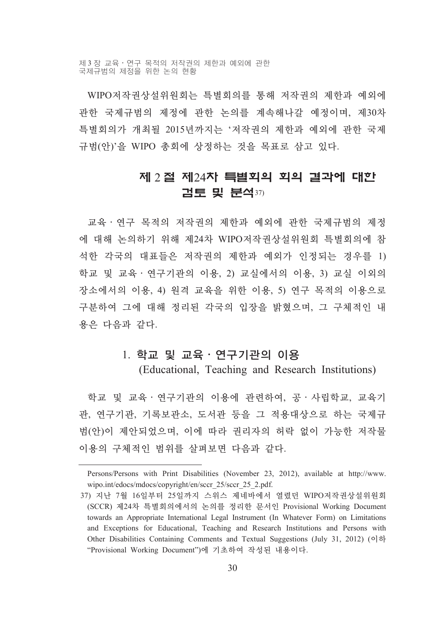WIPO저작권상설위원회는 특별회의를 통해 저작권의 제한과 예외에 관한 국제규범의 제정에 관한 논의를 계속해나갈 예정이며, 제30차 특별회의가 개최될 2015년까지는 '저작권의 제한과 예외에 관한 국제 규범(안)'을 WIPO 총회에 상정하는 것을 목표로 삼고 있다.

### 제 2 절 제24차 특별회의 회의 결과에 대한 검토 및 분석37)

교육 · 연구 목적의 저작권의 제한과 예외에 관한 국제규범의 제정 에 대해 논의하기 위해 제24차 WIPO저작권상설위원회 특별회의에 참 석한 각국의 대표들은 저작권의 제한과 예외가 인정되는 경우를 1) 학교 및 교육·연구기관의 이용, 2) 교실에서의 이용, 3) 교실 이외의 장소에서의 이용, 4) 원격 교육을 위한 이용, 5) 연구 목적의 이용으로 구분하여 그에 대해 정리된 각국의 입장을 밝혔으며, 그 구체적인 내 용은 다음과 같다.

#### 1. 학교 및 교육 · 연구기관의 이용

(Educational, Teaching and Research Institutions)

학교 및 교육·연구기관의 이용에 관련하여, 공·사립학교, 교육기 관, 연구기관, 기록보관소, 도서관 등을 그 적용대상으로 하는 국제규 범(안)이 제안되었으며, 이에 따라 권리자의 허락 없이 가능한 저작물 이용의 구체적인 범위를 살펴보면 다음과 같다.

Persons/Persons with Print Disabilities (November 23, 2012), available at http://www. wipo.int/edocs/mdocs/copyright/en/sccr 25/sccr 25 2.pdf.

<sup>37)</sup> 지난 7월 16일부터 25일까지 스위스 제네바에서 열렸던 WIPO저작권상설위원회 (SCCR) 제24차 특별회의에서의 논의를 정리한 문서인 Provisional Working Document towards an Appropriate International Legal Instrument (In Whatever Form) on Limitations and Exceptions for Educational, Teaching and Research Institutions and Persons with Other Disabilities Containing Comments and Textual Suggestions (July 31, 2012)  $\left( \circ \right)$ "Provisional Working Document")에 기초하여 작성된 내용이다.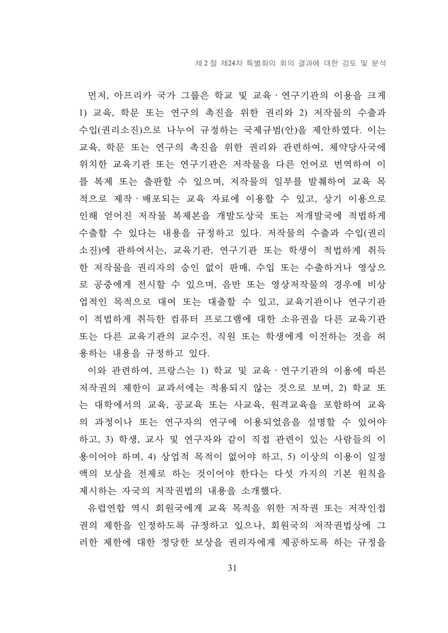먼저, 아프리카 국가 그룹은 학교 및 교육 · 연구기관의 이용을 크게 1) 교육, 학문 또는 연구의 촉진을 위한 권리와 2) 저작물의 수출과 수입(권리소진)으로 나누어 규정하는 국제규범(안)을 제안하였다. 이는 교육, 학문 또는 연구의 촉진을 위한 권리와 관련하여, 체약당사국에 위치한 교육기관 또는 연구기관은 저작물을 다른 언어로 번역하여 이 를 복제 또는 출판할 수 있으며, 저작물의 일부를 발췌하여 교육 목 적으로 제작·배포되는 교육 자료에 이용할 수 있고, 상기 이용으로 인해 얻어진 저작물 복제본을 개발도상국 또는 저개발국에 적법하게 수출할 수 있다는 내용을 규정하고 있다. 저작물의 수출과 수입(권리 소진)에 관하여서는, 교육기관, 연구기관 또는 학생이 적법하게 취득 한 저작물을 권리자의 승인 없이 판매, 수입 또는 수출하거나 영상으 로 공중에게 전시할 수 있으며, 음반 또는 영상저작물의 경우에 비상 업적인 목적으로 대여 또는 대출할 수 있고, 교육기관이나 연구기관 이 적법하게 취득한 컴퓨터 프로그램에 대한 소유권을 다른 교육기관 또는 다른 교육기관의 교수진, 직원 또는 학생에게 이전하는 것을 허 용하는 내용을 규정하고 있다.

이와 관련하여, 프랑스는 1) 학교 및 교육 · 연구기관의 이용에 따른 저작권의 제한이 교과서에는 적용되지 않는 것으로 보며, 2) 학교 또 는 대학에서의 교육, 공교육 또는 사교육, 원격교육을 포함하여 교육 의 과정이나 또는 연구자의 연구에 이용되었음을 설명할 수 있어야 하고, 3) 학생, 교사 및 연구자와 같이 직접 관련이 있는 사람들의 이 용이어야 하며, 4) 상업적 목적이 없어야 하고, 5) 이상의 이용이 일정 액의 보상을 전제로 하는 것이어야 한다는 다섯 가지의 기본 워칙을 제시하는 자국의 저작권법의 내용을 소개했다.

유럽연합 역시 회원국에게 교육 목적을 위한 저작권 또는 저작인접 권의 제한을 인정하도록 규정하고 있으나, 회원국의 저작권법상에 그 러한 제한에 대한 정당한 보상을 권리자에게 제공하도록 하는 규정을

31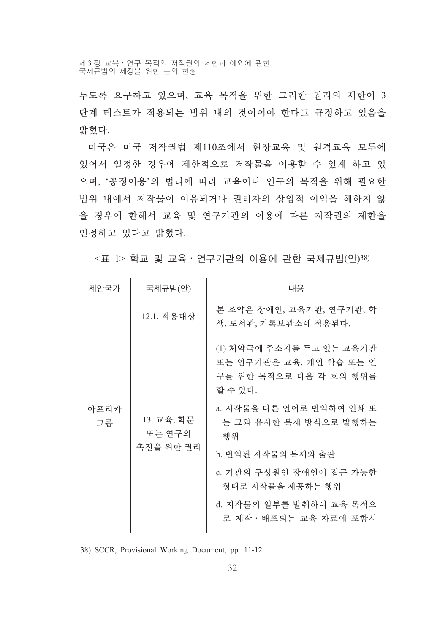제 3 장 교육 • 연구 목적의 저작권의 제한과 예외에 관한 국제규범의 제정을 위한 논의 현황

두도록 요구하고 있으며, 교육 목적을 위한 그러한 권리의 제한이 3 단계 테스트가 적용되는 범위 내의 것이어야 한다고 규정하고 있음을 밝혔다.

미국은 미국 저작권법 제110조에서 현장교육 및 원격교육 모두에 있어서 일정한 경우에 제한적으로 저작물을 이용할 수 있게 하고 있 으며, '공정이용'의 법리에 따라 교육이나 연구의 목적을 위해 필요한 범위 내에서 저작물이 이용되거나 권리자의 상업적 이익을 해하지 않 을 경우에 한해서 교육 및 연구기관의 이용에 따른 저작권의 제한을 인정하고 있다고 밝혔다.

<표 1> 학교 및 교육 · 연구기관의 이용에 관한 국제규범(안)38)

| 제안국가                                                          | 국제규범(안)                                          | 내용                                                                                       |
|---------------------------------------------------------------|--------------------------------------------------|------------------------------------------------------------------------------------------|
| 12.1. 적용대상<br>아프리카<br>13. 교육, 학문<br>그룹<br>또는 연구의<br>촉진을 위한 권리 | 본 조약은 장애인, 교육기관, 연구기관, 학<br>생, 도서관, 기록보관소에 적용된다. |                                                                                          |
|                                                               |                                                  | (1) 체약국에 주소지를 두고 있는 교육기관<br>또는 연구기관은 교육, 개인 학습 또는 연<br>구를 위한 목적으로 다음 각 호의 행위를<br>할 수 있다. |
|                                                               |                                                  | a. 저작물을 다른 언어로 번역하여 인쇄 또<br>는 그와 유사한 복제 방식으로 발행하는<br>행위                                  |
|                                                               |                                                  | b. 번역된 저작물의 복제와 출판                                                                       |
|                                                               |                                                  | c. 기관의 구성원인 장애인이 접근 가능한<br>형태로 저작물을 제공하는 행위                                              |
|                                                               |                                                  | d. 저작물의 일부를 발췌하여 교육 목적으<br>로 제작ㆍ배포되는 교육 자료에 포함시                                          |

38) SCCR, Provisional Working Document, pp. 11-12.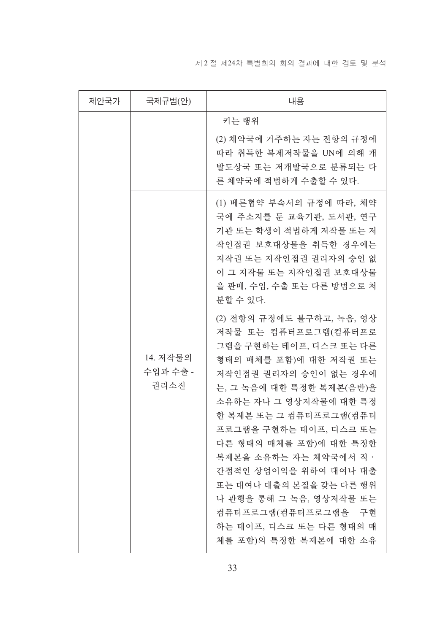#### 제 2 절 제24차 특별회의 회의 결과에 대한 검토 및 분석

| 제안국가 | 국제규범(안)                      | 내용                                                                                                                                                                                                                                                                                                                                                                                                                                                       |
|------|------------------------------|----------------------------------------------------------------------------------------------------------------------------------------------------------------------------------------------------------------------------------------------------------------------------------------------------------------------------------------------------------------------------------------------------------------------------------------------------------|
|      |                              | 키는 행위<br>(2) 체약국에 거주하는 자는 전항의 규정에<br>따라 취득한 복제저작물을 UN에 의해 개                                                                                                                                                                                                                                                                                                                                                                                              |
|      |                              | 발도상국 또는 저개발국으로 분류되는 다<br>른 체약국에 적법하게 수출할 수 있다.                                                                                                                                                                                                                                                                                                                                                                                                           |
|      |                              | (1) 베른협약 부속서의 규정에 따라, 체약<br>국에 주소지를 둔 교육기관, 도서관, 연구<br>기관 또는 학생이 적법하게 저작물 또는 저<br>작인접권 보호대상물을 취득한 경우에는<br>저작권 또는 저작인접권 권리자의 승인 없<br>이 그 저작물 또는 저작인접권 보호대상물<br>을 판매, 수입, 수출 또는 다른 방법으로 처<br>분할 수 있다.                                                                                                                                                                                                                                                      |
|      | 14. 저작물의<br>수입과 수출 -<br>권리소진 | (2) 전항의 규정에도 불구하고, 녹음, 영상<br>저작물 또는 컴퓨터프로그램(컴퓨터프로<br>그램을 구현하는 테이프, 디스크 또는 다른<br>형태의 매체를 포함)에 대한 저작권 또는<br>저작인접권 권리자의 승인이 없는 경우에<br>는, 그 녹음에 대한 특정한 복제본(음반)을<br>소유하는 자나 그 영상저작물에 대한 특정<br>한 복제본 또는 그 컴퓨터프로그램(컴퓨터<br>프로그램을 구현하는 테이프, 디스크 또는<br>다른 형태의 매체를 포함)에 대한 특정한<br>복제본을 소유하는 자는 체약국에서 직 ·<br>간접적인 상업이익을 위하여 대여나 대출<br>또는 대여나 대출의 본질을 갖는 다른 행위<br>나 관행을 통해 그 녹음, 영상저작물 또는<br>컴퓨터프로그램(컴퓨터프로그램을 구현<br>하는 테이프, 디스크 또는 다른 형태의 매<br>체를 포함)의 특정한 복제본에 대한 소유 |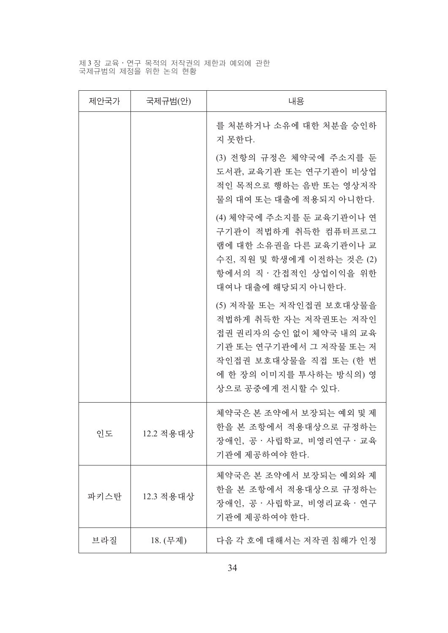## 제3장 교육·연구 목적의 저작권의 제한과 예외에 관한<br>국제규범의 제정을 위한 논의 현황

| 제안국가 | 국제규범(안)   | 내용                                                                                                                                                                                |
|------|-----------|-----------------------------------------------------------------------------------------------------------------------------------------------------------------------------------|
|      |           | 를 처분하거나 소유에 대한 처분을 승인하<br>지 못한다.                                                                                                                                                  |
|      |           | (3) 전항의 규정은 체약국에 주소지를 둔<br>도서관, 교육기관 또는 연구기관이 비상업<br>적인 목적으로 행하는 음반 또는 영상저작<br>물의 대여 또는 대출에 적용되지 아니한다.                                                                            |
|      |           | (4) 체약국에 주소지를 둔 교육기관이나 연<br>구기관이 적법하게 취득한 컴퓨터프로그<br>램에 대한 소유권을 다른 교육기관이나 교<br>수진, 직원 및 학생에게 이전하는 것은 (2)<br>항에서의 직·간접적인 상업이익을 위한<br>대여나 대출에 해당되지 아니한다.                             |
|      |           | (5) 저작물 또는 저작인접권 보호대상물을<br>적법하게 취득한 자는 저작권또는 저작인<br>접권 권리자의 승인 없이 체약국 내의 교육<br>기관 또는 연구기관에서 그 저작물 또는 저<br>작인접권 보호대상물을 직접 또는 (한 번<br>에 한 장의 이미지를 투사하는 방식의) 영<br>상으로 공중에게 전시할 수 있다. |
| 인도   | 12.2 적용대상 | 체약국은 본 조약에서 보장되는 예외 및 제<br>한을 본 조항에서 적용대상으로 규정하는<br>장애인, 공 · 사립학교, 비영리연구 · 교육<br>기관에 제공하여야 한다.                                                                                    |
| 파키스탄 | 12.3 적용대상 | 체약국은 본 조약에서 보장되는 예외와 제<br>한을 본 조항에서 적용대상으로 규정하는<br>장애인, 공 · 사립학교, 비영리교육 · 연구<br>기관에 제공하여야 한다.                                                                                     |
| 브라질  | 18. (무제)  | 다음 각 호에 대해서는 저작권 침해가 인정                                                                                                                                                           |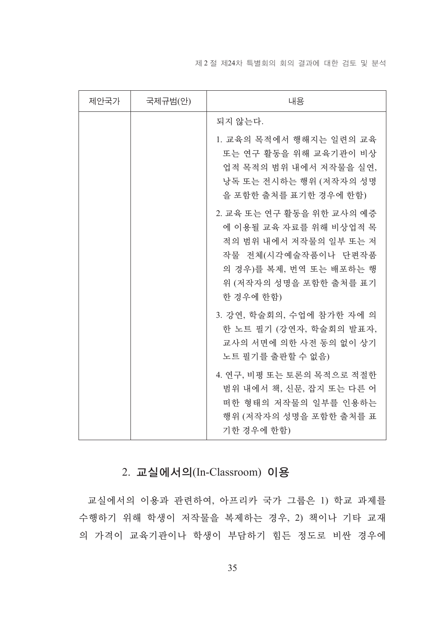#### 제 2 절 제 24차 특별회의 회의 결과에 대한 검토 및 분석

| 제안국가 | 국제규범(안) | 내용                                                                                                                                                                     |
|------|---------|------------------------------------------------------------------------------------------------------------------------------------------------------------------------|
|      |         | 되지 않는다.                                                                                                                                                                |
|      |         | 1. 교육의 목적에서 행해지는 일련의 교육<br>또는 연구 활동을 위해 교육기관이 비상<br>업적 목적의 범위 내에서 저작물을 실연,<br>낭독 또는 전시하는 행위 (저작자의 성명<br>을 포함한 출처를 표기한 경우에 한함)                                          |
|      |         | 2. 교육 또는 연구 활동을 위한 교사의 예증<br>에 이용될 교육 자료를 위해 비상업적 목<br>적의 범위 내에서 저작물의 일부 또는 저<br>작물 전체(시각예술작품이나 단편작품<br>의 경우)를 복제, 번역 또는 배포하는 행<br>위 (저작자의 성명을 포함한 출처를 표기<br>한 경우에 한함) |
|      |         | 3. 강연, 학술회의, 수업에 참가한 자에 의<br>한 노트 필기 (강연자, 학술회의 발표자,<br>교사의 서면에 의한 사전 동의 없이 상기<br>노트 필기를 출판할 수 없음)                                                                     |
|      |         | 4. 연구, 비평 또는 토론의 목적으로 적절한<br>범위 내에서 책, 신문, 잡지 또는 다른 어<br>떠한 형태의 저작물의 일부를 인용하는<br>행위 (저작자의 성명을 포함한 출처를 표<br>기한 경우에 한함)                                                  |

## 2. 교실에서의(In-Classroom) 이용

교실에서의 이용과 관련하여, 아프리카 국가 그룹은 1) 학교 과제를 수행하기 위해 학생이 저작물을 복제하는 경우, 2) 책이나 기타 교재 의 가격이 교육기관이나 학생이 부담하기 힘든 정도로 비싼 경우에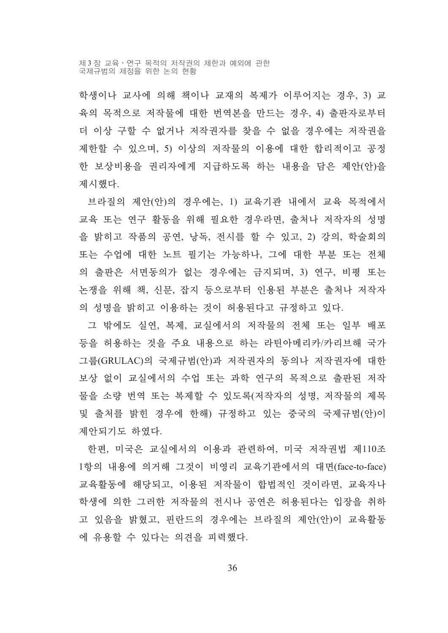제 3 장 교육 · 연구 목적의 저작권의 제한과 예외에 관한 국제규범의 제정을 위한 논의 현황

학생이나 교사에 의해 책이나 교재의 복제가 이루어지는 경우, 3) 교 육의 목적으로 저작물에 대한 번역본을 만드는 경우, 4) 출판자로부터 더 이상 구할 수 없거나 저작권자를 찾을 수 없을 경우에는 저작권을 제한할 수 있으며, 5) 이상의 저작물의 이용에 대한 합리적이고 공정 한 보상비용을 권리자에게 지급하도록 하는 내용을 담은 제안(안)을 제시했다.

브라질의 제안(안)의 경우에는, 1) 교육기관 내에서 교육 목적에서 교육 또는 연구 활동을 위해 필요한 경우라면, 출처나 저작자의 성명 을 밝히고 작품의 공연, 낭독, 전시를 할 수 있고, 2) 강의, 학술회의 또는 수업에 대한 노트 필기는 가능하나, 그에 대한 부분 또는 전체 의 출판은 서면동의가 없는 경우에는 금지되며, 3) 연구, 비평 또는 논쟁을 위해 책, 신문, 잡지 등으로부터 인용된 부분은 출처나 저작자 의 성명을 밝히고 이용하는 것이 허용된다고 규정하고 있다.

그 밖에도 실연, 복제, 교실에서의 저작물의 전체 또는 일부 배포 등을 허용하는 것을 주요 내용으로 하는 라틴아메리카/카리브해 국가 그룹(GRULAC)의 국제규범(안)과 저작권자의 동의나 저작권자에 대한 보상 없이 교실에서의 수업 또는 과학 연구의 목적으로 출판된 저작 물을 소량 번역 또는 복제할 수 있도록(저작자의 성명, 저작물의 제목 및 출처를 밝힌 경우에 한해) 규정하고 있는 중국의 국제규범(안)이 제안되기도 하였다.

한편, 미국은 교실에서의 이용과 관련하여, 미국 저작권법 제110조 1항의 내용에 의거해 그것이 비영리 교육기관에서의 대면(face-to-face) 교육활동에 해당되고, 이용된 저작물이 합법적인 것이라면, 교육자나 학생에 의한 그러한 저작물의 전시나 공연은 허용된다는 입장을 취하 고 있음을 밝혔고, 핀란드의 경우에는 브라질의 제안(안)이 교육활동 에 유용할 수 있다는 의견을 피력했다.

36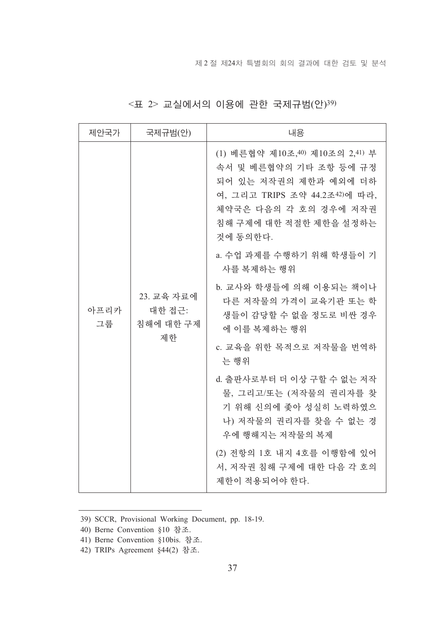|  | $\leq$ 표 2> 교실에서의 이용에 관한 국제규범(안)39) |  |  |  |  |
|--|-------------------------------------|--|--|--|--|
|--|-------------------------------------|--|--|--|--|

| 제안국가                                                  | 국제규범(안)                                                                                                                                                                              | 내용                                                                     |
|-------------------------------------------------------|--------------------------------------------------------------------------------------------------------------------------------------------------------------------------------------|------------------------------------------------------------------------|
| 23. 교육 자료에<br>아프리카<br>대한 접근:<br>그룹<br>침해에 대한 구제<br>제한 | (1) 베른협약 제10조, 40) 제10조의 2, 41) 부<br>속서 및 베른협약의 기타 조항 등에 규정<br>되어 있는 저작권의 제한과 예외에 더하<br>여, 그리고 TRIPS 조약 44.2조42)에 따라,<br>체약국은 다음의 각 호의 경우에 저작권<br>침해 구제에 대한 적절한 제한을 설정하는<br>것에 동의한다. |                                                                        |
|                                                       | a. 수업 과제를 수행하기 위해 학생들이 기<br>사를 복제하는 행위                                                                                                                                               |                                                                        |
|                                                       | b. 교사와 학생들에 의해 이용되는 책이나<br>다른 저작물의 가격이 교육기관 또는 학<br>생들이 감당할 수 없을 정도로 비싼 경우<br>에 이를 복제하는 행위                                                                                           |                                                                        |
|                                                       | c. 교육을 위한 목적으로 저작물을 번역하<br>는 행위                                                                                                                                                      |                                                                        |
|                                                       | d. 출판사로부터 더 이상 구할 수 없는 저작<br>물, 그리고/또는 (저작물의 권리자를 찾<br>기 위해 신의에 좇아 성실히 노력하였으<br>나) 저작물의 권리자를 찾을 수 없는 경<br>우에 행해지는 저작물의 복제                                                            |                                                                        |
|                                                       |                                                                                                                                                                                      | (2) 전항의 1호 내지 4호를 이행함에 있어<br>서, 저작권 침해 구제에 대한 다음 각 호의<br>제한이 적용되어야 한다. |

<sup>39)</sup> SCCR, Provisional Working Document, pp. 18-19.

<sup>40)</sup> Berne Convention §10 참조.

<sup>41)</sup> Berne Convention §10bis. 참조.

<sup>42)</sup> TRIPs Agreement §44(2) 참조.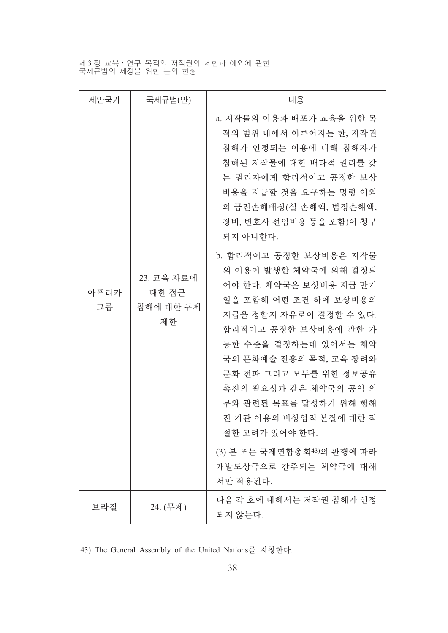제 3 장 교육·연구 목적의 저작권의 제한과 예외에 관한<br>국제규범의 제정을 위한 논의 현황

| 제안국가       | 국제규범(안)                                 | 내용                                                                                                                                                                                                                                                                                                                                                                                                                                                                                                                                                                                                                       |
|------------|-----------------------------------------|--------------------------------------------------------------------------------------------------------------------------------------------------------------------------------------------------------------------------------------------------------------------------------------------------------------------------------------------------------------------------------------------------------------------------------------------------------------------------------------------------------------------------------------------------------------------------------------------------------------------------|
| 아프리카<br>그룹 | 23. 교육 자료에<br>대한 접근:<br>침해에 대한 구제<br>제한 | a. 저작물의 이용과 배포가 교육을 위한 목<br>적의 범위 내에서 이루어지는 한, 저작권<br>침해가 인정되는 이용에 대해 침해자가<br>침해된 저작물에 대한 배타적 권리를 갖<br>는 권리자에게 합리적이고 공정한 보상<br>비용을 지급할 것을 요구하는 명령 이외<br>의 금전손해배상(실 손해액, 법정손해액,<br>경비, 변호사 선임비용 등을 포함)이 청구<br>되지 아니한다.<br>b. 합리적이고 공정한 보상비용은 저작물<br>의 이용이 발생한 체약국에 의해 결정되<br>어야 한다. 체약국은 보상비용 지급 만기<br>일을 포함해 어떤 조건 하에 보상비용의<br>지급을 정할지 자유로이 결정할 수 있다.<br>합리적이고 공정한 보상비용에 관한 가<br>능한 수준을 결정하는데 있어서는 체약<br>국의 문화예술 진흥의 목적, 교육 장려와<br>문화 전파 그리고 모두를 위한 정보공유<br>촉진의 필요성과 같은 체약국의 공익 의<br>무와 관련된 목표를 달성하기 위해 행해<br>진 기관 이용의 비상업적 본질에 대한 적<br>절한 고려가 있어야 한다.<br>(3) 본 조는 국제연합총회43)의 관행에 따라<br>개발도상국으로 간주되는 체약국에 대해<br>서만 적용된다. |
| 브라질        | 24. (무제)                                | 다음 각 호에 대해서는 저작권 침해가 인정<br>되지 않는다.                                                                                                                                                                                                                                                                                                                                                                                                                                                                                                                                                                                       |

<sup>43)</sup> The General Assembly of the United Nations를 지칭한다.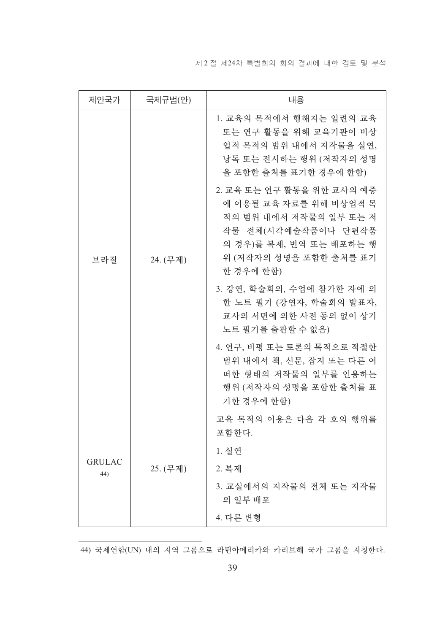제 2 절 제24차 특별회의 회의 결과에 대한 검토 및 분석

| 제안국가                             | 국제규범(안)                                                                                                                                                                | 내용                                                                                                                            |
|----------------------------------|------------------------------------------------------------------------------------------------------------------------------------------------------------------------|-------------------------------------------------------------------------------------------------------------------------------|
| 24. (무제)<br>브라질                  |                                                                                                                                                                        | 1. 교육의 목적에서 행해지는 일련의 교육<br>또는 연구 활동을 위해 교육기관이 비상<br>업적 목적의 범위 내에서 저작물을 실연,<br>낭독 또는 전시하는 행위 (저작자의 성명<br>을 포함한 출처를 표기한 경우에 한함) |
|                                  | 2. 교육 또는 연구 활동을 위한 교사의 예증<br>에 이용될 교육 자료를 위해 비상업적 목<br>적의 범위 내에서 저작물의 일부 또는 저<br>작물 전체(시각예술작품이나 단편작품<br>의 경우)를 복제, 번역 또는 배포하는 행<br>위 (저작자의 성명을 포함한 출처를 표기<br>한 경우에 한함) |                                                                                                                               |
|                                  | 3. 강연, 학술회의, 수업에 참가한 자에 의<br>한 노트 필기 (강연자, 학술회의 발표자,<br>교사의 서면에 의한 사전 동의 없이 상기<br>노트 필기를 출판할 수 없음)                                                                     |                                                                                                                               |
|                                  | 4. 연구, 비평 또는 토론의 목적으로 적절한<br>범위 내에서 책, 신문, 잡지 또는 다른 어<br>떠한 형태의 저작물의 일부를 인용하는<br>행위 (저작자의 성명을 포함한 출처를 표<br>기한 경우에 한함)                                                  |                                                                                                                               |
| <b>GRULAC</b><br>25. (무제)<br>44) |                                                                                                                                                                        | 교육 목적의 이용은 다음 각 호의 행위를<br>포함한다.                                                                                               |
|                                  |                                                                                                                                                                        | 1. 실연                                                                                                                         |
|                                  |                                                                                                                                                                        | 2. 복제                                                                                                                         |
|                                  |                                                                                                                                                                        | 3. 교실에서의 저작물의 전체 또는 저작물<br>의 일부 배포                                                                                            |
|                                  |                                                                                                                                                                        | 4. 다른 변형                                                                                                                      |

44) 국제연합(UN) 내의 지역 그룹으로 라틴아메리카와 카리브해 국가 그룹을 지칭한다.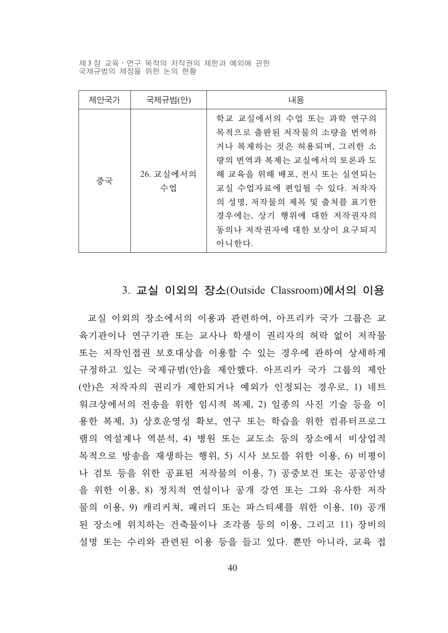제 3 장 교육 · 연구 목적의 저작권의 제한과 예외에 관한 국제규범의 제정을 위한 논의 현황

| 제안국가 | 국제규범(안)         | 내용                                                                                                                                                                                                                                            |
|------|-----------------|-----------------------------------------------------------------------------------------------------------------------------------------------------------------------------------------------------------------------------------------------|
| 중국   | 26. 교실에서의<br>수업 | 학교 교실에서의 수업 또는 과학 연구의<br>목적으로 출판된 저작물의 소량을 번역하<br>거나 복제하는 것은 허용되며, 그러한 소<br>량의 번역과 복제는 교실에서의 토론과 도<br>해 교육을 위해 배포, 전시 또는 실연되는<br>교실 수업자료에 편입될 수 있다. 저작자<br>의 성명, 저작물의 제목 및 출처를 표기한<br>경우에는, 상기 행위에 대한 저작권자의<br>동의나 저작권자에 대한 보상이 요구되지<br>아니한다. |

#### 3. 교실 이외의 장소(Outside Classroom)에서의 이용

교실 이외의 장소에서의 이용과 관련하여, 아프리카 국가 그룹은 교 육기관이나 연구기관 또는 교사나 학생이 권리자의 허락 없이 저작물 또는 저작인접권 보호대상을 이용할 수 있는 경우에 관하여 상세하게 규정하고 있는 국제규범(안)을 제안했다. 아프리카 국가 그룹의 제안 (안)은 저작자의 권리가 제한되거나 예외가 인정되는 경우로, 1) 네트 워크상에서의 전송을 위한 임시적 복제, 2) 일종의 사진 기술 등을 이 용한 복제, 3) 상호운영성 확보, 연구 또는 학습을 위한 컴퓨터프로그 램의 역설계나 역분석, 4) 병원 또는 교도소 등의 장소에서 비상업적 목적으로 방송을 재생하는 행위, 5) 시사 보도를 위한 이용, 6) 비평이 나 검토 등을 위한 공표된 저작물의 이용, 7) 공중보건 또는 공공안녕 을 위한 이용, 8) 정치적 연설이나 공개 강연 또는 그와 유사한 저작 물의 이용, 9) 캐리커쳐, 패러디 또는 파스티셰를 위한 이용, 10) 공개 된 장소에 위치하는 건축물이나 조각품 등의 이용, 그리고 11) 장비의 설명 또는 수리와 관련된 이용 등을 들고 있다. 뿐만 아니라, 교육 접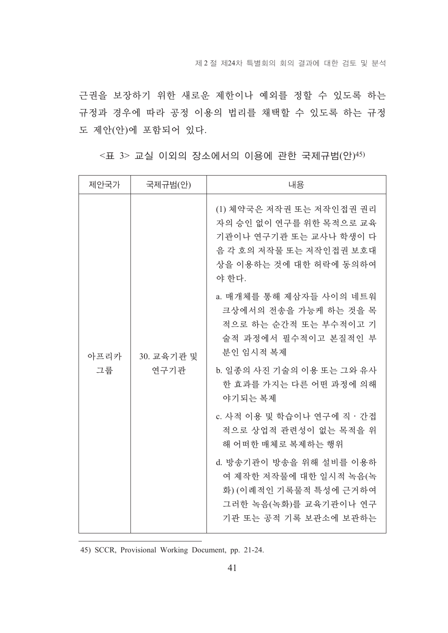근권을 보장하기 위한 새로운 제한이나 예외를 정할 수 있도록 하는 규정과 경우에 따라 공정 이용의 법리를 채택할 수 있도록 하는 규정 도 제안(안)에 포함되어 있다.

| 제안국가       | 국제규범(안)            | 내용                                                                                                                                          |
|------------|--------------------|---------------------------------------------------------------------------------------------------------------------------------------------|
| 아프리카<br>그룹 | 30. 교육기관 및<br>연구기관 | (1) 체약국은 저작권 또는 저작인접권 권리<br>자의 승인 없이 연구를 위한 목적으로 교육<br>기관이나 연구기관 또는 교사나 학생이 다<br>음 각 호의 저작물 또는 저작인접권 보호대<br>상을 이용하는 것에 대한 허락에 동의하여<br>야 한다. |
|            |                    | a. 매개체를 통해 제삼자들 사이의 네트워<br>크상에서의 전송을 가능케 하는 것을 목<br>적으로 하는 순간적 또는 부수적이고 기<br>술적 과정에서 필수적이고 본질적인 부<br>부인 임시적 복제                              |
|            |                    | b. 일종의 사진 기술의 이용 또는 그와 유사<br>한 효과를 가지는 다른 어떤 과정에 의해<br>야기되는 복제                                                                              |
|            |                    | c. 사적 이용 및 학습이나 연구에 직 · 간접<br>적으로 상업적 관련성이 없는 목적을 위<br>해 어떠한 매체로 복제하는 행위                                                                    |
|            |                    | d. 방송기관이 방송을 위해 설비를 이용하<br>여 제작한 저작물에 대한 일시적 녹음(녹<br>화) (이례적인 기록물적 특성에 근거하여<br>그러한 녹음(녹화)를 교육기관이나 연구<br>기관 또는 공적 기록 보관소에 보관하는               |

<표 3> 교실 이외의 장소에서의 이용에 관한 국제규범(안)45)

45) SCCR, Provisional Working Document, pp. 21-24.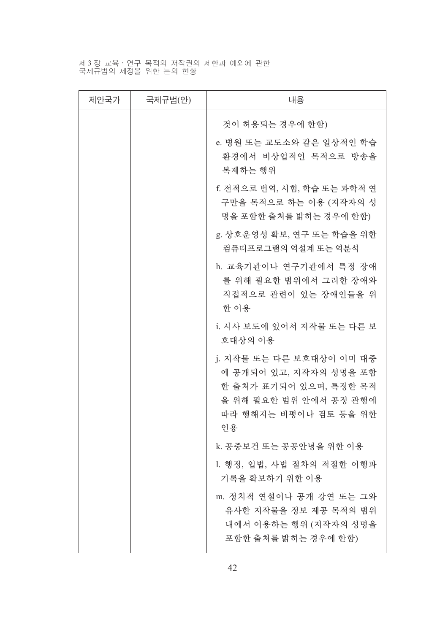# 제3장 교육·연구 목적의 저작권의 제한과 예외에 관한<br>국제규범의 제정을 위한 논의 현황

| 제안국가 | 국제규범(안) | 내용                                                                                                                                    |
|------|---------|---------------------------------------------------------------------------------------------------------------------------------------|
|      |         | 것이 허용되는 경우에 한함)                                                                                                                       |
|      |         | e. 병원 또는 교도소와 같은 일상적인 학습<br>환경에서 비상업적인 목적으로 방송을<br>복제하는 행위                                                                            |
|      |         | f. 전적으로 번역, 시험, 학습 또는 과학적 연<br>구만을 목적으로 하는 이용 (저작자의 성<br>명을 포함한 출처를 밝히는 경우에 한함)                                                       |
|      |         | g. 상호운영성 확보, 연구 또는 학습을 위한<br>컦퓨터프로그램의 역설계 또는 역분석                                                                                      |
|      |         | h. 교육기관이나 연구기관에서 특정 장애<br>를 위해 필요한 범위에서 그러한 장애와<br>직접적으로 관련이 있는 장애인들을 위<br>한 이용                                                       |
|      |         | i. 시사 보도에 있어서 저작물 또는 다른 보<br>호대상의 이용                                                                                                  |
|      |         | j. 저작물 또는 다른 보호대상이 이미 대중<br>에 공개되어 있고, 저작자의 성명을 포함<br>한 출처가 표기되어 있으며, 특정한 목적<br>을 위해 필요한 범위 안에서 공정 관행에<br>따라 행해지는 비평이나 검토 등을 위한<br>인용 |
|      |         | k. 공중보건 또는 공공안녕을 위한 이용                                                                                                                |
|      |         | 1. 행정, 입법, 사법 절차의 적절한 이행과<br>기록을 확보하기 위한 이용                                                                                           |
|      |         | m. 정치적 연설이나 공개 강연 또는 그와<br>유사한 저작물을 정보 제공 목적의 범위<br>내에서 이용하는 행위 (저작자의 성명을<br>포함한 출처를 밝히는 경우에 한함)                                      |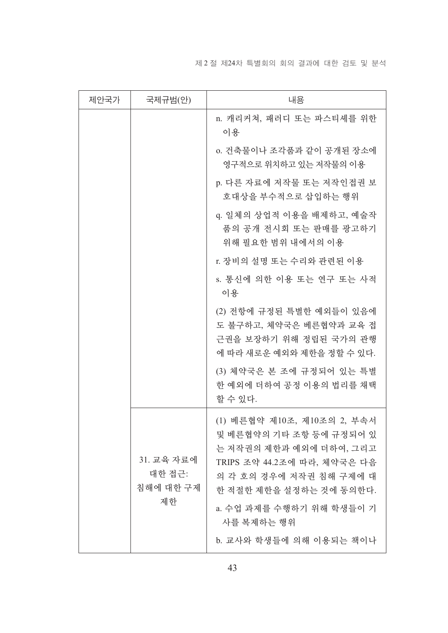제 2 절 제24차 특별회의 회의 결과에 대한 검토 및 분석

| 제안국가 | 국제규범(안)                                 | 내용                                                                                                                                                                                                               |
|------|-----------------------------------------|------------------------------------------------------------------------------------------------------------------------------------------------------------------------------------------------------------------|
|      |                                         | n. 캐리커쳐, 패러디 또는 파스티셰를 위한<br>이용                                                                                                                                                                                   |
|      |                                         | 0. 건축물이나 조각품과 같이 공개된 장소에<br>영구적으로 위치하고 있는 저작물의 이용                                                                                                                                                                |
|      |                                         | p. 다른 자료에 저작물 또는 저작인접권 보<br>호대상을 부수적으로 삽입하는 행위                                                                                                                                                                   |
|      |                                         | q. 일체의 상업적 이용을 배제하고, 예술작<br>품의 공개 전시회 또는 판매를 광고하기<br>위해 필요한 범위 내에서의 이용                                                                                                                                           |
|      |                                         | r. 장비의 설명 또는 수리와 관련된 이용                                                                                                                                                                                          |
|      |                                         | s. 통신에 의한 이용 또는 연구 또는 사적<br>이용                                                                                                                                                                                   |
|      |                                         | (2) 전항에 규정된 특별한 예외들이 있음에<br>도 불구하고, 체약국은 베른협약과 교육 접<br>근권을 보장하기 위해 정립된 국가의 관행<br>에 따라 새로운 예외와 제한을 정할 수 있다.                                                                                                       |
|      |                                         | (3) 체약국은 본 조에 규정되어 있는 특별<br>한 예외에 더하여 공정 이용의 법리를 채택<br>할 수 있다.                                                                                                                                                   |
|      | 31. 교육 자료에<br>대한 접근:<br>침해에 대한 구제<br>제한 | (1) 베른협약 제10조, 제10조의 2, 부속서<br>및 베른협약의 기타 조항 등에 규정되어 있<br>는 저작권의 제한과 예외에 더하여, 그리고<br>TRIPS 조약 44.2조에 따라, 체약국은 다음<br>의 각 호의 경우에 저작권 침해 구제에 대<br>한 적절한 제한을 설정하는 것에 동의한다.<br>a. 수업 과제를 수행하기 위해 학생들이 기<br>사를 복제하는 행위 |
|      |                                         | b. 교사와 학생들에 의해 이용되는 책이나                                                                                                                                                                                          |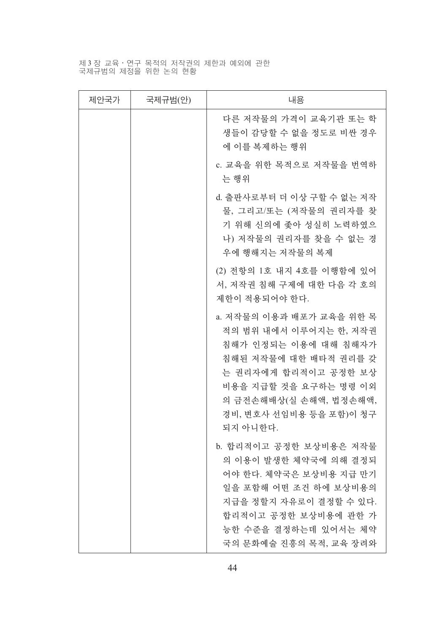# 제3장 교육·연구 목적의 저작권의 제한과 예외에 관한<br>국제규범의 제정을 위한 논의 현황

| 제안국가 | 국제규범(안) | 내용                                                                                                                                                                                                                    |
|------|---------|-----------------------------------------------------------------------------------------------------------------------------------------------------------------------------------------------------------------------|
|      |         | 다른 저작물의 가격이 교육기관 또는 학<br>생들이 감당할 수 없을 정도로 비싼 경우<br>에 이를 복제하는 행위                                                                                                                                                       |
|      |         | c. 교육을 위한 목적으로 저작물을 번역하<br>는 행위                                                                                                                                                                                       |
|      |         | d. 출판사로부터 더 이상 구할 수 없는 저작<br>물, 그리고/또는 (저작물의 권리자를 찾<br>기 위해 신의에 좇아 성실히 노력하였으<br>나) 저작물의 권리자를 찾을 수 없는 경<br>우에 행해지는 저작물의 복제                                                                                             |
|      |         | (2) 전항의 1호 내지 4호를 이행함에 있어<br>서, 저작권 침해 구제에 대한 다음 각 호의<br>제한이 적용되어야 한다.                                                                                                                                                |
|      |         | a. 저작물의 이용과 배포가 교육을 위한 목<br>적의 범위 내에서 이루어지는 한, 저작권<br>침해가 인정되는 이용에 대해 침해자가<br>침해된 저작물에 대한 배타적 권리를 갖<br>는 권리자에게 합리적이고 공정한 보상<br>비용을 지급할 것을 요구하는 명령 이외<br>의 금전손해배상(실 손해액, 법정손해액,<br>경비, 변호사 선임비용 등을 포함)이 청구<br>되지 아니한다. |
|      |         | b. 합리적이고 공정한 보상비용은 저작물<br>의 이용이 발생한 체약국에 의해 결정되<br>어야 한다. 체약국은 보상비용 지급 만기<br>일을 포함해 어떤 조건 하에 보상비용의<br>지급을 정할지 자유로이 결정할 수 있다.<br>합리적이고 공정한 보상비용에 관한 가<br>능한 수준을 결정하는데 있어서는 체약<br>국의 문화예술 진흥의 목적, 교육 장려와                |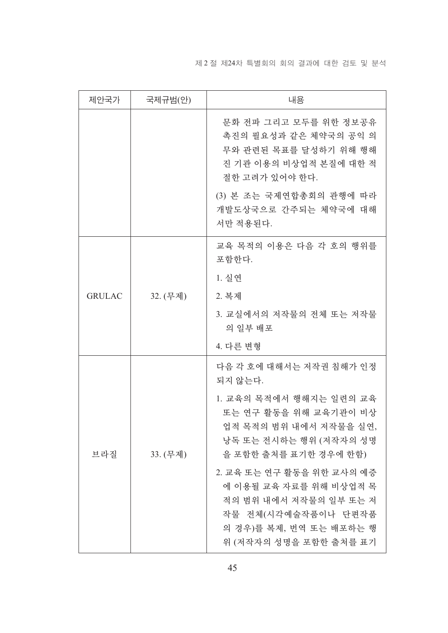#### 제 2 절 제24차 특별회의 회의 결과에 대한 검토 및 분석

| 제안국가          | 국제규범(안)  | 내용                                                                                                                                                                                                             |
|---------------|----------|----------------------------------------------------------------------------------------------------------------------------------------------------------------------------------------------------------------|
|               |          | 문화 전파 그리고 모두를 위한 정보공유<br>촉진의 필요성과 같은 체약국의 공익 의<br>무와 관련된 목표를 달성하기 위해 행해<br>진 기관 이용의 비상업적 본질에 대한 적<br>절한 고려가 있어야 한다.                                                                                            |
|               |          | (3) 본 조는 국제연합총회의 관행에 따라<br>개발도상국으로 간주되는 체약국에 대해<br>서만 적용된다.                                                                                                                                                    |
|               |          | 교육 목적의 이용은 다음 각 호의 행위를<br>포함한다.                                                                                                                                                                                |
|               |          | 1. 실연                                                                                                                                                                                                          |
| <b>GRULAC</b> | 32. (무제) | 2. 복제                                                                                                                                                                                                          |
|               |          | 3. 교실에서의 저작물의 전체 또는 저작물<br>의 일부 배포                                                                                                                                                                             |
|               |          | 4. 다른 변형                                                                                                                                                                                                       |
|               |          | 다음 각 호에 대해서는 저작권 침해가 인정<br>되지 않는다.                                                                                                                                                                             |
| 브라질           | 33. (무제) | 1. 교육의 목적에서 행해지는 일련의 교육<br>또는 연구 활동을 위해 교육기관이 비상<br>업적 목적의 범위 내에서 저작물을 실연,<br>낭독 또는 전시하는 행위 (저작자의 성명<br>을 포함한 출처를 표기한 경우에 한함)<br>2. 교육 또는 연구 활동을 위한 교사의 예증<br>에 이용될 교육 자료를 위해 비상업적 목<br>적의 범위 내에서 저작물의 일부 또는 저 |
|               |          | 작물 전체(시각예술작품이나 단편작품<br>의 경우)를 복제, 번역 또는 배포하는 행<br>위 (저작자의 성명을 포함한 출처를 표기                                                                                                                                       |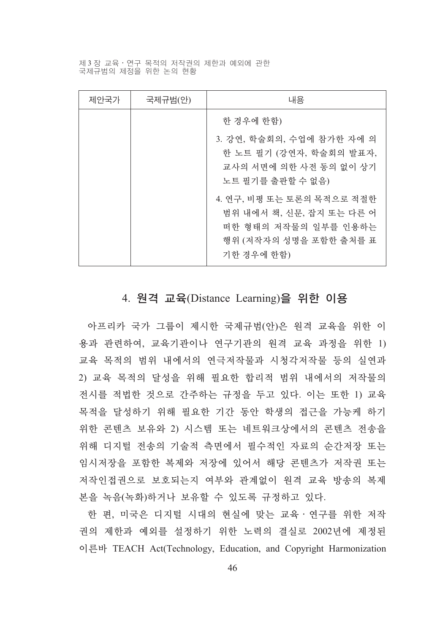제 3 장 교육 • 연구 목적의 저작권의 제한과 예외에 관한 국제규범의 제정을 위한 논의 현황

| 제안국가 | 국제규범(안) | 내용                                                                                                                    |
|------|---------|-----------------------------------------------------------------------------------------------------------------------|
|      |         | 한 경우에 한함)                                                                                                             |
|      |         | 3. 강연, 학술회의, 수업에 참가한 자에 의<br>한 노트 필기 (강연자, 학술회의 발표자,<br>교사의 서면에 의한 사전 동의 없이 상기<br>노트 필기를 출판할 수 없음)                    |
|      |         | 4. 연구, 비평 또는 토론의 목적으로 적절한<br>범위 내에서 책, 신문, 잡지 또는 다른 어<br>떠한 형태의 저작물의 일부를 인용하는<br>행위 (저작자의 성명을 포함한 출처를 표<br>기한 경우에 한함) |

#### 4. 원격 교육(Distance Learning)을 위한 이용

아프리카 국가 그룹이 제시한 국제규범(안)은 원격 교육을 위한 이 용과 관련하여, 교육기관이나 연구기관의 원격 교육 과정을 위한 1) 교육 목적의 범위 내에서의 연극저작물과 시청각저작물 등의 실연과 2) 교육 목적의 달성을 위해 필요한 합리적 범위 내에서의 저작물의 전시를 적법한 것으로 간주하는 규정을 두고 있다. 이는 또한 1) 교육 목적을 달성하기 위해 필요한 기간 동안 학생의 접근을 가능케 하기 위한 콘텐츠 보유와 2) 시스템 또는 네트워크상에서의 콘텐츠 전송을 위해 디지털 전송의 기술적 측면에서 필수적인 자료의 순간저장 또는 임시저장을 포함한 복제와 저장에 있어서 해당 콘텐츠가 저작권 또는 저작인접권으로 보호되는지 여부와 관계없이 원격 교육 방송의 복제 본을 녹음(녹화)하거나 보유할 수 있도록 규정하고 있다.

한 편, 미국은 디지털 시대의 현실에 맞는 교육 · 연구를 위한 저작 권의 제한과 예외를 설정하기 위한 노력의 결실로 2002년에 제정된 이른바 TEACH Act(Technology, Education, and Copyright Harmonization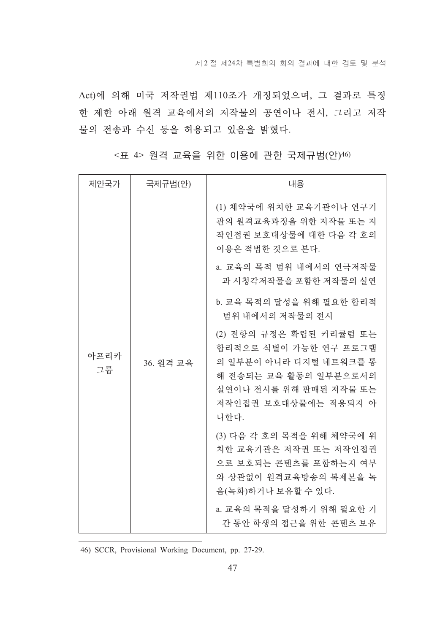Act)에 의해 미국 저작권법 제110조가 개정되었으며, 그 결과로 특정 한 제한 아래 원격 교육에서의 저작물의 공연이나 전시, 그리고 저작 물의 전송과 수신 등을 허용되고 있음을 밝혔다.

| 제안국가       | 국제규범(안)   | 내용                                                                                                                                                            |
|------------|-----------|---------------------------------------------------------------------------------------------------------------------------------------------------------------|
| 아프리카<br>그룹 | 36. 워격 교육 | (1) 체약국에 위치한 교육기관이나 연구기<br>관의 원격교육과정을 위한 저작물 또는 저<br>작인접권 보호대상물에 대한 다음 각 호의<br>이용은 적법한 것으로 본다.                                                                |
|            |           | a. 교육의 목적 범위 내에서의 연극저작물<br>과 시청각저작물을 포함한 저작물의 실연                                                                                                              |
|            |           | b. 교육 목적의 달성을 위해 필요한 합리적<br>범위 내에서의 저작물의 전시                                                                                                                   |
|            |           | (2) 전항의 규정은 확립된 커리큘럼 또는<br>합리적으로 식별이 가능한 연구 프로그램<br>의 일부분이 아니라 디지털 네트워크를 통<br>해 전송되는 교육 활동의 일부분으로서의<br>실연이나 전시를 위해 판매된 저작물 또는<br>저작인접권 보호대상물에는 적용되지 아<br>니한다. |
|            |           | (3) 다음 각 호의 목적을 위해 체약국에 위<br>치한 교육기관은 저작권 또는 저작인접권<br>으로 보호되는 콘텐츠를 포함하는지 여부<br>와 상관없이 원격교육방송의 복제본을 녹<br>음(녹화)하거나 보유할 수 있다.                                    |
|            |           | a. 교육의 목적을 달성하기 위해 필요한 기<br>간 동안 학생의 접근을 위한 콘텐츠 보유                                                                                                            |

<표 4> 원격 교육을 위한 이용에 관한 국제규범(안)46)

46) SCCR, Provisional Working Document, pp. 27-29.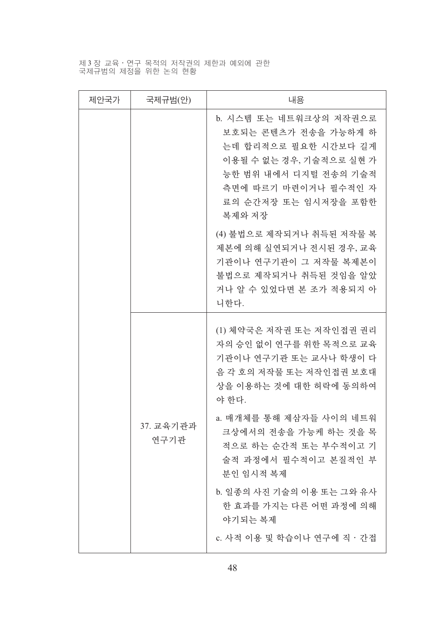제3장 교육·연구 목적의 저작권의 제한과 예외에 관한<br>국제규범의 제정을 위한 논의 현황

| 제안국가 | 국제규범(안)           | 내용                                                                                                                                                                                   |
|------|-------------------|--------------------------------------------------------------------------------------------------------------------------------------------------------------------------------------|
|      |                   | b. 시스템 또는 네트워크상의 저작권으로<br>보호되는 콘텐츠가 전송을 가능하게 하<br>는데 합리적으로 필요한 시간보다 길게<br>이용될 수 없는 경우, 기술적으로 실현 가<br>능한 범위 내에서 디지털 전송의 기술적<br>측면에 따르기 마련이거나 필수적인 자<br>료의 순간저장 또는 임시저장을 포함한<br>복제와 저장 |
|      |                   | (4) 불법으로 제작되거나 취득된 저작물 복<br>제본에 의해 실연되거나 전시된 경우, 교육<br>기관이나 연구기관이 그 저작물 복제본이<br>불법으로 제작되거나 취득된 것임을 알았<br>거나 알 수 있었다면 본 조가 적용되지 아<br>니한다.                                             |
|      |                   | (1) 체약국은 저작권 또는 저작인접권 권리<br>자의 승인 없이 연구를 위한 목적으로 교육<br>기관이나 연구기관 또는 교사나 학생이 다<br>음 각 호의 저작물 또는 저작인접권 보호대<br>상을 이용하는 것에 대한 허락에 동의하여<br>야 한다.                                          |
|      | 37. 교육기관과<br>연구기관 | a. 매개체를 통해 제삼자들 사이의 네트워<br>크상에서의 전송을 가능케 하는 것을 목<br>적으로 하는 순간적 또는 부수적이고 기<br>술적 과정에서 필수적이고 본질적인 부<br>분인 임시적 복제                                                                       |
|      |                   | b. 일종의 사진 기술의 이용 또는 그와 유사<br>한 효과를 가지는 다른 어떤 과정에 의해<br>야기되는 복제                                                                                                                       |
|      |                   | c. 사적 이용 및 학습이나 연구에 직 · 간접                                                                                                                                                           |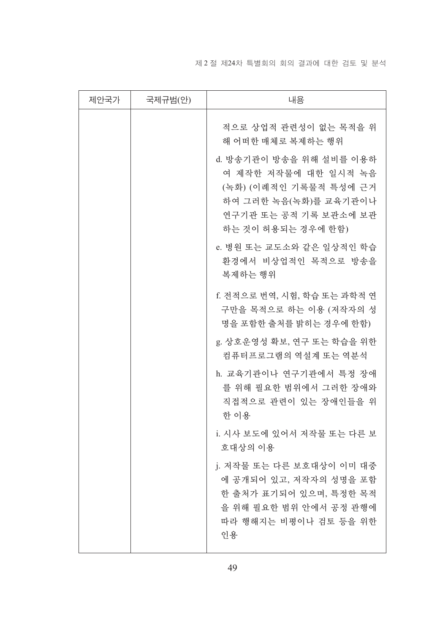#### 제 2 절 제24차 특별회의 회의 결과에 대한 검토 및 분석

| 제안국가 | 국제규범(안) | 내용                                                                                                                                                |
|------|---------|---------------------------------------------------------------------------------------------------------------------------------------------------|
|      |         | 적으로 상업적 관련성이 없는 목적을 위<br>해 어떠한 매체로 복제하는 행위                                                                                                        |
|      |         | d. 방송기관이 방송을 위해 설비를 이용하<br>여 제작한 저작물에 대한 일시적 녹음<br>(녹화) (이례적인 기록물적 특성에 근거<br>하여 그러한 녹음(녹화)를 교육기관이나<br>연구기관 또는 공적 기록 보관소에 보관<br>하는 것이 허용되는 경우에 한함) |
|      |         | e. 병원 또는 교도소와 같은 일상적인 학습<br>환경에서 비상업적인 목적으로 방송을<br>복제하는 행위                                                                                        |
|      |         | f. 전적으로 번역, 시험, 학습 또는 과학적 연<br>구만을 목적으로 하는 이용 (저작자의 성<br>명을 포함한 출처를 밝히는 경우에 한함)                                                                   |
|      |         | g. 상호운영성 확보, 연구 또는 학습을 위한<br>컴퓨터프로그램의 역설계 또는 역분석                                                                                                  |
|      |         | h. 교육기관이나 연구기관에서 특정 장애<br>를 위해 필요한 범위에서 그러한 장애와<br>직접적으로 관련이 있는 장애인들을 위<br>한 이용                                                                   |
|      |         | i. 시사 보도에 있어서 저작물 또는 다른 보<br>호대상의 이용                                                                                                              |
|      |         | j. 저작물 또는 다른 보호대상이 이미 대중<br>에 공개되어 있고, 저작자의 성명을 포함<br>한 출처가 표기되어 있으며, 특정한 목적<br>을 위해 필요한 범위 안에서 공정 관행에<br>따라 행해지는 비평이나 검토 등을 위한<br>인용             |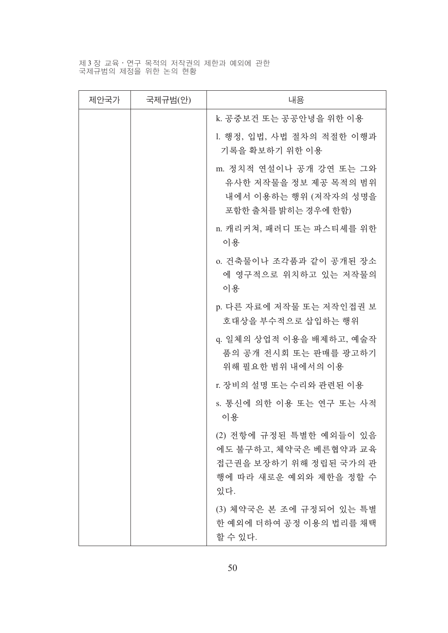# 제3장 교육·연구 목적의 저작권의 제한과 예외에 관한<br>국제규범의 제정을 위한 논의 현황

| 제안국가 | 국제규범(안) | 내용                                                                                                           |
|------|---------|--------------------------------------------------------------------------------------------------------------|
|      |         | k. 공중보건 또는 공공안녕을 위한 이용                                                                                       |
|      |         | 1. 행정, 입법, 사법 절차의 적절한 이행과<br>기록을 확보하기 위한 이용                                                                  |
|      |         | m. 정치적 연설이나 공개 강연 또는 그와<br>유사한 저작물을 정보 제공 목적의 범위<br>내에서 이용하는 행위 (저작자의 성명을<br>포함한 출처를 밝히는 경우에 한함)             |
|      |         | n. 캐리커쳐, 패러디 또는 파스티셰를 위한<br>이용                                                                               |
|      |         | o. 건축물이나 조각품과 같이 공개된 장소<br>에 영구적으로 위치하고 있는 저작물의<br>이용                                                        |
|      |         | p. 다른 자료에 저작물 또는 저작인접권 보<br>호대상을 부수적으로 삽입하는 행위                                                               |
|      |         | q. 일체의 상업적 이용을 배제하고, 예술작<br>품의 공개 전시회 또는 판매를 광고하기<br>위해 필요한 범위 내에서의 이용                                       |
|      |         | r. 장비의 설명 또는 수리와 관련된 이용                                                                                      |
|      |         | s. 통신에 의한 이용 또는 연구 또는 사적<br>이용                                                                               |
|      |         | (2) 전항에 규정된 특별한 예외들이 있음<br>에도 불구하고, 체약국은 베른협약과 교육<br>접근권을 보장하기 위해 정립된 국가의 관<br>행에 따라 새로운 예외와 제한을 정할 수<br>있다. |
|      |         | (3) 체약국은 본 조에 규정되어 있는 특별<br>한 예외에 더하여 공정 이용의 법리를 채택<br>할 수 있다.                                               |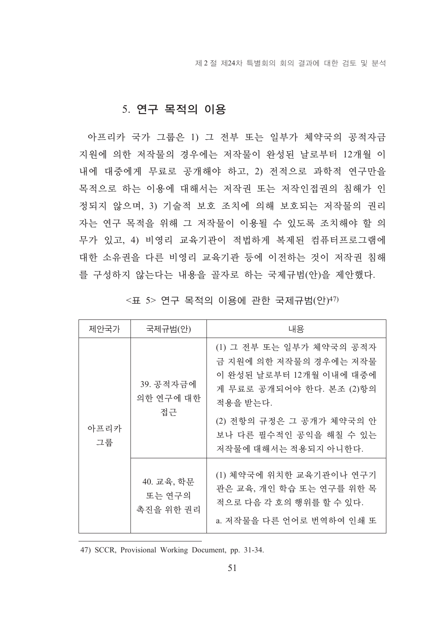제 2 절 제24차 특별회의 회의 결과에 대한 검토 및 분석

#### 5. 연구 목적의 이용

아프리카 국가 그룹은 1) 그 전부 또는 일부가 체약국의 공적자금 지워에 의한 저작물의 경우에는 저작물이 완성된 날로부터 12개월 이 내에 대중에게 무료로 공개해야 하고, 2) 전적으로 과학적 연구만을 목적으로 하는 이용에 대해서는 저작권 또는 저작인접권의 침해가 인 정되지 않으며, 3) 기술적 보호 조치에 의해 보호되는 저작물의 권리 자는 연구 목적을 위해 그 저작물이 이용될 수 있도록 조치해야 할 의 무가 있고, 4) 비영리 교육기관이 적법하게 복제된 컴퓨터프로그램에 대한 소유권을 다른 비영리 교육기관 등에 이전하는 것이 저작권 침해 를 구성하지 않는다는 내용을 골자로 하는 국제규범(안)을 제안했다.

| 제안국가       | 국제규범(안)                           | 내용                                                                                                                                                                                                  |
|------------|-----------------------------------|-----------------------------------------------------------------------------------------------------------------------------------------------------------------------------------------------------|
| 아프리카<br>그룹 | 39. 공적자금에<br>의한 연구에 대한<br>접근      | (1) 그 전부 또는 일부가 체약국의 공적자<br>금 지원에 의한 저작물의 경우에는 저작물<br>이 완성된 날로부터 12개월 이내에 대중에<br>게 무료로 공개되어야 한다. 본조 (2)항의<br>적용을 받는다.<br>(2) 전항의 규정은 그 공개가 체약국의 안<br>보나 다른 필수적인 공익을 해칠 수 있는<br>저작물에 대해서는 적용되지 아니한다. |
|            | 40. 교육, 학문<br>또는 연구의<br>촉진을 위한 권리 | (1) 체약국에 위치한 교육기관이나 연구기<br>관은 교육, 개인 학습 또는 연구를 위한 목<br>적으로 다음 각 호의 행위를 할 수 있다.<br>a. 저작물을 다른 언어로 번역하여 인쇄 또                                                                                          |

<표 5> 연구 목적의 이용에 관한 국제규범(안)47)

47) SCCR, Provisional Working Document, pp. 31-34.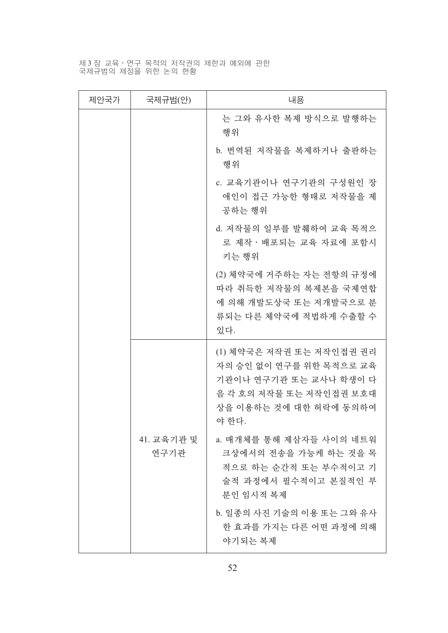# 제3장 교육·연구 목적의 저작권의 제한과 예외에 관한<br>국제규범의 제정을 위한 논의 현황

| 제안국가 | 국제규범(안)            | 내용                                                                                                                                          |  |  |
|------|--------------------|---------------------------------------------------------------------------------------------------------------------------------------------|--|--|
|      |                    | 는 그와 유사한 복제 방식으로 발행하는<br>행위                                                                                                                 |  |  |
|      |                    | b. 번역된 저작물을 복제하거나 출판하는<br>행위                                                                                                                |  |  |
|      |                    | c. 교육기관이나 연구기관의 구성원인 장<br>애인이 접근 가능한 형태로 저작물을 제<br>공하는 행위                                                                                   |  |  |
|      |                    | d. 저작물의 일부를 발췌하여 교육 목적으<br>로 제작·배포되는 교육 자료에 포함시<br>키는 행위                                                                                    |  |  |
|      |                    | (2) 체약국에 거주하는 자는 전항의 규정에<br>따라 취득한 저작물의 복제본을 국제연합<br>에 의해 개발도상국 또는 저개발국으로 분<br>류되는 다른 체약국에 적법하게 수출할 수<br>있다.                                |  |  |
|      |                    | (1) 체약국은 저작권 또는 저작인접권 권리<br>자의 승인 없이 연구를 위한 목적으로 교육<br>기관이나 연구기관 또는 교사나 학생이 다<br>음 각 호의 저작물 또는 저작인접권 보호대<br>상을 이용하는 것에 대한 허락에 동의하여<br>야 한다. |  |  |
|      | 41. 교육기관 및<br>연구기관 | a. 매개체를 통해 제삼자들 사이의 네트워<br>크상에서의 전송을 가능케 하는 것을 목<br>적으로 하는 순간적 또는 부수적이고 기<br>술적 과정에서 필수적이고 본질적인 부<br>부인 임시적 복제                              |  |  |
|      |                    | b. 일종의 사진 기술의 이용 또는 그와 유사<br>한 효과를 가지는 다른 어떤 과정에 의해<br>야기되는 복제                                                                              |  |  |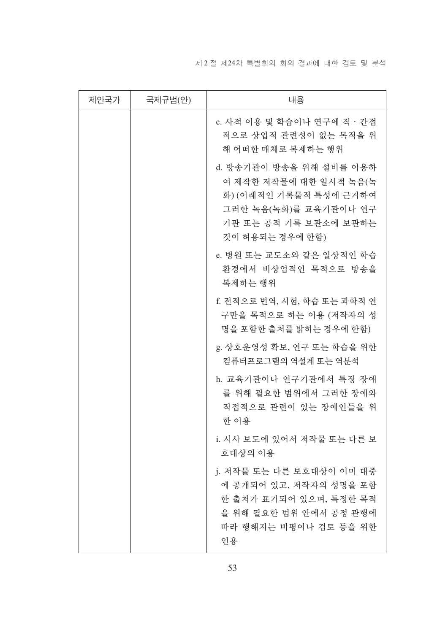제 2 절 제24차 특별회의 회의 결과에 대한 검토 및 분석

| 제안국가 | 국제규범(안) | 내용                                                                                                                                               |  |  |
|------|---------|--------------------------------------------------------------------------------------------------------------------------------------------------|--|--|
|      |         | c. 사적 이용 및 학습이나 연구에 직ㆍ간접<br>적으로 상업적 관련성이 없는 목적을 위<br>해 어떠한 매체로 복제하는 행위                                                                           |  |  |
|      |         | d. 방송기관이 방송을 위해 설비를 이용하<br>여 제작한 저작물에 대한 일시적 녹음(녹<br>화) (이례적인 기록물적 특성에 근거하여<br>그러한 녹음(녹화)를 교육기관이나 연구<br>기관 또는 공적 기록 보관소에 보관하는<br>것이 허용되는 경우에 한함) |  |  |
|      |         | e. 병원 또는 교도소와 같은 일상적인 학습<br>환경에서 비상업적인 목적으로 방송을<br>복제하는 행위                                                                                       |  |  |
|      |         | f. 전적으로 번역, 시험, 학습 또는 과학적 연<br>구만을 목적으로 하는 이용 (저작자의 성<br>명을 포함한 출처를 밝히는 경우에 한함)                                                                  |  |  |
|      |         | g. 상호운영성 확보, 연구 또는 학습을 위한<br>컴퓨터프로그램의 역설계 또는 역분석                                                                                                 |  |  |
|      |         | h. 교육기관이나 연구기관에서 특정 장애<br>를 위해 필요한 범위에서 그러한 장애와<br>직접적으로 관련이 있는 장애인들을 위<br>한 이용                                                                  |  |  |
|      |         | i. 시사 보도에 있어서 저작물 또는 다른 보<br>호대상의 이용                                                                                                             |  |  |
|      |         | i. 저작물 또는 다른 보호대상이 이미 대중<br>에 공개되어 있고, 저작자의 성명을 포함<br>한 출처가 표기되어 있으며, 특정한 목적<br>을 위해 필요한 범위 안에서 공정 관행에<br>따라 행해지는 비평이나 검토 등을 위한<br>인용            |  |  |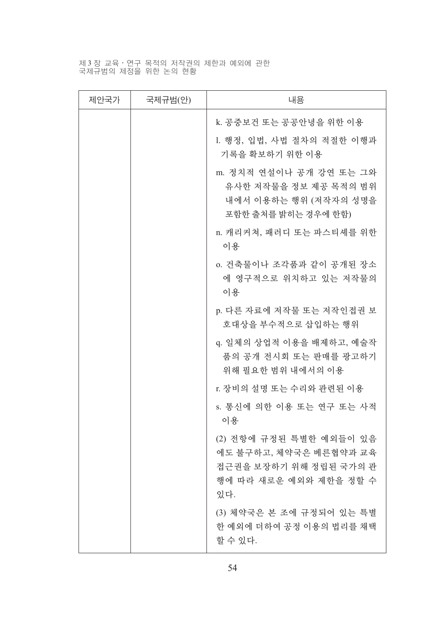# 제3장 교육·연구 목적의 저작권의 제한과 예외에 관한<br>국제규범의 제정을 위한 논의 현황

| 제안국가 | 국제규범(안) | 내용                                                                                                           |  |
|------|---------|--------------------------------------------------------------------------------------------------------------|--|
|      |         | k. 공중보건 또는 공공안녕을 위한 이용                                                                                       |  |
|      |         | 1. 행정, 입법, 사법 절차의 적절한 이행과<br>기록을 확보하기 위한 이용                                                                  |  |
|      |         | m. 정치적 연설이나 공개 강연 또는 그와<br>유사한 저작물을 정보 제공 목적의 범위<br>내에서 이용하는 행위 (저작자의 성명을<br>포함한 출처를 밝히는 경우에 한함)             |  |
|      |         | n. 캐리커쳐, 패러디 또는 파스티셰를 위한<br>이용                                                                               |  |
|      |         | o. 건축물이나 조각품과 같이 공개된 장소<br>에 영구적으로 위치하고 있는 저작물의<br>이용                                                        |  |
|      |         | p. 다른 자료에 저작물 또는 저작인접권 보<br>호대상을 부수적으로 삽입하는 행위                                                               |  |
|      |         | q. 일체의 상업적 이용을 배제하고, 예술작<br>품의 공개 전시회 또는 판매를 광고하기<br>위해 필요한 범위 내에서의 이용                                       |  |
|      |         | r. 장비의 설명 또는 수리와 관련된 이용                                                                                      |  |
|      |         | s. 통신에 의한 이용 또는 연구 또는 사적<br>이용                                                                               |  |
|      |         | (2) 전항에 규정된 특별한 예외들이 있음<br>에도 불구하고, 체약국은 베른협약과 교육<br>접근권을 보장하기 위해 정립된 국가의 관<br>행에 따라 새로운 예외와 제한을 정할 수<br>있다. |  |
|      |         | (3) 체약국은 본 조에 규정되어 있는 특별<br>한 예외에 더하여 공정 이용의 법리를 채택<br>할 수 있다.                                               |  |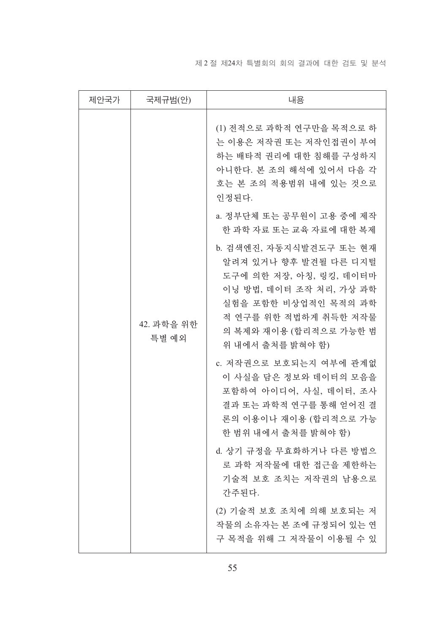제 2 절 제24차 특별회의 회의 결과에 대한 검토 및 분석

| 제안국가 | 국제규범(안)             | 내용                                                                                                                                                                                                    |  |
|------|---------------------|-------------------------------------------------------------------------------------------------------------------------------------------------------------------------------------------------------|--|
|      | 42. 과학을 위한<br>특별 예외 | (1) 전적으로 과학적 연구만을 목적으로 하<br>는 이용은 저작권 또는 저작인접권이 부여<br>하는 배타적 권리에 대한 침해를 구성하지<br>아니한다. 본 조의 해석에 있어서 다음 각<br>호는 본 조의 적용범위 내에 있는 것으로<br>인정된다.                                                            |  |
|      |                     | a. 정부단체 또는 공무원이 고용 중에 제작<br>한 과학 자료 또는 교육 자료에 대한 복제                                                                                                                                                   |  |
|      |                     | b. 검색엔진, 자동지식발견도구 또는 현재<br>알려져 있거나 향후 발견될 다른 디지털<br>도구에 의한 저장, 아칭, 링킹, 데이터마<br>이닝 방법, 데이터 조작 처리, 가상 과학<br>실험을 포함한 비상업적인 목적의 과학<br>적 연구를 위한 적법하게 취득한 저작물<br>의 복제와 재이용 (합리적으로 가능한 범<br>위 내에서 출처를 밝혀야 함) |  |
|      |                     | c. 저작권으로 보호되는지 여부에 관계없<br>이 사실을 담은 정보와 데이터의 모음을<br>포함하여 아이디어, 사실, 데이터, 조사<br>결과 또는 과학적 연구를 통해 얻어진 결<br>론의 이용이나 재이용 (합리적으로 가능<br>한 범위 내에서 출처를 밝혀야 함)                                                   |  |
|      |                     | d. 상기 규정을 무효화하거나 다른 방법으<br>로 과학 저작물에 대한 접근을 제한하는<br>기술적 보호 조치는 저작권의 남용으로<br>간주된다.                                                                                                                     |  |
|      |                     | (2) 기술적 보호 조치에 의해 보호되는 저<br>작물의 소유자는 본 조에 규정되어 있는 연<br>구 목적을 위해 그 저작물이 이용될 수 있                                                                                                                        |  |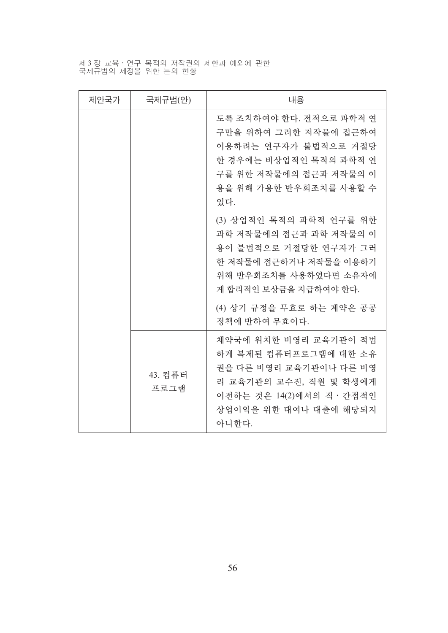제3장 교육·연구 목적의 저작권의 제한과 예외에 관한<br>국제규범의 제정을 위한 논의 현황

| 제안국가 | 국제규범(안)         | 내용                                                                                                                                                                |  |  |
|------|-----------------|-------------------------------------------------------------------------------------------------------------------------------------------------------------------|--|--|
|      |                 | 도록 조치하여야 한다. 전적으로 과학적 연<br>구만을 위하여 그러한 저작물에 접근하여<br>이용하려는 연구자가 불법적으로 거절당<br>한 경우에는 비상업적인 목적의 과학적 연<br>구를 위한 저작물에의 접근과 저작물의 이<br>용을 위해 가용한 반우회조치를 사용할 수<br>있다.     |  |  |
|      |                 | (3) 상업적인 목적의 과학적 연구를 위한<br>과학 저작물에의 접근과 과학 저작물의 이<br>용이 불법적으로 거절당한 연구자가 그러<br>한 저작물에 접근하거나 저작물을 이용하기<br>위해 반우회조치를 사용하였다면 소유자에<br>게 합리적인 보상금을 지급하여야 하다.            |  |  |
|      |                 | (4) 상기 규정을 무효로 하는 계약은 공공<br>정책에 반하여 무효이다.                                                                                                                         |  |  |
|      | 43. 컴퓨터<br>프로그램 | 체약국에 위치한 비영리 교육기관이 적법<br>하게 복제된 컴퓨터프로그램에 대한 소유<br>권을 다른 비영리 교육기관이나 다른 비영<br>리 교육기관의 교수진, 직원 및 학생에게<br>이전하는 것은 14(2)에서의 직 · 간접적인<br>상업이익을 위한 대여나 대출에 해당되지<br>아니한다. |  |  |

56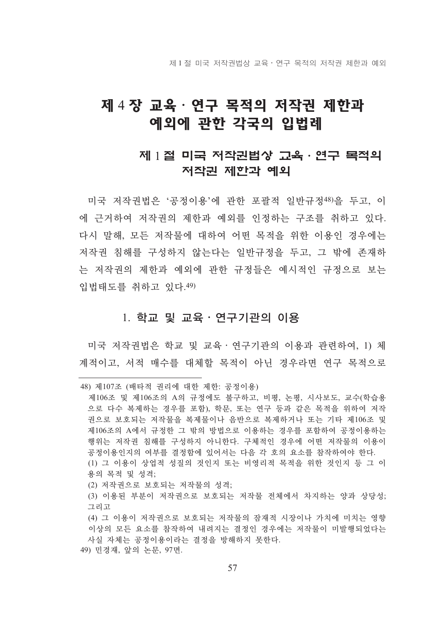제 1 절 미국 저작권법상 교육 · 연구 목적의 저작권 제한과 예외

## 제 4 장 교육 · 연구 목적의 저작권 제한과 예외에 관한 각국의 입법례

### 제 1 절 미국 저작권법상 고육 · 연구 목적의 저작권 제한과 예외

미국 저작권법은 '공정이용'에 관한 포괄적 일반규정48)을 두고, 이 에 근거하여 저작권의 제한과 예외를 인정하는 구조를 취하고 있다. 다시 말해. 모든 저작물에 대하여 어떤 목적을 위한 이용이 경우에는 저작권 침해를 구성하지 않는다는 일반규정을 두고, 그 밖에 존재하 는 저작권의 제하과 예외에 관한 규정들은 예시적인 규정으로 보는 입법태도를 취하고 있다. 49)

#### 1. 학교 및 교육 · 연구기관의 이용

미국 저작권법은 학교 및 교육 · 연구기관의 이용과 관련하여, 1) 체 계적이고, 서적 매수를 대체할 목적이 아닌 경우라면 여구 목적으로

(2) 저작권으로 보호되는 저작물의 성격:

49) 민경재, 앞의 논문, 97면.

<sup>48)</sup> 제107조 (배타적 권리에 대한 제한: 공정이용)

제106조 및 제106조의 A의 규정에도 불구하고, 비평, 논평, 시사보도, 교수(학습용 으로 다수 복제하는 경우를 포함), 학문, 또는 연구 등과 같은 목적을 위하여 저작 권으로 보호되는 저작물을 복제물이나 음반으로 복제하거나 또는 기타 제106조 및 제106조의 A에서 규정한 그 밖의 방법으로 이용하는 경우를 포함하여 공정이용하는 행위는 저작권 침해를 구성하지 아니한다. 구체적인 경우에 어떤 저작물의 이용이 공정이용인지의 여부를 결정함에 있어서는 다음 각 호의 요소를 참작하여야 한다. (1) 그 이용이 상업적 성질의 것인지 또는 비영리적 목적을 위한 것인지 등 그 이 용의 목적 및 성격;

<sup>(3)</sup> 이용된 부분이 저작권으로 보호되는 저작물 전체에서 차지하는 양과 상당성; 그리고

<sup>(4)</sup> 그 이용이 저작권으로 보호되는 저작물의 잠재적 시장이나 가치에 미치는 영향 이상의 모든 요소를 참작하여 내려지는 결정인 경우에는 저작물이 미발행되었다는 사실 자체는 공정이용이라는 결정을 방해하지 못하다.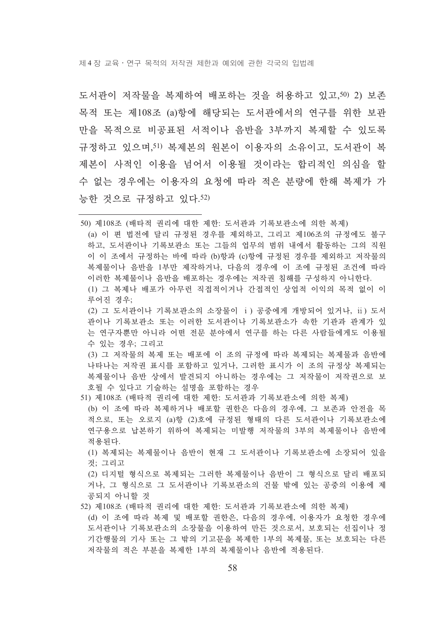제 4 장 교육 • 여구 목적의 저작권 제한과 예외에 관한 각국의 입법례

도서관이 저작물을 복제하여 배포하는 것을 허용하고 있고,50) 2) 보존 목적 또는 제108조 (a)항에 해당되는 도서관에서의 연구를 위한 보관 만을 목적으로 비공표되 서적이나 음반을 3부까지 복제할 수 있도록 규정하고 있으며,51) 복제본의 워본이 이용자의 소유이고, 도서관이 복 제본이 사적인 이용을 넘어서 이용될 것이라는 합리적인 의심을 할 수 없는 경우에는 이용자의 요청에 따라 적은 분량에 한해 복제가 가 능한 것으로 규정하고 있다. 52)

50) 제108조 (배타적 권리에 대한 제한: 도서과과 기록보과소에 의한 복제) (a) 이 편 법전에 달리 규정된 경우를 제외하고, 그리고 제106조의 규정에도 불구 하고, 도서관이나 기록보관소 또는 그들의 업무의 범위 내에서 활동하는 그의 직원 이 이 조에서 규정하는 바에 따라 (b)항과 (c)항에 규정된 경우를 제외하고 저작물의 복제물이나 음반을 1부만 제작하거나, 다음의 경우에 이 조에 규정된 조건에 따라 이러한 복제물이나 음반을 배포하는 경우에는 저작권 침해를 구성하지 아니한다. (1) 그 복제나 배포가 아무런 직접적이거나 가접적인 상업적 이익의 목적 없이 이 루어진 경우; (2) 그 도서관이나 기록보관소의 소장물이 i) 공중에게 개방되어 있거나, ii) 도서

관이나 기록보관소 또는 이러한 도서관이나 기록보관소가 속한 기관과 관계가 있 는 연구자뿐만 아니라 어떤 전문 분야에서 연구를 하는 다른 사람들에게도 이용될 수 있는 경우: 그리고

(3) 그 저작물의 복제 또는 배포에 이 조의 규정에 따라 복제되는 복제물과 음반에 나타나는 저작권 표시를 포함하고 있거나, 그러한 표시가 이 조의 규정상 복제되는 복제물이나 음반 상에서 발견되지 아니하는 경우에는 그 저작물이 저작권으로 보 호될 수 있다고 기술하는 설명을 포함하는 경우

51) 제108조 (배타적 권리에 대한 제한: 도서관과 기록보관소에 의한 복제)

(b) 이 조에 따라 복제하거나 배포할 권한은 다음의 경우에, 그 보존과 안전을 목 적으로, 또는 오로지 (a)항 (2)호에 규정되 형태의 다른 도서관이나 기록보관소에 연구용으로 납본하기 위하여 복제되는 미발행 저작물의 3부의 복제물이나 음반에 적용되다.

(1) 복제되는 복제물이나 음반이 현재 그 도서관이나 기록보관소에 소장되어 있을 것: 그리고

(2) 디지털 형식으로 복제되는 그러한 복제물이나 음반이 그 형식으로 달리 배포되 거나, 그 형식으로 그 도서관이나 기록보관소의 건물 밖에 있는 공중의 이용에 제 공되지 아니할 것

52) 제108조 (배타적 권리에 대한 제한: 도서과과 기록보과소에 의한 복제)

(d) 이 조에 따라 복제 및 배포할 권한은, 다음의 경우에, 이용자가 요청한 경우에 도서관이나 기록보관소의 소장물을 이용하여 만든 것으로서, 보호되는 선집이나 정 기간행물의 기사 또는 그 밖의 기고문을 복제한 1부의 복제물, 또는 보호되는 다른 저작물의 적은 부분을 복제한 1부의 복제물이나 음반에 적용된다.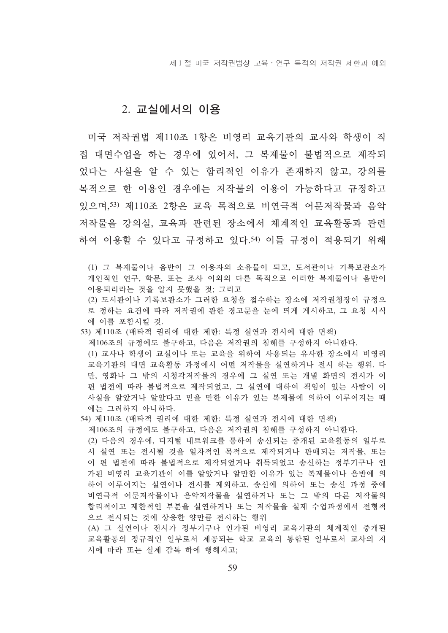제 1 절 미국 저작권법상 교육 · 연구 목적의 저작권 제한과 예외

#### 2. 교실에서의 이용

미국 저작권법 제110조 1항은 비영리 교육기관의 교사와 학생이 직 접 대면수업을 하는 경우에 있어서, 그 복제물이 불법적으로 제작되 었다는 사실을 알 수 있는 합리적인 이유가 존재하지 않고, 강의를 목적으로 한 이용인 경우에는 저작물의 이용이 가능하다고 규정하고 있으며, 53) 제110조 2항은 교육 목적으로 비여극적 어문저작물과 음악 저작물을 강의실. 교육과 관련된 장소에서 체계적인 교육활동과 관련 하여 이용할 수 있다고 규정하고 있다.54) 이들 규정이 적용되기 위해

(1) 그 복제물이나 음반이 그 이용자의 소유물이 되고, 도서관이나 기록보관소가 개인적인 연구, 학문, 또는 조사 이외의 다른 목적으로 이러한 복제물이나 음반이 이용되리라는 것을 알지 못했을 것: 그리고

(2) 도서관이나 기록보관소가 그러한 요청을 접수하는 장소에 저작권청장이 규정으 로 정하는 요건에 따라 저작권에 관한 경고문을 눈에 띄게 게시하고, 그 요청 서식 에 이를 포함시킬 것.

- 53) 제110조 (배타적 권리에 대한 제한: 특정 실연과 전시에 대한 면책)
	- 제106조의 규정에도 불구하고, 다음은 저작권의 침해를 구성하지 아니하다.

(1) 교사나 학생이 교실이나 또는 교육을 위하여 사용되는 유사한 장소에서 비영리 교육기관의 대면 교육활동 과정에서 어떤 저작물을 실연하거나 저시 하는 행위. 다 만, 영화나 그 밖의 시청각저작물의 경우에 그 실연 또는 개별 화면의 전시가 이 편 법전에 따라 불법적으로 제작되었고, 그 실연에 대하여 책임이 있는 사람이 이 사실을 알았거나 알았다고 믿을 만한 이유가 있는 복제물에 의하여 이루어지는 때 에는 그러하지 아니하다.

- 54) 제110조 (배타적 권리에 대한 제한: 특정 실연과 전시에 대한 면책)
- 제106조의 규정에도 불구하고, 다음은 저작권의 침해를 구성하지 아니한다.

(2) 다음의 경우에, 디지털 네트워크를 통하여 송시되는 중개된 교육활동의 일부로 서 실연 또는 전시될 것을 일차적인 목적으로 제작되거나 판매되는 저작물, 또는 이 편 법전에 따라 불법적으로 제작되었거나 취득되었고 송신하는 정부기구나 인 가된 비영리 교육기관이 이를 알았거나 알만한 이유가 있는 복제물이나 음반에 의 하여 이루어지는 실연이나 전시를 제외하고, 송신에 의하여 또는 송신 과정 중에 비연극적 어문저작물이나 음악저작물을 실연하거나 또는 그 밖의 다른 저작물의 합리적이고 제한적인 부분을 실연하거나 또는 저작물을 실제 수업과정에서 전형적 으로 전시되는 것에 상응한 양만큼 전시하는 행위

(A) 그 실연이나 전시가 정부기구나 인가된 비영리 교육기관의 체계적인 중개된 교육활동의 정규적인 일부로서 제공되는 학교 교육의 통합된 일부로서 교사의 지 시에 따라 또는 실제 감독 하에 행해지고;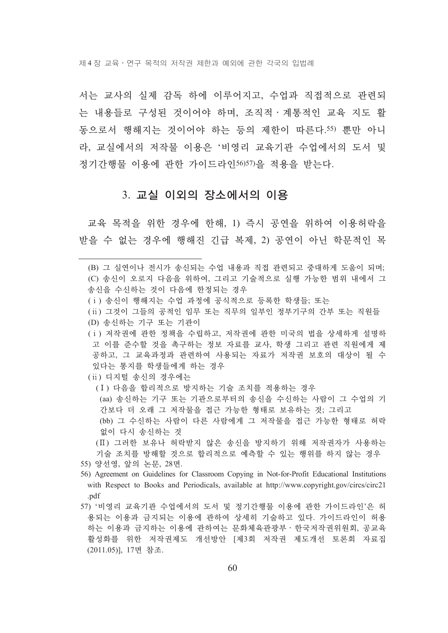제 4 장 교육 • 연구 목적의 저작권 제한과 예외에 관한 각국의 입법례

서는 교사의 실제 감독 하에 이루어지고, 수업과 직접적으로 과려되 는 내용들로 구성된 것이어야 하며, 조직적 · 계통적인 교육 지도 활 동으로서 행해지는 것이어야 하는 등의 제한이 따른다.55) 뿐만 아니 라, 교실에서의 저작물 이용은 '비영리 교육기관 수업에서의 도서 및 정기간행물 이용에 관한 가이드라이56)57)을 적용을 받는다.

#### 3. 교실 이외의 장소에서의 이용

교육 목적을 위한 경우에 한해. 1) 즉시 공여을 위하여 이용허락을 받을 수 없는 경우에 행해진 긴급 복제, 2) 공연이 아닌 학문적인 목

- (ii) 그것이 그들의 공적인 임무 또는 직무의 일부인 정부기구의 간부 또는 직원들
- (D) 송신하는 기구 또는 기관이
- (i) 저작권에 관한 정책을 수립하고, 저작권에 관한 미국의 법을 상세하게 설명하 고 이를 준수할 것을 촉구하는 정보 자료를 교사, 학생 그리고 관련 직원에게 제 공하고, 그 교육과정과 관련하여 사용되는 자료가 저작권 보호의 대상이 될 수 있다는 통지를 학생들에게 하는 경우
- (ii) 디지털 송신의 경우에는
	- (I) 다음을 합리적으로 방지하는 기술 조치를 적용하는 경우 (aa) 송신하는 기구 또는 기관으로부터의 송신을 수신하는 사람이 그 수업의 기 간보다 더 오래 그 저작물을 접근 가능한 형태로 보유하는 것; 그리고 (bb) 그 수신하는 사람이 다른 사람에게 그 저작물을 접근 가능한 형태로 허락 없이 다시 송신하는 것
	- (II) 그러한 보유나 허락받지 않은 송신을 방지하기 위해 저작권자가 사용하는 기술 조치를 방해할 것으로 합리적으로 예측할 수 있는 행위를 하지 않는 경우
- 55) 양선영, 앞의 논문, 28면.
- 56) Agreement on Guidelines for Classroom Copying in Not-for-Profit Educational Institutions with Respect to Books and Periodicals, available at http://www.copyright.gov/circs/circ21 .pdf
- 57) '비영리 교육기관 수업에서의 도서 및 정기간행물 이용에 관한 가이드라인'은 허 용되는 이용과 금지되는 이용에 관하여 상세히 기술하고 있다. 가이드라인이 허용 하는 이용과 금지하는 이용에 관하여는 문화체육관광부 · 한국저작권위원회, 공교육 활성화를 위한 저작권제도 개선방안 [제3회 저작권 제도개선 토론회 자료집 (2011.05)], 17면 참조.

<sup>(</sup>B) 그 실연이나 전시가 송신되는 수업 내용과 직접 관련되고 중대하게 도움이 되며; (C) 송신이 오로지 다음을 위하여, 그리고 기술적으로 실행 가능한 범위 내에서 그 송신을 수신하는 것이 다음에 한정되는 경우

<sup>(</sup>i) 송신이 행해지는 수업 과정에 공식적으로 등록한 학생들; 또는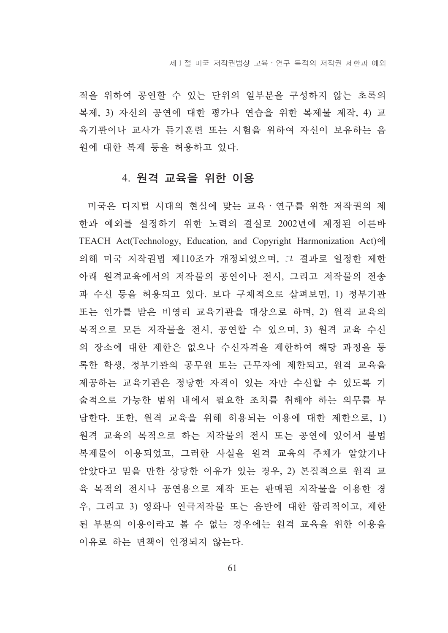적을 위하여 공연할 수 있는 단위의 일부분을 구성하지 않는 초록의 복제, 3) 자신의 공연에 대한 평가나 연습을 위한 복제물 제작, 4) 교 육기관이나 교사가 듣기훈련 또는 시험을 위하여 자신이 보유하는 음 원에 대한 복제 등을 허용하고 있다.

#### 4. 원격 교육을 위한 이용

미국은 디지털 시대의 현실에 맞는 교육 · 연구를 위한 저작권의 제 한과 예외를 설정하기 위한 노력의 결실로 2002년에 제정된 이른바 TEACH Act(Technology, Education, and Copyright Harmonization Act)에 의해 미국 저작권법 제110조가 개정되었으며, 그 결과로 일정한 제하 아래 워격교육에서의 저작물의 공연이나 전시, 그리고 저작물의 전송 과 수신 등을 허용되고 있다. 보다 구체적으로 살펴보면, 1) 정부기관 또는 인가를 받은 비영리 교육기관을 대상으로 하며, 2) 원격 교육의 목적으로 모든 저작물을 전시, 공연할 수 있으며, 3) 워격 교육 수신 의 장소에 대한 제한은 없으나 수신자격을 제한하여 해당 과정을 등 록한 학생, 정부기관의 공무원 또는 근무자에 제한되고, 원격 교육을 제공하는 교육기관은 정당한 자격이 있는 자만 수신할 수 있도록 기 술적으로 가능한 범위 내에서 필요한 조치를 취해야 하는 의무를 부 담한다. 또한, 원격 교육을 위해 허용되는 이용에 대한 제한으로, 1) 원격 교육의 목적으로 하는 저작물의 전시 또는 공연에 있어서 불법 복제물이 이용되었고, 그러한 사실을 원격 교육의 주체가 알았거나 알았다고 믿을 만한 상당한 이유가 있는 경우, 2) 본질적으로 원격 교 육 목적의 전시나 공연용으로 제작 또는 판매된 저작물을 이용한 경 우, 그리고 3) 영화나 연극저작물 또는 음반에 대한 합리적이고, 제한 된 부분의 이용이라고 볼 수 없는 경우에는 원격 교육을 위한 이용을 이유로 하는 면책이 인정되지 않는다.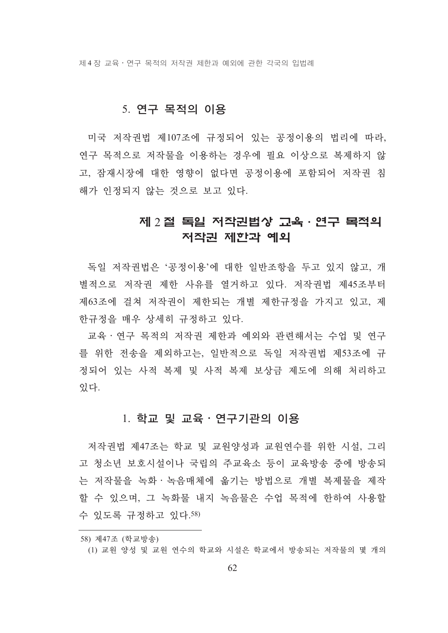제 4 장 교육 • 연구 목적의 저작권 제한과 예외에 관한 각국의 입법례

#### 5. 연구 목적의 이용

미국 저작권법 제107조에 규정되어 있는 공정이용의 법리에 따라, 여구 목적으로 저작물을 이용하는 경우에 필요 이상으로 복제하지 않 고, 잠재시장에 대한 영향이 없다면 공정이용에 포함되어 저작권 침 해가 인정되지 않는 것으로 보고 있다.

### 제 2 절 독일 저작권법상 고육 · 연구 목적의 저작권 제한과 예외

독일 저작권법은 '공정이용'에 대한 일반조항을 두고 있지 않고, 개 별적으로 저작권 제한 사유를 열거하고 있다. 저작권법 제45조부터 제63조에 걸쳐 저작권이 제한되는 개별 제한규정을 가지고 있고, 제 한규정을 매우 상세히 규정하고 있다.

교육 · 연구 목적의 저작권 제한과 예외와 관련해서는 수업 및 연구 를 위한 전송을 제외하고는, 일반적으로 독일 저작권법 제53조에 규 정되어 있는 사적 복제 및 사적 복제 보상금 제도에 의해 처리하고 잎다.

#### 1. 학교 및 교육·연구기관의 이용

저작권법 제47조는 학교 및 교원양성과 교원연수를 위한 시설, 그리 고 청소년 보호시설이나 국립의 주교육소 등이 교육방송 중에 방송되 는 저작물을 녹화 · 녹음매체에 옮기는 방법으로 개별 복제물을 제작 할 수 있으며, 그 녹화물 내지 녹음물은 수업 목적에 한하여 사용할 수 있도록 규정하고 있다.58)

<sup>58)</sup> 제47조 (학교방송)

<sup>(1)</sup> 교원 양성 및 교원 연수의 학교와 시설은 학교에서 방송되는 저작물의 몇 개의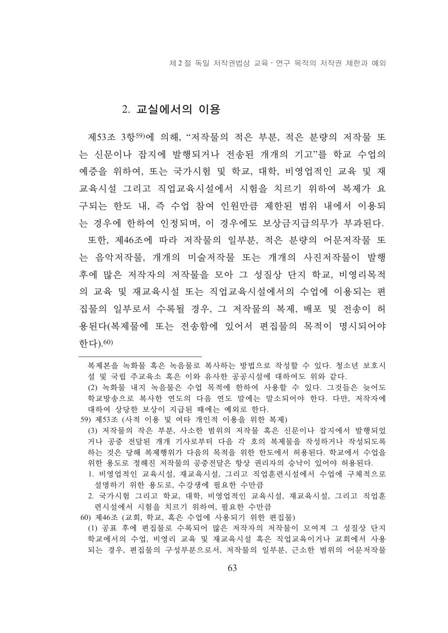제 2 절 독일 저작권법상 교육 · 연구 목적의 저작권 제한과 예외

#### 2. 교실에서의 이용

제53조 3항59)에 의해. "저작물의 적은 부부, 적은 부량의 저작물 또 는 신문이나 잡지에 발행되거나 전송된 개개의 기고"를 학교 수업의 예증을 위하여, 또는 국가시험 및 학교, 대학, 비영업적인 교육 및 재 교육시설 그리고 직업교육시설에서 시험을 치르기 위하여 복제가 요 구되는 한도 내, 즉 수업 참여 이워만큼 제한되 범위 내에서 이용되 는 경우에 한하여 인정되며, 이 경우에도 보상금지급의무가 부과된다.

또한, 제46조에 따라 저작물의 일부분, 적은 분량의 어문저작물 또 는 음악저작물, 개개의 미술저작물 또는 개개의 사진저작물이 발행 후에 많은 저작자의 저작물을 모아 그 성질상 단지 학교, 비영리목적 의 교육 및 재교육시설 또는 직업교육시설에서의 수업에 이용되는 편 집물의 일부로서 수록될 경우, 그 저작물의 복제, 배포 및 전송이 허 용된다(복제물에 또는 전송함에 있어서 편집물의 목적이 명시되어야 하다).60)

복제본을 녹화물 혹은 녹음물로 복사하는 방법으로 작성할 수 있다. 청소년 보호시 설 및 국립 주교육소 혹은 이와 유사한 공공시설에 대하여도 위와 같다.

(2) 녹화물 내지 녹음물은 수업 목적에 한하여 사용할 수 있다. 그것들은 늦어도 학교방송으로 복사한 연도의 다음 연도 말에는 말소되어야 한다. 다만, 저작자에 대하여 상당한 보상이 지급된 때에는 예외로 한다.

- 59) 제53조 (사적 이용 및 여타 개인적 이용을 위한 복제)
	- (3) 저작물의 작은 부분, 사소한 범위의 저작물 혹은 신문이나 잡지에서 발행되었 거나 공중 전달된 개개 기사로부터 다음 각 호의 복제물을 작성하거나 작성되도록 하는 것은 당해 복제행위가 다음의 목적을 위한 한도에서 허용된다. 학교에서 수업을 위한 용도로 정해진 저작물의 공중전달은 항상 권리자의 승낙이 있어야 허용된다.
	- 1. 비영업적인 교육시설, 재교육시설, 그리고 직업훈련시설에서 수업에 구체적으로 설명하기 위한 용도로 수강생에 필요한 수만큼
	- 2. 국가시험 그리고 학교, 대학, 비영업적인 교육시설, 재교육시설, 그리고 직업훈 련시설에서 시험을 치르기 위하여, 필요한 수만큼
- 60) 제46조 (교회, 학교, 혹은 수업에 사용되기 위한 편집물) (1) 공표 후에 편집물로 수록되어 많은 저작자의 저작물이 모여져 그 성질상 단지 학교에서의 수업, 비영리 교육 및 재교육시설 혹은 직업교육이거나 교회에서 사용 되는 경우, 편집물의 구성부분으로서, 저작물의 일부분, 근소한 범위의 어문저작물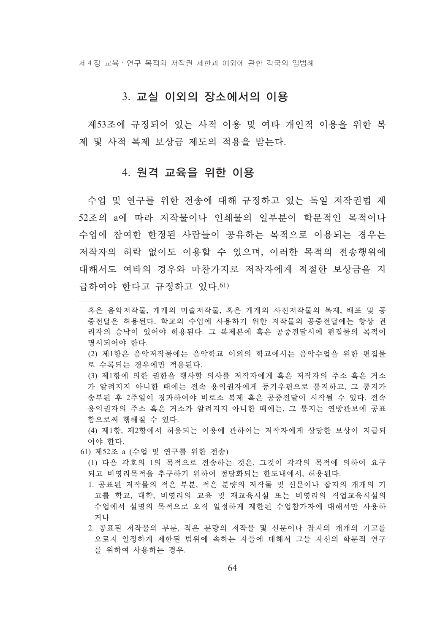제 4 장 교육 • 연구 목적의 저작권 제한과 예외에 관한 각국의 입법례

#### 3. 교실 이외의 장소에서의 이용

제53조에 규정되어 있는 사적 이용 및 여타 개인적 이용을 위한 복 제 및 사적 복제 보상금 제도의 적용을 받는다.

#### 4. 원격 교육을 위한 이용

수업 및 연구를 위한 전송에 대해 규정하고 있는 독일 저작권법 제 52조의 a에 따라 저작물이나 인쇄물의 일부분이 학문적인 목적이나 수업에 참여한 한정되 사람들이 공유하는 목적으로 이용되는 경우는 저작자의 허락 없이도 이용할 수 있으며, 이러한 목적의 전송행위에 대해서도 여타의 경우와 마차가지로 저작자에게 적절한 보상금을 지 급하여야 한다고 규정하고 있다.61)

- (2) 제1항은 음악저작물에는 음악학교 이외의 학교에서는 음악수업을 위한 편집물 로 수록되는 경우에만 적용된다.
- (3) 제1항에 의한 권한을 행사할 의사를 저작자에게 혹은 저작자의 주소 혹은 거소 가 알려지지 아니한 때에는 전속 용익권자에게 등기우편으로 통지하고, 그 통지가 송부된 후 2주일이 경과하여야 비로소 복제 혹은 공중전달이 시작될 수 있다. 전속 용익권자의 주소 혹은 거소가 알려지지 아니한 때에는, 그 통지는 여방관보에 공표 함으로써 행해질 수 있다.

(4) 제1항, 제2항에서 허용되는 이용에 관하여는 저작자에게 상당한 보상이 지급되 어야 한다.

61) 제52조 a (수업 및 연구를 위한 전송)

(1) 다음 각호의 1의 목적으로 전송하는 것은, 그것이 각각의 목적에 의하여 요구 되고 비영리목적을 추구하기 위하여 정당화되는 한도내에서, 허용된다.

- 1. 공표된 저작물의 적은 부분, 적은 분량의 저작물 및 신문이나 잡지의 개개의 기 고를 학교, 대학, 비영리의 교육 및 재교육시설 또는 비영리의 직업교육시설의 수업에서 설명의 목적으로 오직 일정하게 제한된 수업참가자에 대해서만 사용하 거나
- 2. 공표된 저작물의 부분, 적은 분량의 저작물 및 신문이나 잡지의 개개의 기고를 오로지 일정하게 제한된 범위에 속하는 자들에 대해서 그들 자시의 학문적 연구 를 위하여 사용하는 경우.

혹은 음악저작물, 개개의 미술저작물, 혹은 개개의 사진저작물의 복제, 배포 및 공 중전달은 허용된다. 학교의 수업에 사용하기 위한 저작물의 공중전달에는 항상 권 리자의 승낙이 있어야 허용된다. 그 복제본에 혹은 공중전달시에 편집물의 목적이 명시되어야 한다.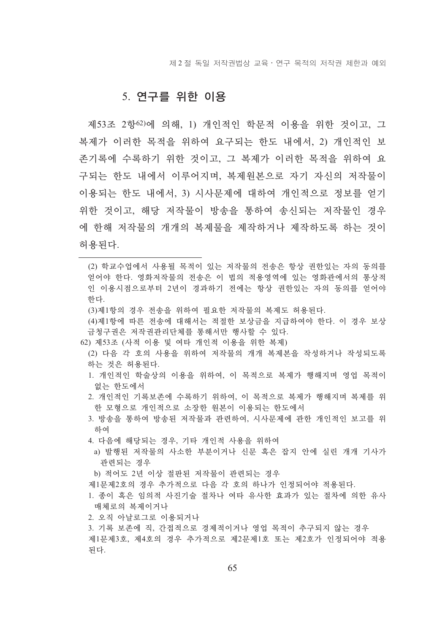제 2 절 독일 저작권법상 교육 · 연구 목적의 저작권 제한과 예외

#### 5. 연구를 위한 이용

제53조 2항 62)에 의해. 1) 개인적인 학무적 이용을 위한 것이고. 그 복제가 이러한 목적을 위하여 요구되는 한도 내에서, 2) 개인적인 보 존기록에 수록하기 위한 것이고, 그 복제가 이러한 목적을 위하여 요 구되는 한도 내에서 이루어지며, 복제원본으로 자기 자신의 저작물이 이용되는 한도 내에서, 3) 시사문제에 대하여 개인적으로 정보를 얻기 위한 것이고, 해당 저작물이 방송을 통하여 송시되는 저작물이 경우 에 한해 저작물의 개개의 복제물을 제작하거나 제작하도록 하는 것이 허용되다.

(2) 학교수업에서 사용될 목적이 있는 저작물의 전송은 항상 권한있는 자의 동의를 얻어야 한다. 영화저작물의 전송은 이 법의 적용영역에 있는 영화관에서의 통상적 인 이용시점으로부터 2년이 경과하기 전에는 항상 권한있는 자의 동의를 얻어야 하다.

(3)제1항의 경우 전송을 위하여 필요한 저작물의 복제도 허용되다.

(4)제1항에 따른 전송에 대해서는 적절한 보상금을 지급하여야 한다. 이 경우 보상 금청구권은 저작권관리단체를 통해서만 행사할 수 있다.

62) 제53조 (사적 이용 및 여타 개인적 이용을 위한 복제)

- (2) 다음 각 호의 사용을 위하여 저작물의 개개 복제본을 작성하거나 작성되도록 하는 것은 허용되다.
- 1. 개인적인 학술상의 이용을 위하여, 이 목적으로 복제가 행해지며 영업 목적이 없는 한도에서
- 2. 개인적인 기록보존에 수록하기 위하여, 이 목적으로 복제가 행해지며 복제를 위 한 모형으로 개인적으로 소장한 워보이 이용되는 한도에서
- 3. 방송을 통하여 방송된 저작물과 관련하여, 시사무제에 관한 개인적인 보고를 위 하여
- 4. 다음에 해당되는 경우, 기타 개인적 사용을 위하여
- a) 발행된 저작물의 사소한 부분이거나 신문 혹은 잡지 안에 실린 개개 기사가 관련되는 경우

b) 적어도 2년 이상 절판된 저작물이 관련되는 경우

제1문제2호의 경우 추가적으로 다음 각 호의 하나가 인정되어야 적용된다.

- 1. 종이 혹은 임의적 사진기술 절차나 여타 유사한 효과가 있는 절차에 의한 유사 매체로의 복제이거나
- 2. 오직 아날로그로 이용되거나
- 3. 기록 보존에 직, 간접적으로 경제적이거나 영업 목적이 추구되지 않는 경우 제1문제3호, 제4호의 경우 추가적으로 제2문제1호 또는 제2호가 인정되어야 적용 된다.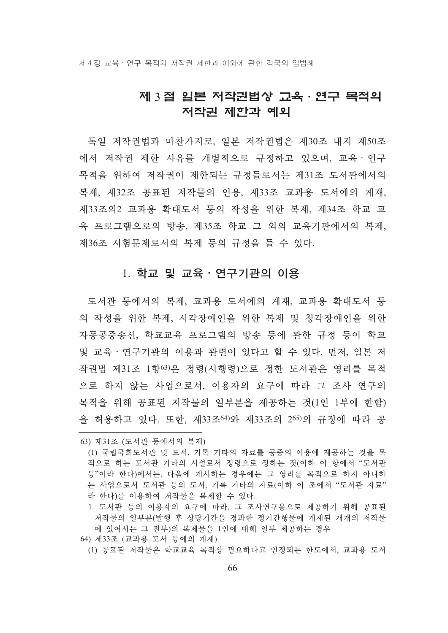### 제 3 절 일본 저작권법상 고육 · 연구 목적의 저작권 제한과 예외

독일 저작권법과 마찬가지로, 일본 저작권법은 제30조 내지 제50조 에서 저작권 제한 사유를 개별적으로 규정하고 있으며, 교육ㆍ연구 목적을 위하여 저작권이 제한되는 규정들로서는 제31조 도서관에서의 복제, 제32조 공표된 저작물의 인용, 제33조 교과용 도서에의 게재, 제33조의2 교과용 확대도서 등의 작성을 위한 복제, 제34조 학교 교 육 프로그램으로의 방송, 제35조 학교 그 외의 교육기관에서의 복제, 제36조 시험문제로서의 복제 등의 규정을 들 수 있다.

#### 1. 학교 및 교육 · 연구기관의 이용

도서관 등에서의 복제, 교과용 도서에의 게재, 교과용 확대도서 등 의 작성을 위한 복제, 시각장애인을 위한 복제 및 청각장애인을 위한 자동공중송신, 학교교육 프로그램의 방송 등에 관한 규정 등이 학교 및 교육 · 여구기관의 이용과 관련이 있다고 할 수 있다. 먼저, 일본 저 작권법 제31조 1항63)은 정령(시행령)으로 정한 도서관은 영리를 목적 으로 하지 않는 사업으로서, 이용자의 요구에 따라 그 조사 연구의 목적을 위해 공표된 저작물의 일부분을 제공하는 것(1인 1부에 한함) 을 허용하고 있다. 또한, 제33조<sup>64)</sup>와 제33조의 2<sup>65)</sup>의 규정에 따라 공

- 64) 제33조 (교과용 도서 등에의 게재)
	- (1) 공표된 저작물은 학교교육 목적상 필요하다고 인정되는 한도에서, 교과용 도서

<sup>63)</sup> 제31조 (도서관 등에서의 복제)

<sup>(1)</sup> 국립국회도서관 및 도서, 기록 기타의 자료를 공중의 이용에 제공하는 것을 목 적으로 하는 도서관 기타의 시설로서 정령으로 정하는 것(이하 이 항에서 "도서관 등"이라 한다)에서는, 다음에 게시하는 경우에는 그 영리를 목적으로 하지 아니하 는 사업으로서 도서관 등의 도서, 기록 기타의 자료(이하 이 조에서 "도서관 자료" 라 한다)를 이용하여 저작물을 복제할 수 있다.

<sup>1.</sup> 도서관 등의 이용자의 요구에 따라, 그 조사연구용으로 제공하기 위해 공표된 저작물의 일부분(발행 후 상당기간을 경과한 정기간행물에 게재된 개개의 저작물 에 있어서는 그 전부)의 복제물을 1인에 대해 일부 제공하는 경우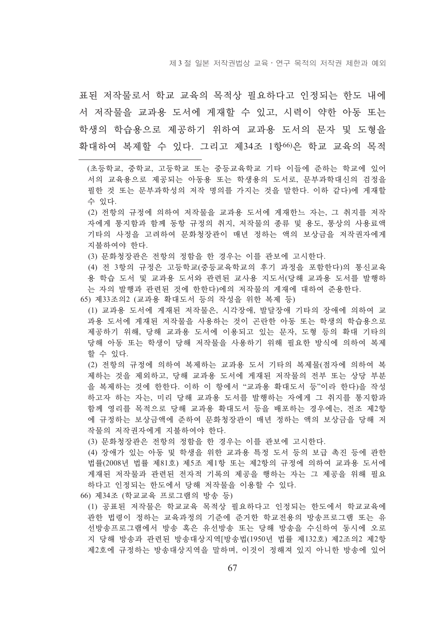표된 저작물로서 학교 교육의 목적상 필요하다고 인정되는 하도 내에 서 저작물을 교과용 도서에 게재할 수 있고, 시력이 약한 아동 또는 학생의 학습용으로 제공하기 위하여 교과용 도서의 무자 및 도형을 확대하여 복제할 수 있다. 그리고 제34조 1항66)은 학교 교육의 목적

(초등학교, 중학교, 고등학교 또는 중등교육학교 기타 이들에 준하는 학교에 있어 서의 교육용으로 제공되는 아동용 또는 학생용의 도서로, 문부과학대신의 검정을 필한 것 또는 문부과학성의 저작 명의를 가지는 것을 말한다. 이하 같다)에 게재할 수 있다.

(2) 전항의 규정에 의하여 저작물을 교과용 도서에 게재한느 자는, 그 취지를 저작 자에게 통지함과 함께 동항 규정의 취지, 저작물의 종류 및 용도, 통상의 사용료액 기타의 사정을 고려하여 문화청장관이 매년 정하는 액의 보상금을 저작권자에게 지불하여야 한다.

(3) 문화청장관은 전항의 정함을 한 경우는 이를 관보에 고시한다.

(4) 전 3항의 규정은 고등학교(중등교육학교의 후기 과정을 포함한다)의 통신교육 용 학습 도서 및 교과용 도서와 관련된 교사용 지도서(당해 교과용 도서를 발행하 는 자의 발행과 관련된 것에 한한다)에의 저작물의 게재에 대하여 주용하다.

- 65) 제33조의2 (교과용 확대도서 등의 작성을 위한 복제 등)
	- (1) 교과용 도서에 게재된 저작물은, 시각장애, 발달장애 기타의 장애에 의하여 교 과용 도서에 게재된 저작물을 사용하는 것이 곤란한 아동 또는 학생의 학습용으로 제공하기 위해, 당해 교과용 도서에 이용되고 있는 문자, 도형 등의 확대 기타의 당해 아동 또는 학생이 당해 저작물을 사용하기 위해 필요한 방식에 의하여 복제 할 수 있다.

(2) 전항의 규정에 의하여 복제하는 교과용 도서 기타의 복제물(점자에 의하여 복 제하는 것을 제외하고, 당해 교과용 도서에 게재된 저작물의 전부 또는 상당 부분 을 복제하는 것에 한한다. 이하 이 항에서 "교과용 확대도서 등"이라 한다)을 작성 하고자 하는 자는, 미리 당해 교과용 도서를 발행하는 자에게 그 취지를 통지함과 함께 영리를 목적으로 당해 교과용 확대도서 등을 배포하는 경우에는, 전조 제2항 에 규정하는 보상금액에 주하여 무화청장과이 매년 정하는 액의 보상금을 당해 저 작물의 저작권자에게 지불하여야 한다.

(3) 문화청장관은 전항의 정함을 한 경우는 이를 관보에 고시한다.

(4) 장애가 있는 아동 및 학생을 위한 교과용 특정 도서 등의 보급 촉진 등에 관한 법률(2008년 법률 제81호) 제5조 제1항 또는 제2항의 규정에 의하여 교과용 도서에 게재된 저작물과 관련된 전자적 기록의 제공을 행하는 자는 그 제공을 위해 필요 하다고 이정되는 한도에서 당해 저작물을 이용할 수 있다.

66) 제34조 (학교교육 프로그램의 방송 등)

(1) 공표된 저작물은 학교교육 목적상 필요하다고 인정되는 한도에서 학교교육에 관한 법령이 정하는 교육과정의 기준에 준거한 학교전용의 방송프로그램 또는 유 선방송프로그램에서 방송 혹은 유선방송 또는 당해 방송을 수신하여 동시에 오로 지 당해 방송과 관련된 방송대상지역[방송법(1950년 법률 제132호) 제2조의2 제2항 제2호에 규정하는 방송대상지역을 말하며, 이것이 정해져 있지 아니한 방송에 있어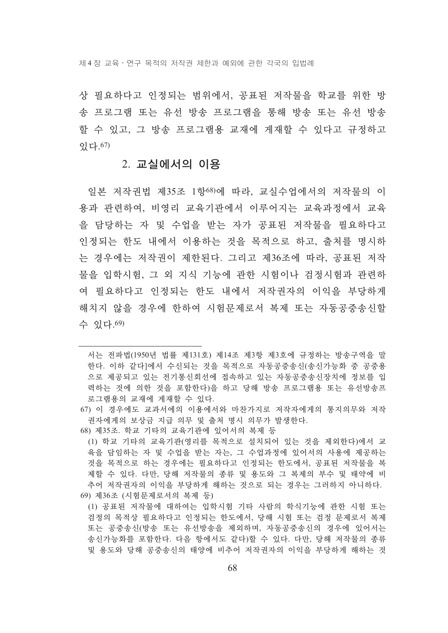상 필요하다고 인정되는 범위에서, 공표된 저작물을 학교를 위한 방 송 프로그램 또는 유서 방송 프로그램을 통해 방송 또는 유서 방송 할 수 있고, 그 방송 프로그램용 교재에 게재할 수 있다고 규정하고 있다. 67)

#### 2. 교실에서의 이용

일본 저작권법 제35조 1항68)에 따라, 교실수업에서의 저작물의 이 용과 관련하여, 비영리 교육기관에서 이루어지는 교육과정에서 교육 을 담당하는 자 및 수업을 받는 자가 공표된 저작물을 필요하다고 인정되는 한도 내에서 이용하는 것을 목적으로 하고, 출처를 명시하 는 경우에는 저작권이 제한된다. 그리고 제36조에 따라, 공표된 저작 물을 입학시험, 그 외 지식 기능에 관한 시험이나 검정시험과 관련하 여 필요하다고 인정되는 한도 내에서 저작권자의 이익을 부당하게 해치지 않을 경우에 한하여 시험문제로서 복제 또는 자동공중송신할 수 있다. 69)

- 68) 제35조. 학교 기타의 교육기관에 있어서의 복제 등
- (1) 학교 기타의 교육기관(영리를 목적으로 설치되어 있는 것을 제외한다)에서 교 육을 담임하는 자 및 수업을 받는 자는, 그 수업과정에 있어서의 사용에 제공하는 것을 목적으로 하는 경우에는 필요하다고 인정되는 한도에서, 공표된 저작물을 복 제할 수 있다. 다만, 당해 저작물의 종류 및 용도와 그 복제의 부수 및 태약에 비 추어 저작권자의 이익을 부당하게 해하는 것으로 되는 경우는 그러하지 아니하다. 69) 제36조 (시험문제로서의 복제 등)
- (1) 공표된 저작물에 대하여는 입학시험 기타 사람의 학식기능에 관한 시험 또는 검정의 목적상 필요하다고 인정되는 한도에서, 당해 시험 또는 검정 문제로서 복제 또는 공중송신(방송 또는 유선방송을 제외하며, 자동공중송신의 경우에 있어서는 송시가능화를 포함하다. 다음 항에서도 같다)할 수 있다. 다만, 당해 저작물의 종류 및 용도와 당해 공중송신의 태양에 비추어 저작권자의 이익을 부당하게 해하는 것

서는 전파법(1950년 법률 제131호) 제14조 제3항 제3호에 규정하는 방송구역을 말 한다. 이하 같다]에서 수신되는 것을 목적으로 자동공중송신(송신가능화 중 공중용 으로 제공되고 있는 전기통신회선에 접속하고 있는 자동공중송신장치에 정보를 입 력하는 것에 의한 것을 포함한다)을 하고 당해 방송 프로그램용 또는 유선방송프 로그램용의 교재에 게재할 수 있다.

<sup>67)</sup> 이 경우에도 교과서에의 이용에서와 마차가지로 저작자에게의 통지의무와 저작 권자에게의 보상금 지급 의무 및 출처 명시 의무가 발생한다.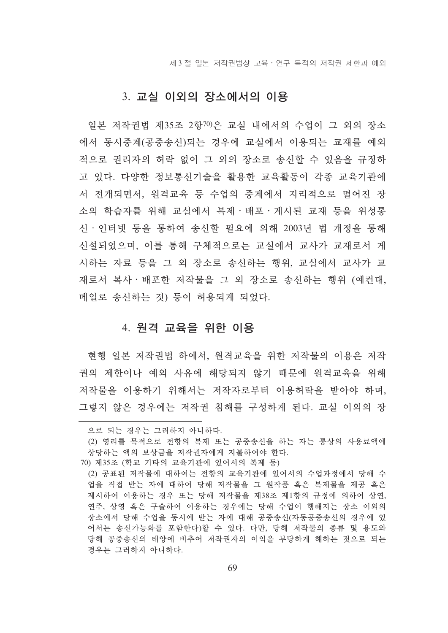제 3 절 일본 저작권법상 교육 · 연구 목적의 저작권 제한과 예외

#### 3. 교실 이외의 장소에서의 이용

일본 저작권법 제35조 2항70)은 교실 내에서의 수업이 그 외의 장소 에서 동시중계(공중송신)되는 경우에 교실에서 이용되는 교재를 예외 적으로 권리자의 허락 없이 그 외의 장소로 송신할 수 있음을 규정하 고 있다. 다양한 정보통신기술을 활용한 교육활동이 각종 교육기관에 서 전개되면서, 원격교육 등 수업의 중계에서 지리적으로 떨어진 장 소의 학습자를 위해 교실에서 복제 · 배포 · 게시된 교재 등을 위성통 신·인터넷 등을 통하여 송신할 필요에 의해 2003년 법 개정을 통해 신설되었으며, 이를 통해 구체적으로는 교실에서 교사가 교재로서 게 시하는 자료 등을 그 외 장소로 송신하는 행위, 교실에서 교사가 교 재로서 복사 · 배포한 저작물을 그 외 장소로 송신하는 행위 (예컨대, 메일로 송신하는 것) 등이 허용되게 되었다.

#### 4. 원격 교육을 위한 이용

현행 일본 저작권법 하에서, 원격교육을 위한 저작물의 이용은 저작 권의 제한이나 예외 사유에 해당되지 않기 때문에 워격교육을 위해 저작물을 이용하기 위해서는 저작자로부터 이용허락을 받아야 하며, 그렇지 않은 경우에는 저작권 침해를 구성하게 된다. 교실 이외의 장

으로 되는 경우는 그러하지 아니하다.

<sup>(2)</sup> 영리를 목적으로 전항의 복제 또는 공중송신을 하는 자는 통상의 사용료액에 상당하는 액의 보상금을 저작권자에게 지불하여야 한다.

<sup>70)</sup> 제35조 (학교 기타의 교육기관에 있어서의 복제 등)

<sup>(2)</sup> 공표된 저작물에 대하여는 저항의 교육기관에 있어서의 수업과정에서 당해 수 업을 직접 받는 자에 대하여 당해 저작물을 그 원작품 혹은 복제물을 제공 혹은 제시하여 이용하는 경우 또는 당해 저작물을 제38조 제1항의 규정에 의하여 상연, 연주, 상영 혹은 구술하여 이용하는 경우에는 당해 수업이 행해지는 장소 이외의 장소에서 당해 수업을 동시에 받는 자에 대해 공중송신(자동공중송신의 경우에 있 어서는 송신가능화를 포함한다)할 수 있다. 다만, 당해 저작물의 종류 및 용도와 당해 공중송시의 태양에 비추어 저작권자의 이익을 부당하게 해하는 것으로 되는 경우는 그러하지 아니하다.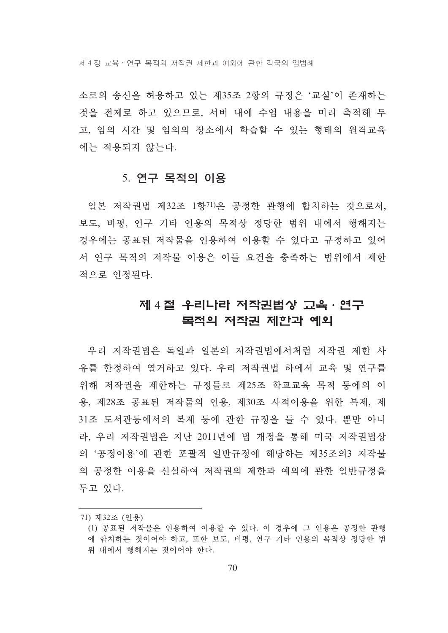제 4 장 교육 • 연구 목적의 저작권 제한과 예외에 관한 각국의 입법례

소로의 송신을 허용하고 있는 제35조 2항의 규정은 '교실'이 존재하는 것을 전제로 하고 있으므로, 서버 내에 수업 내용을 미리 축적해 두 고, 임의 시간 및 임의의 장소에서 학습할 수 있는 형태의 워격교육 에는 적용되지 않는다.

#### 5. 연구 목적의 이용

일본 저작권법 제32조 1항71)은 공정한 관행에 합치하는 것으로서, 보도, 비평, 연구 기타 인용의 목적상 정당한 범위 내에서 행해지는 경우에는 공표된 저작물을 인용하여 이용할 수 있다고 규정하고 있어 서 연구 목적의 저작물 이용은 이들 요건을 충족하는 범위에서 제한 적으로 인정된다.

### 제 4 절 우리나라 저작권법상 고육·연구 목적의 저작권 제한과 예외

우리 저작권법은 독일과 일본의 저작권법에서처럼 저작권 제한 사 유를 하정하여 열거하고 있다. 우리 저작권법 하에서 교육 및 여구를 위해 저작권을 제한하는 규정들로 제25조 학교교육 목적 등에의 이 용, 제28조 공표된 저작물의 인용, 제30조 사적이용을 위한 복제, 제 31조 도서관등에서의 복제 등에 관한 규정을 들 수 있다. 뿐만 아니 라, 우리 저작권법은 지난 2011년에 법 개정을 통해 미국 저작권법상 의 '공정이용'에 관한 포괄적 일반규정에 해당하는 제35조의3 저작물 의 공정한 이용을 신설하여 저작권의 제한과 예외에 관한 일반규정을 두고 있다.

<sup>71)</sup> 제32조 (인용)

<sup>(1)</sup> 공표된 저작물은 인용하여 이용할 수 있다. 이 경우에 그 인용은 공정한 관행 에 합치하는 것이어야 하고, 또한 보도, 비평, 연구 기타 인용의 목적상 정당한 범 위 내에서 행해지는 것이어야 한다.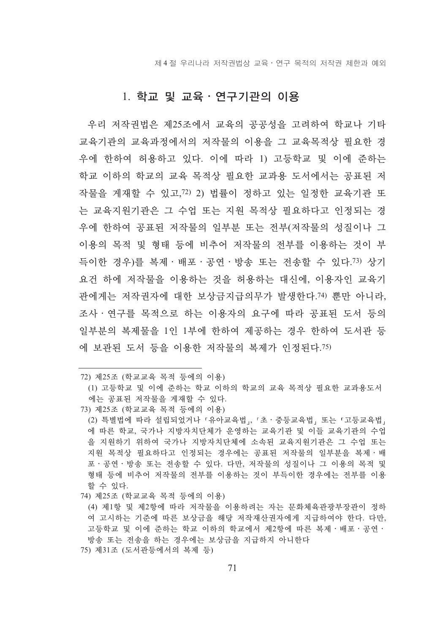제 4 절 우리나라 저작권법상 교육 • 연구 목적의 저작권 제한과 예외

#### 1. 학교 및 교육 · 연구기관의 이용

우리 저작권법은 제25조에서 교육의 공공성을 고려하여 학교나 기타 교육기관의 교육과정에서의 저작물의 이용을 그 교육목적상 필요한 경 우에 한하여 허용하고 있다. 이에 따라 1) 고등학교 및 이에 준하는 학교 이하의 학교의 교육 목적상 필요한 교과용 도서에서는 공표된 저 작물을 게재할 수 있고, 72) 2) 법률이 정하고 있는 일정한 교육기관 또 는 교육지워기관은 그 수업 또는 지워 목적상 필요하다고 인정되는 경 우에 한하여 공표된 저작물의 일부분 또는 전부(저작물의 성질이나 그 이용의 목적 및 형태 등에 비추어 저작물의 전부를 이용하는 것이 부 득이한 경우)를 복제·배포·공연·방송 또는 전송할 수 있다.73) 상기 요건 하에 저작물을 이용하는 것을 허용하는 대신에, 이용자인 교육기 관에게는 저작권자에 대한 보상금지급의무가 발생한다.74) 뿐만 아니라, 조사 · 여구를 목적으로 하는 이용자의 요구에 따라 공표되 도서 등의 일부분의 복제물을 1인 1부에 한하여 제공하는 경우 한하여 도서관 등 에 보관된 도서 등을 이용한 저작물의 복제가 인정된다.75)

73) 제25조 (학교교육 목적 등에의 이용)

74) 제25조 (학교교육 목적 등에의 이용)

75) 제31조 (도서관등에서의 복제 등)

<sup>72)</sup> 제25조 (학교교육 목적 등에의 이용)

<sup>(1)</sup> 고등학교 및 이에 준하는 학교 이하의 학교의 교육 목적상 필요한 교과용도서 에는 공표된 저작물을 게재할 수 있다.

<sup>(2)</sup> 특별법에 따라 설립되었거나「유아교육법」,「초·중등교육법」 또는「고등교육법」 에 따른 학교, 국가나 지방자치단체가 운영하는 교육기관 및 이들 교육기관의 수업 을 지원하기 위하여 국가나 지방자치단체에 소속된 교육지원기관은 그 수업 또는 지원 목적상 필요하다고 인정되는 경우에는 공표된 저작물의 일부분을 복제ㆍ배 포 · 공연 · 방송 또는 전송할 수 있다. 다만, 저작물의 성질이나 그 이용의 목적 및 형태 등에 비추어 저작물의 저부를 이용하는 것이 부득이한 경우에는 저부를 이용 할 수 있다.

<sup>(4)</sup> 제1항 및 제2항에 따라 저작물을 이용하려는 자는 문화체육관광부장관이 정하 여 고시하는 기준에 따른 보상금을 해당 저작재산권자에게 지급하여야 한다. 다만, 고등학교 및 이에 준하는 학교 이하의 학교에서 제2항에 따른 복제·배포·공연· 방송 또는 전송을 하는 경우에는 보상금을 지급하지 아니하다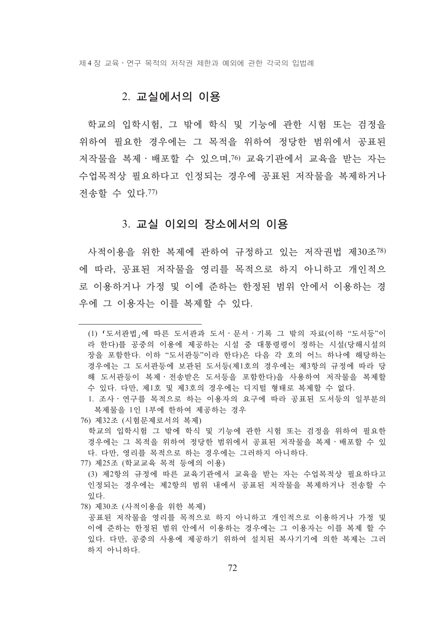제 4 장 교육 • 연구 목적의 저작권 제한과 예외에 관한 각국의 입법례

#### 2. 교실에서의 이용

학교의 입학시험, 그 밖에 학식 및 기능에 과하 시험 또는 검정을 위하여 필요한 경우에는 그 목적을 위하여 정당한 범위에서 공표된 저작물을 복제 · 배포할 수 있으며, 6 교육기관에서 교육을 받는 자는 수업목적상 필요하다고 인정되는 경우에 공표된 저작물을 복제하거나 전송할 수 있다. 77)

#### 3. 교실 이외의 장소에서의 이용

사적이용을 위한 복제에 관하여 규정하고 있는 저작권법 제30조78) 에 따라, 공표되 저작물을 영리를 목적으로 하지 아니하고 개인적으 로 이용하거나 가정 및 이에 준하는 한정된 범위 안에서 이용하는 경 우에 그 이용자는 이를 복제할 수 있다.

- 76) 제32조 (시험문제로서의 복제)
- 학교의 입학시험 그 밖에 학식 및 기능에 관한 시험 또는 검정을 위하여 필요한 경우에는 그 목적을 위하여 정당한 범위에서 공표되 저작물을 복제·배포할 수 있 다. 다만, 영리를 목적으로 하는 경우에는 그러하지 아니하다.
- 77) 제25조 (학교교육 목적 등에의 이용)

78) 제30조 (사적이용을 위한 복제)

<sup>(1) 「</sup>도서관법」에 따른 도서관과 도서 · 문서 · 기록 그 밖의 자료(이하 "도서등"이 라 한다)를 공중의 이용에 제공하는 시설 중 대통령령이 정하는 시설(당해시설의 장을 포함한다. 이하 "도서관등"이라 한다)은 다음 각 호의 어느 하나에 해당하는 경우에는 그 도서관등에 보관된 도서등(제1호의 경우에는 제3항의 규정에 따라 당 해 도서관등이 복제·전송받은 도서등을 포함한다)을 사용하여 저작물을 복제할 수 있다. 다만, 제1호 및 제3호의 경우에는 디지털 형태로 복제할 수 없다.

<sup>1.</sup> 조사 · 연구를 목적으로 하는 이용자의 요구에 따라 공표된 도서등의 일부분의 복제물을 1인 1부에 한하여 제공하는 경우

<sup>(3)</sup> 제2항의 규정에 따른 교육기관에서 교육을 받는 자는 수업목적상 필요하다고 인정되는 경우에는 제2항의 범위 내에서 공표된 저작물을 복제하거나 저송할 수 있다.

공표되 저작물을 영리를 목적으로 하지 아니하고 개인적으로 이용하거나 가정 및 이에 준하는 한정된 범위 안에서 이용하는 경우에는 그 이용자는 이를 복제 할 수 있다. 다만, 공중의 사용에 제공하기 위하여 설치된 복사기기에 의한 복제는 그러 하지 아니하다.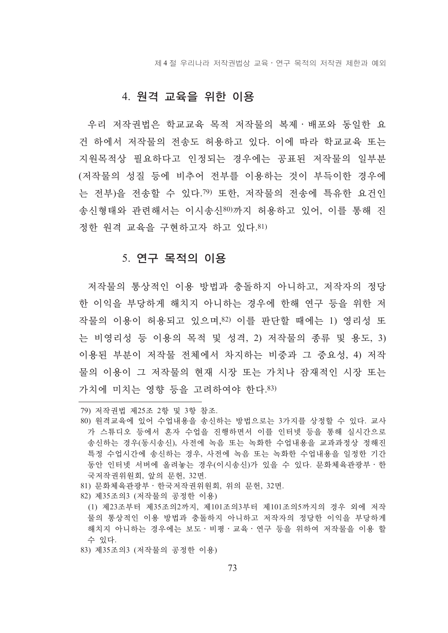제 4 절 우리나라 저작권법상 교육 • 연구 목적의 저작권 제한과 예외

#### 4. 원격 교육을 위한 이용

우리 저작권법은 학교교육 목적 저작물의 복제 · 배포와 동일한 요 건 하에서 저작물의 전송도 허용하고 있다. 이에 따라 학교교육 또는 지원목적상 필요하다고 인정되는 경우에는 공표된 저작물의 일부분 (저작물의 성질 등에 비추어 전부를 이용하는 것이 부득이한 경우에 는 전부)을 전송할 수 있다. ? 또한, 저작물의 전송에 특유한 요건인 송시형태와 관련해서는 이시송시80)까지 허용하고 있어, 이를 통해 지 정하 워격 교육을 구현하고자 하고 있다. 81)

#### 5. 연구 목적의 이용

저작물의 통상적인 이용 방법과 충돌하지 아니하고, 저작자의 정당 한 이익을 부당하게 해치지 아니하는 경우에 한해 연구 등을 위한 저 작물의 이용이 허용되고 있으며,82) 이를 판단할 때에는 1) 영리성 또 는 비영리성 등 이용의 목적 및 성격, 2) 저작물의 종류 및 용도, 3) 이용된 부분이 저작물 전체에서 차지하는 비중과 그 중요성, 4) 저작 물의 이용이 그 저작물의 현재 시장 또는 가치나 잠재적인 시장 또는 가치에 미치는 영향 등을 고려하여야 한다.83)

- 81) 문화체육관광부 · 한국저작권위원회, 위의 문헌, 32면.
- 82) 제35조의3 (저작물의 공정한 이용)
- (1) 제23조부터 제35조의2까지, 제101조의3부터 제101조의5까지의 경우 외에 저작 물의 통상적인 이용 방법과 충돌하지 아니하고 저작자의 정당한 이익을 부당하게 해치지 아니하는 경우에는 보도·비평·교육·연구 등을 위하여 저작물을 이용 할 수 있다.
- 83) 제35조의3 (저작물의 공정한 이용)

<sup>79)</sup> 저작권법 제25조 2항 및 3항 참조.

<sup>80)</sup> 원격교육에 있어 수업내용을 송신하는 방법으로는 3가지를 상정할 수 있다. 교사 가 스튜디오 등에서 혼자 수업을 진행하면서 이를 인터넷 등을 통해 실시간으로 송신하는 경우(동시송신), 사전에 녹음 또는 녹화한 수업내용을 교과과정상 정해진 특정 수업시간에 송신하는 경우, 사전에 녹음 또는 녹화한 수업내용을 일정한 기간 동안 인터넷 서버에 올려놓는 경우(이시송신)가 있을 수 있다. 문화체육관광부·한 국저작권위원회, 앞의 문헌, 32면,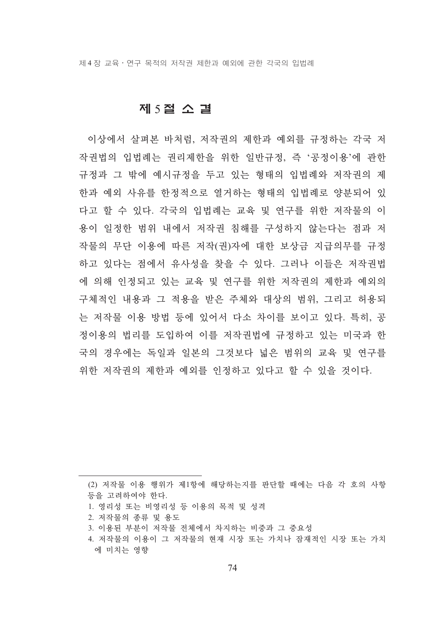제 4 장 교육 • 연구 목적의 저작권 제한과 예외에 관한 각국의 입법례

#### 제 5절 소 결

이상에서 살펴본 바처럼, 저작권의 제한과 예외를 규정하는 각국 저 작권법의 입법례는 권리제한을 위한 일반규정, 즉 '공정이용'에 관한 규정과 그 밖에 예시규정을 두고 있는 형태의 입법례와 저작권의 제 한과 예외 사유를 한정적으로 열거하는 형태의 입법례로 양분되어 있 다고 할 수 있다. 각국의 입법례는 교육 및 연구를 위한 저작물의 이 용이 일정한 범위 내에서 저작권 침해를 구성하지 않는다는 점과 저 작물의 무단 이용에 따른 저작(권)자에 대한 보상금 지급의무를 규정 하고 있다는 점에서 유사성을 찾을 수 있다. 그러나 이들은 저작권법 에 의해 인정되고 있는 교육 및 연구를 위한 저작권의 제한과 예외의 구체적인 내용과 그 적용을 받은 주체와 대상의 범위, 그리고 허용되 는 저작물 이용 방법 등에 있어서 다소 차이를 보이고 있다. 특히, 공 정이용의 법리를 도입하여 이를 저작권법에 규정하고 있는 미국과 한 국의 경우에는 독일과 일본의 그것보다 넓은 범위의 교육 및 연구를 위한 저작권의 제한과 예외를 인정하고 있다고 할 수 있을 것이다.

- 1. 영리성 또는 비영리성 등 이용의 목적 및 성격
- 2. 저작물의 종류 및 용도
- 3. 이용된 부분이 저작물 전체에서 차지하는 비중과 그 중요성

<sup>(2)</sup> 저작물 이용 행위가 제1항에 해당하는지를 판단할 때에는 다음 각 호의 사항 등을 고려하여야 한다.

<sup>4.</sup> 저작물의 이용이 그 저작물의 현재 시장 또는 가치나 잠재적인 시장 또는 가치 에 미치는 영향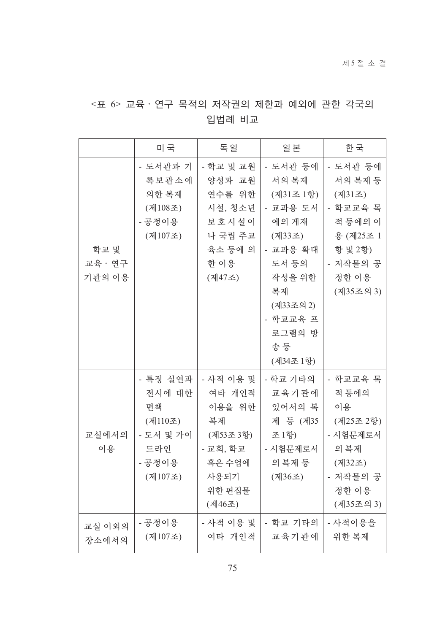### <표 6> 교육 · 연구 목적의 저작권의 제한과 예외에 관한 각국의 입법례 비교

|                         | 미 국                                                                          | 독 일                                                                                               | 일 본                                                                                                                                                      | 한 국                                                                                                            |
|-------------------------|------------------------------------------------------------------------------|---------------------------------------------------------------------------------------------------|----------------------------------------------------------------------------------------------------------------------------------------------------------|----------------------------------------------------------------------------------------------------------------|
| 학교 및<br>교육·연구<br>기관의 이용 | - 도서관과 기<br>록보관소에<br>의한 복제<br>(제108조)<br>- 공정이용<br>(제107조)                   | - 학교 및 교원<br>양성과 교원<br>연수를 위한<br>시설, 청소년<br>보호시설이<br>나 국립 주교<br>육소 등에 의<br>한 이용<br>(제47조)         | - 도서관 등에<br>서의 복제<br>(제31조 1항)<br>- 교과용 도서<br>에의 게재<br>(제33조)<br>- 교과용 확대<br>도서 등의<br>작성을 위한<br>복제<br>(제33조의 2)<br>- 학교교육 프<br>로그램의 방<br>송등<br>(제34조 1항) | - 도서관 등에<br>서의 복제 등<br>(제31조)<br>- 학교교육 목<br>적 등에의 이<br>용 (제25조 1<br>항 및 2항)<br>- 저작물의 공<br>정한 이용<br>(제35조의 3) |
| 교실에서의<br>이용             | - 특정 실연과<br>전시에 대한<br>면책<br>(제110조)<br>- 도서 및 가이<br>드라인<br>- 공정이용<br>(제107조) | - 사적 이용 및<br>여타 개인적<br>이용을 위한<br>복제<br>(제53조3항)<br>- 교회, 학교<br>혹은 수업에<br>사용되기<br>위한 편집물<br>(제46조) | - 학교 기타의<br>교육기관에<br>있어서의 복<br>제 등 (제35<br>조 1항)<br>- 시험문제로서<br>의 복제 등<br>(제36조)                                                                         | - 학교교육 목<br>적 등에의<br>이용<br>(제25조 2항)<br>- 시험문제로서<br>의복제<br>(제32조)<br>- 저작물의 공<br>정한 이용<br>(제35조의 3)            |
| 교실 이외의<br>장소에서의         | - 공정이용<br>(제107조)                                                            | - 사적 이용 및<br>여타 개인적                                                                               | - 학교 기타의<br>교육기관에                                                                                                                                        | - 사적이용을<br>위한 복제                                                                                               |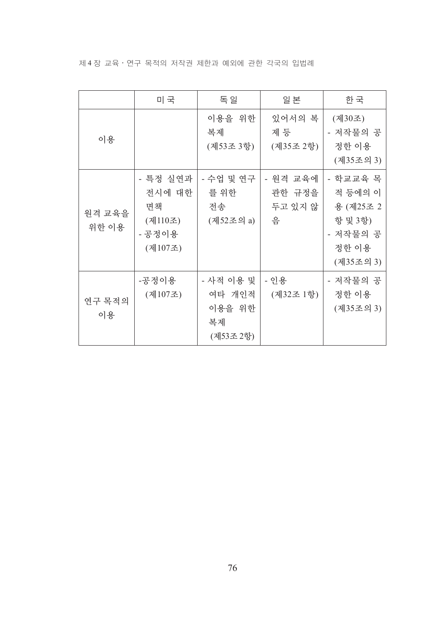제 4 장 교육 · 연구 목적의 저작권 제한과 예외에 관한 각국의 입법례

|                 | 미 국                                                      | 독 일                                              | 일 본                                | 한 국                                                                           |
|-----------------|----------------------------------------------------------|--------------------------------------------------|------------------------------------|-------------------------------------------------------------------------------|
| 이용              |                                                          | 이용을 위한<br>복제<br>(제53조 3항)                        | 있어서의 복<br>제 등<br>(제35조 2항)         | (제30조)<br>- 저작물의 공<br>정한 이용<br>(제35조의 3)                                      |
| 원격 교육을<br>위한 이용 | - 특정 실연과<br>전시에 대한<br>면책<br>(제110조)<br>- 공정이용<br>(제107조) | - 수업 및 연구<br>를 위한<br>전송<br>(제52조의 a)             | - 원격 교육에<br>관한 규정을<br>두고 있지 않<br>음 | - 학교교육 목<br>적 등에의 이<br>용 (제25조 2<br>항 및 3항)<br>- 저작물의 공<br>정한 이용<br>(제35조의 3) |
| 연구 목적의<br>이용    | -공정이용<br>(제107조)                                         | - 사적 이용 및<br>여타 개인적<br>이용을 위한<br>복제<br>(제53조 2항) | - 인용<br>(제32조 1항)                  | - 저작물의 공<br>정한 이용<br>(제35조의 3)                                                |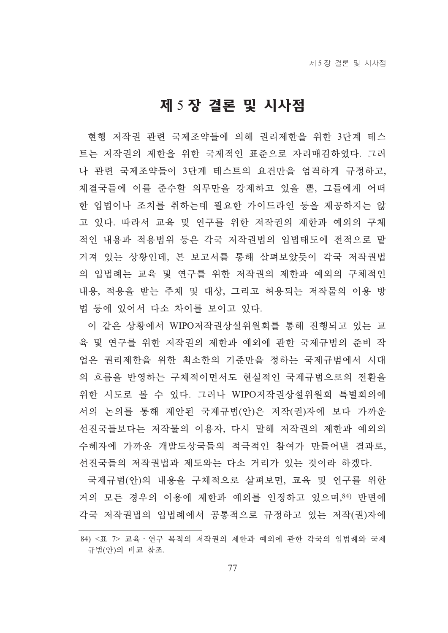# 제 5 장 결론 및 시사점

현행 저작권 관련 국제조약들에 의해 권리제한을 위한 3단계 테스 트는 저작권의 제하을 위하 국제적인 표주으로 자리매김하였다. 그러 나 관련 국제조약들이 3단계 테스트의 요건만을 엄격하게 규정하고, 체결국들에 이를 준수할 의무만을 강제하고 있을 뿐, 그들에게 어떠 한 입법이나 조치를 취하는데 필요한 가이드라인 등을 제공하지는 않 고 있다. 따라서 교육 및 연구를 위한 저작권의 제한과 예외의 구체 적인 내용과 적용범위 등은 각국 저작권법의 입법태도에 전적으로 맡 겨져 있는 상황인데, 본 보고서를 통해 살펴보았듯이 각국 저작권법 의 입법례는 교육 및 연구를 위한 저작권의 제한과 예외의 구체적인 내용, 적용을 받는 주체 및 대상, 그리고 허용되는 저작물의 이용 방 법 등에 있어서 다소 차이를 보이고 있다.

이 같은 상황에서 WIPO저작권상설위워회를 통해 진행되고 있는 교 육 및 여구를 위한 저작권의 제한과 예외에 과한 국제규범의 주비 작 업은 권리제하을 위한 최소하의 기주만을 정하는 국제규범에서 시대 의 흐름을 반영하는 구체적이면서도 현실적인 국제규범으로의 전화을 위한 시도로 볼 수 있다. 그러나 WIPO저작권상설위워회 특별회의에 서의 논의를 통해 제안된 국제규범(안)은 저작(권)자에 보다 가까운 선진국들보다는 저작물의 이용자, 다시 말해 저작권의 제한과 예외의 수혜자에 가까운 개발도상국들의 적극적인 참여가 만들어낸 결과로, 선진국들의 저작권법과 제도와는 다소 거리가 있는 것이라 하겠다.

국제규범(안)의 내용을 구체적으로 살펴보면, 교육 및 연구를 위한 거의 모든 경우의 이용에 제한과 예외를 인정하고 있으며, 84) 반면에 각국 저작권법의 입법례에서 공통적으로 규정하고 있는 저작(권)자에

<sup>84) &</sup>lt;표 7> 교육 · 여구 목적의 저작권의 제한과 예외에 과한 각국의 입법례와 국제 규범(안)의 비교 참조.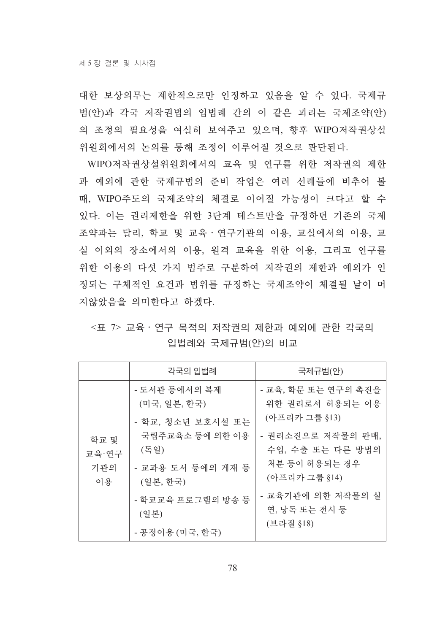대한 보상의무는 제한적으로만 인정하고 있음을 알 수 있다. 국제규 범(안)과 각국 저작권법의 입법례 간의 이 같은 괴리는 국제조약(안) 의 조정의 필요성을 여실히 보여주고 있으며, 향후 WIPO저작권상설 위원회에서의 논의를 통해 조정이 이루어질 것으로 판단된다.

WIPO저작권상설위원회에서의 교육 및 연구를 위한 저작권의 제한 과 예외에 관한 국제규범의 준비 작업은 여러 선례들에 비추어 볼 때, WIPO주도의 국제조약의 체결로 이어질 가능성이 크다고 할 수 있다. 이는 권리제한을 위한 3단계 테스트만을 규정하던 기존의 국제 조약과는 달리, 학교 및 교육 · 연구기관의 이용, 교실에서의 이용, 교 실 이외의 장소에서의 이용, 원격 교육을 위한 이용, 그리고 연구를 위한 이용의 다섯 가지 범주로 구부하여 저작권의 제한과 예외가 인 정되는 구체적인 요건과 범위를 규정하는 국제조약이 체결될 날이 머 지않았음을 의미한다고 하겠다.

<표 7> 교육 · 연구 목적의 저작권의 제한과 예외에 관한 각국의 입법례와 국제규범(안)의 비교

|                            | 각국의 입법례                                                                                                                                                        | 국제규범(안)                                                                                                                                                                               |
|----------------------------|----------------------------------------------------------------------------------------------------------------------------------------------------------------|---------------------------------------------------------------------------------------------------------------------------------------------------------------------------------------|
| 학교 및<br>교육·연구<br>기관의<br>이용 | - 도서관 등에서의 복제<br>(미국, 일본, 한국)<br>- 학교, 청소년 보호시설 또는<br>국립주교육소 등에 의한 이용<br>(독일)<br>- 교과용 도서 등에의 게재 등<br>(일본, 한국)<br>- 학교교육 프로그램의 방송 등<br>(일본)<br>- 공정이용 (미국, 한국) | - 교육, 학문 또는 연구의 촉진을<br>위한 권리로서 허용되는 이용<br>(아프리카 그룹 §13)<br>- 권리소진으로 저작물의 판매,<br>수입, 수출 또는 다른 방법의<br>처분 등이 허용되는 경우<br>(아프리카 그룹 §14)<br>- 교육기관에 의한 저작물의 실<br>연, 낭독 또는 전시 등<br>(브라질 §18) |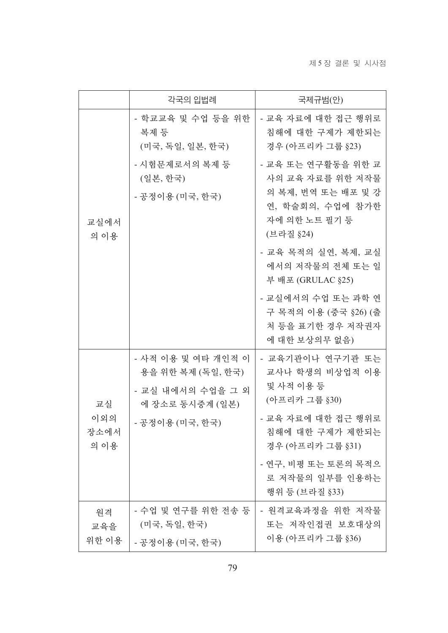|                           | 각국의 입법례                                                                         | 국제규범(안)                                                                                                        |
|---------------------------|---------------------------------------------------------------------------------|----------------------------------------------------------------------------------------------------------------|
| 교실에서<br>의 이용              | - 학교교육 및 수업 등을 위한<br>복제 등<br>(미국, 독일, 일본, 한국)                                   | - 교육 자료에 대한 접근 행위로<br>침해에 대한 구제가 제한되는<br>경우 (아프리카 그룹 §23)                                                      |
|                           | - 시험문제로서의 복제 등<br>(일본, 한국)<br>- 공정이용 (미국, 한국)                                   | - 교육 또는 연구활동을 위한 교<br>사의 교육 자료를 위한 저작물<br>의 복제, 번역 또는 배포 및 강<br>연, 학술회의, 수업에 참가한<br>자에 의한 노트 필기 등<br>(브라질 §24) |
|                           |                                                                                 | - 교육 목적의 실연, 복제, 교실<br>에서의 저작물의 전체 또는 일<br>부 배포 (GRULAC §25)                                                   |
|                           |                                                                                 | - 교실에서의 수업 또는 과학 연<br>구 목적의 이용 (중국 §26) (출<br>처 등을 표기한 경우 저작권자<br>에 대한 보상의무 없음)                                |
| 교실<br>이외의<br>장소에서<br>의 이용 | - 사적 이용 및 여타 개인적 이<br>용을 위한 복제 (독일, 한국)<br>- 교실 내에서의 수업을 그 외<br>에 장소로 동시중계 (일본) | - 교육기관이나 연구기관 또는<br>교사나 학생의 비상업적 이용<br>및 사적 이용 등<br>(아프리카 그룹 §30)                                              |
|                           | - 공정이용 (미국, 한국)                                                                 | - 교육 자료에 대한 접근 행위로<br>침해에 대한 구제가 제한되는<br>경우 (아프리카 그룹 §31)                                                      |
|                           |                                                                                 | - 연구, 비평 또는 토론의 목적으<br>로 저작물의 일부를 인용하는<br>행위 등 (브라질 §33)                                                       |
| 원격<br>교육을<br>위한 이용        | - 수업 및 연구를 위한 전송 등<br>(미국, 독일, 한국)<br>- 공정이용 (미국, 한국)                           | - 원격교육과정을 위한 저작물<br>또는 저작인접권 보호대상의<br>이용 (아프리카 그룹 §36)                                                         |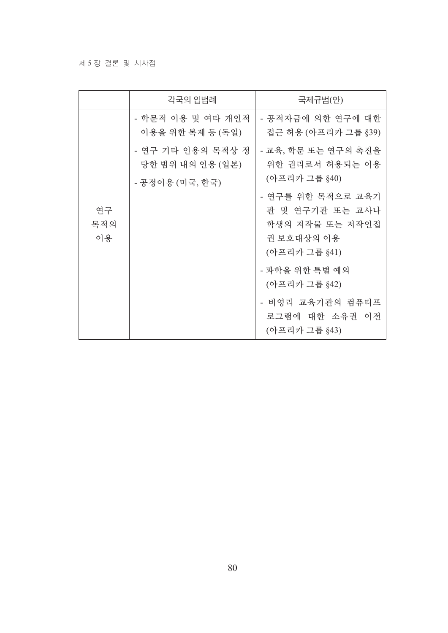### 제 5 장결론 및 시사점

|                                       | 각국의 입법례                                                                                | 국제규범(안)                                                 |
|---------------------------------------|----------------------------------------------------------------------------------------|---------------------------------------------------------|
| - 학문적 이용 및 여타 개인적<br>이용을 위한 복제 등 (독일) |                                                                                        | - 공적자금에 의한 연구에 대한<br>접근 허용 (아프리카 그룹 §39)                |
|                                       | - 연구 기타 인용의 목적상 정<br>당한 범위 내의 인용 (일본)                                                  | - 교육, 학문 또는 연구의 촉진을<br>위한 권리로서 허용되는 이용<br>(아프리카 그룹 §40) |
| - 공정이용 (미국, 한국)<br>연구<br>목적의<br>이용    | - 연구를 위한 목적으로 교육기<br>관 및 연구기관 또는 교사나<br>학생의 저작물 또는 저작인접<br>권 보호대상의 이용<br>(아프리카 그룹 §41) |                                                         |
|                                       |                                                                                        | - 과학을 위한 특별 예외<br>(아프리카 그룹 §42)                         |
|                                       |                                                                                        | - 비영리 교육기관의 컴퓨터프<br>로그램에 대한 소유권 이전<br>(아프리카 그룹 §43)     |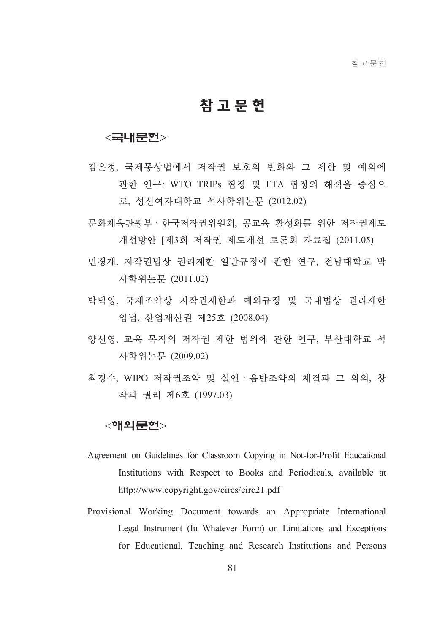## 참고문헌

### <국내문헌>

- 김은정, 국제통상법에서 저작권 보호의 변화와 그 제한 및 예외에 관한 연구: WTO TRIPs 협정 및 FTA 협정의 해석을 중심으 로, 성신여자대학교 석사학위논뮤 (2012.02)
- 문화체육관광부 · 한국저작권위원회, 공교육 활성화를 위한 저작권제도 개선방안 [제3회 저작권 제도개선 토론회 자료집 (2011.05)
- 민경재, 저작권법상 권리제한 일반규정에 관한 연구, 전남대학교 박 사학위논문 (2011.02)
- 박덕영, 국제조약상 저작권제한과 예외규정 및 국내법상 권리제한 입법, 산업재산권 제25호 (2008.04)
- 양선영, 교육 목적의 저작권 제한 범위에 관한 연구, 부산대학교 석 사학위논문 (2009.02)
- 최경수, WIPO 저작권조약 및 실연 · 음반조약의 체결과 그 의의, 창 작과 권리 제6호 (1997.03)

### $<$ 해외문헌 $>$

- Agreement on Guidelines for Classroom Copying in Not-for-Profit Educational Institutions with Respect to Books and Periodicals, available at http://www.copyright.gov/circs/circ21.pdf
- Provisional Working Document towards an Appropriate International Legal Instrument (In Whatever Form) on Limitations and Exceptions for Educational, Teaching and Research Institutions and Persons